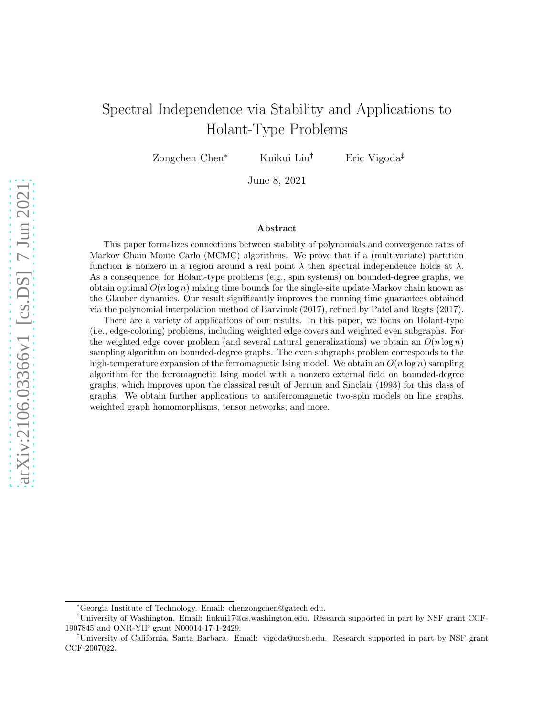# Spectral Independence via Stability and Applications to Holant-Type Problems

Zongchen Chen<sup>∗</sup> Kuikui Liu† Eric Vigoda‡

June 8, 2021

#### Abstract

This paper formalizes connections between stability of polynomials and convergence rates of Markov Chain Monte Carlo (MCMC) algorithms. We prove that if a (multivariate) partition function is nonzero in a region around a real point  $\lambda$  then spectral independence holds at  $\lambda$ . As a consequence, for Holant-type problems (e.g., spin systems) on bounded-degree graphs, we obtain optimal  $O(n \log n)$  mixing time bounds for the single-site update Markov chain known as the Glauber dynamics. Our result significantly improves the running time guarantees obtained via the polynomial interpolation method of Barvinok (2017), refined by Patel and Regts (2017).

There are a variety of applications of our results. In this paper, we focus on Holant-type (i.e., edge-coloring) problems, including weighted edge covers and weighted even subgraphs. For the weighted edge cover problem (and several natural generalizations) we obtain an  $O(n \log n)$ sampling algorithm on bounded-degree graphs. The even subgraphs problem corresponds to the high-temperature expansion of the ferromagnetic Ising model. We obtain an  $O(n \log n)$  sampling algorithm for the ferromagnetic Ising model with a nonzero external field on bounded-degree graphs, which improves upon the classical result of Jerrum and Sinclair (1993) for this class of graphs. We obtain further applications to antiferromagnetic two-spin models on line graphs, weighted graph homomorphisms, tensor networks, and more.

<sup>∗</sup>Georgia Institute of Technology. Email: chenzongchen@gatech.edu.

<sup>†</sup>University of Washington. Email: liukui17@cs.washington.edu. Research supported in part by NSF grant CCF-1907845 and ONR-YIP grant N00014-17-1-2429.

<sup>‡</sup>University of California, Santa Barbara. Email: vigoda@ucsb.edu. Research supported in part by NSF grant CCF-2007022.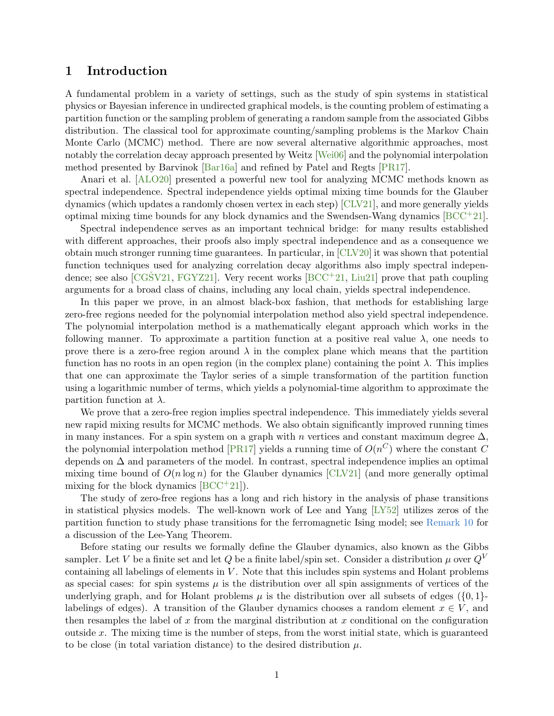# 1 Introduction

A fundamental problem in a variety of settings, such as the study of spin systems in statistical physics or Bayesian inference in undirected graphical models, is the counting problem of estimating a partition function or the sampling problem of generating a random sample from the associated Gibbs distribution. The classical tool for approximate counting/sampling problems is the Markov Chain Monte Carlo (MCMC) method. There are now several alternative algorithmic approaches, most notably the correlation decay approach presented by Weitz [\[Wei06\]](#page-35-0) and the polynomial interpolation method presented by Barvinok [\[Bar16a\]](#page-33-0) and refined by Patel and Regts [\[PR17\]](#page-35-1).

Anari et al. [\[ALO20\]](#page-33-1) presented a powerful new tool for analyzing MCMC methods known as spectral independence. Spectral independence yields optimal mixing time bounds for the Glauber dynamics (which updates a randomly chosen vertex in each step) [\[CLV21\]](#page-34-0), and more generally yields optimal mixing time bounds for any block dynamics and the Swendsen-Wang dynamics [\[BCC](#page-33-2)+21].

Spectral independence serves as an important technical bridge: for many results established with different approaches, their proofs also imply spectral independence and as a consequence we obtain much stronger running time guarantees. In particular, in [\[CLV20\]](#page-34-1) it was shown that potential function techniques used for analyzing correlation decay algorithms also imply spectral indepen-dence; see also [\[CGSV21](#page-34-2), [FGYZ21\]](#page-34-3). Very recent works [\[BCC](#page-33-2)+21, [Liu21\]](#page-35-2) prove that path coupling arguments for a broad class of chains, including any local chain, yields spectral independence.

In this paper we prove, in an almost black-box fashion, that methods for establishing large zero-free regions needed for the polynomial interpolation method also yield spectral independence. The polynomial interpolation method is a mathematically elegant approach which works in the following manner. To approximate a partition function at a positive real value  $\lambda$ , one needs to prove there is a zero-free region around  $\lambda$  in the complex plane which means that the partition function has no roots in an open region (in the complex plane) containing the point  $\lambda$ . This implies that one can approximate the Taylor series of a simple transformation of the partition function using a logarithmic number of terms, which yields a polynomial-time algorithm to approximate the partition function at  $\lambda$ .

We prove that a zero-free region implies spectral independence. This immediately yields several new rapid mixing results for MCMC methods. We also obtain significantly improved running times in many instances. For a spin system on a graph with n vertices and constant maximum degree  $\Delta$ , the polynomial interpolation method [\[PR17\]](#page-35-1) yields a running time of  $O(n^C)$  where the constant C depends on  $\Delta$  and parameters of the model. In contrast, spectral independence implies an optimal mixing time bound of  $O(n \log n)$  for the Glauber dynamics [\[CLV21\]](#page-34-0) (and more generally optimal mixing for the block dynamics  $[BCC^+21]$ .

The study of zero-free regions has a long and rich history in the analysis of phase transitions in statistical physics models. The well-known work of Lee and Yang [\[LY52\]](#page-35-3) utilizes zeros of the partition function to study phase transitions for the ferromagnetic Ising model; see [Remark 10](#page-5-0) for a discussion of the Lee-Yang Theorem.

Before stating our results we formally define the Glauber dynamics, also known as the Gibbs sampler. Let V be a finite set and let Q be a finite label/spin set. Consider a distribution  $\mu$  over  $Q^V$ containing all labelings of elements in  $V$ . Note that this includes spin systems and Holant problems as special cases: for spin systems  $\mu$  is the distribution over all spin assignments of vertices of the underlying graph, and for Holant problems  $\mu$  is the distribution over all subsets of edges  $({0, 1}$ . labelings of edges). A transition of the Glauber dynamics chooses a random element  $x \in V$ , and then resamples the label of x from the marginal distribution at x conditional on the configuration outside x. The mixing time is the number of steps, from the worst initial state, which is guaranteed to be close (in total variation distance) to the desired distribution  $\mu$ .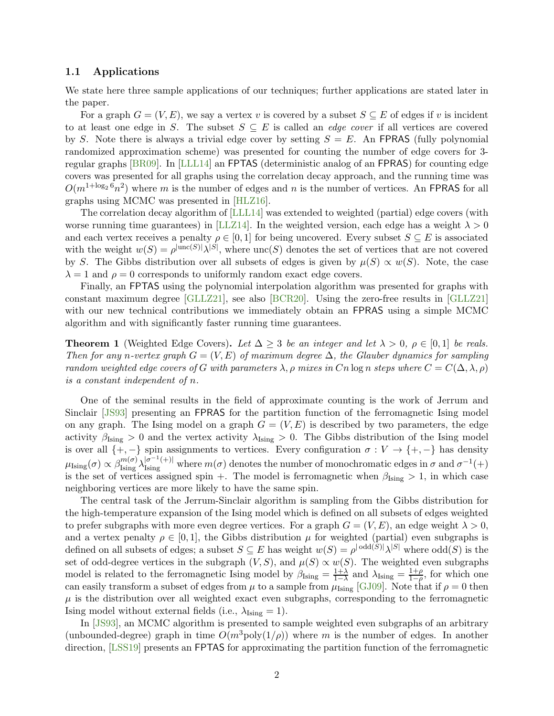# 1.1 Applications

We state here three sample applications of our techniques; further applications are stated later in the paper.

For a graph  $G = (V, E)$ , we say a vertex v is covered by a subset  $S \subseteq E$  of edges if v is incident to at least one edge in S. The subset  $S \subseteq E$  is called an *edge cover* if all vertices are covered by S. Note there is always a trivial edge cover by setting  $S = E$ . An FPRAS (fully polynomial randomized approximation scheme) was presented for counting the number of edge covers for 3 regular graphs [\[BR09\]](#page-34-4). In [\[LLL14\]](#page-35-4) an FPTAS (deterministic analog of an FPRAS) for counting edge covers was presented for all graphs using the correlation decay approach, and the running time was  $O(m^{1+\log_2 6}n^2)$  where m is the number of edges and n is the number of vertices. An FPRAS for all graphs using MCMC was presented in [\[HLZ16\]](#page-34-5).

The correlation decay algorithm of [\[LLL14\]](#page-35-4) was extended to weighted (partial) edge covers (with worse running time guarantees) in [\[LLZ14\]](#page-35-5). In the weighted version, each edge has a weight  $\lambda > 0$ and each vertex receives a penalty  $\rho \in [0,1]$  for being uncovered. Every subset  $S \subseteq E$  is associated with the weight  $w(S) = \rho^{|{\text{unc}(S)|}} \lambda^{|S|}$ , where  ${\text{unc}(S)}$  denotes the set of vertices that are not covered by S. The Gibbs distribution over all subsets of edges is given by  $\mu(S) \propto w(S)$ . Note, the case  $\lambda = 1$  and  $\rho = 0$  corresponds to uniformly random exact edge covers.

Finally, an FPTAS using the polynomial interpolation algorithm was presented for graphs with constant maximum degree [\[GLLZ21\]](#page-34-6), see also [\[BCR20\]](#page-33-3). Using the zero-free results in [\[GLLZ21\]](#page-34-6) with our new technical contributions we immediately obtain an FPRAS using a simple MCMC algorithm and with significantly faster running time guarantees.

<span id="page-2-0"></span>**Theorem 1** (Weighted Edge Covers). Let  $\Delta \geq 3$  be an integer and let  $\lambda > 0$ ,  $\rho \in [0,1]$  be reals. Then for any n-vertex graph  $G = (V, E)$  of maximum degree  $\Delta$ , the Glauber dynamics for sampling random weighted edge covers of G with parameters  $\lambda$ ,  $\rho$  mixes in Cn log n steps where  $C = C(\Delta, \lambda, \rho)$ is a constant independent of n.

One of the seminal results in the field of approximate counting is the work of Jerrum and Sinclair [\[JS93\]](#page-35-6) presenting an FPRAS for the partition function of the ferromagnetic Ising model on any graph. The Ising model on a graph  $G = (V, E)$  is described by two parameters, the edge activity  $\beta_{\text{Ising}} > 0$  and the vertex activity  $\lambda_{\text{Ising}} > 0$ . The Gibbs distribution of the Ising model is over all  $\{+,-\}$  spin assignments to vertices. Every configuration  $\sigma: V \to \{+,-\}$  has density  $\mu_{\text{Ising}}(\sigma) \propto \beta_{\text{Ising}}^{m(\sigma)} \lambda_{\text{Ising}}^{|\sigma^{-1}(+)|}$  where  $m(\sigma)$  denotes the number of monochromatic edges in  $\sigma$  and  $\sigma^{-1}(+)$ is the set of vertices assigned spin +. The model is ferromagnetic when  $\beta_{\text{Ising}} > 1$ , in which case neighboring vertices are more likely to have the same spin.

The central task of the Jerrum-Sinclair algorithm is sampling from the Gibbs distribution for the high-temperature expansion of the Ising model which is defined on all subsets of edges weighted to prefer subgraphs with more even degree vertices. For a graph  $G = (V, E)$ , an edge weight  $\lambda > 0$ , and a vertex penalty  $\rho \in [0, 1]$ , the Gibbs distribution  $\mu$  for weighted (partial) even subgraphs is defined on all subsets of edges; a subset  $S \subseteq E$  has weight  $w(S) = \rho^{|\text{odd}(S)|} \lambda^{|S|}$  where  $\text{odd}(S)$  is the set of odd-degree vertices in the subgraph  $(V, S)$ , and  $\mu(S) \propto w(S)$ . The weighted even subgraphs model is related to the ferromagnetic Ising model by  $\beta_{\text{Ising}} = \frac{1+\lambda}{1-\lambda}$  $\frac{1+\lambda}{1-\lambda}$  and  $\lambda_{\text{Ising}} = \frac{1+\rho}{1-\rho}$  $\frac{1+\rho}{1-\rho}$ , for which one can easily transform a subset of edges from  $\mu$  to a sample from  $\mu_{\text{Ising}}$  [\[GJ09\]](#page-34-7). Note that if  $\rho = 0$  then  $\mu$  is the distribution over all weighted exact even subgraphs, corresponding to the ferromagnetic Ising model without external fields (i.e.,  $\lambda_{\text{Ising}} = 1$ ).

In [\[JS93\]](#page-35-6), an MCMC algorithm is presented to sample weighted even subgraphs of an arbitrary (unbounded-degree) graph in time  $O(m^3 \text{poly}(1/\rho))$  where m is the number of edges. In another direction, [\[LSS19\]](#page-35-7) presents an FPTAS for approximating the partition function of the ferromagnetic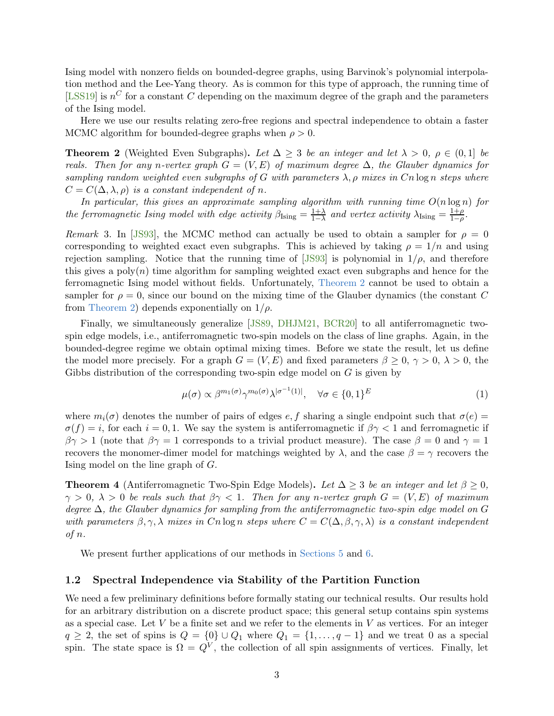Ising model with nonzero fields on bounded-degree graphs, using Barvinok's polynomial interpolation method and the Lee-Yang theory. As is common for this type of approach, the running time of [\[LSS19\]](#page-35-7) is  $n^C$  for a constant C depending on the maximum degree of the graph and the parameters of the Ising model.

<span id="page-3-0"></span>Here we use our results relating zero-free regions and spectral independence to obtain a faster MCMC algorithm for bounded-degree graphs when  $\rho > 0$ .

**Theorem 2** (Weighted Even Subgraphs). Let  $\Delta \geq 3$  be an integer and let  $\lambda > 0$ ,  $\rho \in (0,1]$  be reals. Then for any n-vertex graph  $G = (V, E)$  of maximum degree  $\Delta$ , the Glauber dynamics for sampling random weighted even subgraphs of G with parameters  $\lambda$ ,  $\rho$  mixes in Cn log n steps where  $C = C(\Delta, \lambda, \rho)$  is a constant independent of n.

In particular, this gives an approximate sampling algorithm with running time  $O(n \log n)$  for the ferromagnetic Ising model with edge activity  $\beta_{\text{Ising}} = \frac{1+\lambda}{1-\lambda}$  $\frac{1+\lambda}{1-\lambda}$  and vertex activity  $\lambda_{\text{Ising}} = \frac{1+\rho}{1-\rho}$  $\frac{1+\rho}{1-\rho}$ .

Remark 3. In [\[JS93\]](#page-35-6), the MCMC method can actually be used to obtain a sampler for  $\rho = 0$ corresponding to weighted exact even subgraphs. This is achieved by taking  $\rho = 1/n$  and using rejection sampling. Notice that the running time of [\[JS93\]](#page-35-6) is polynomial in  $1/\rho$ , and therefore this gives a  $poly(n)$  time algorithm for sampling weighted exact even subgraphs and hence for the ferromagnetic Ising model without fields. Unfortunately, [Theorem 2](#page-3-0) cannot be used to obtain a sampler for  $\rho = 0$ , since our bound on the mixing time of the Glauber dynamics (the constant C from [Theorem 2\)](#page-3-0) depends exponentially on  $1/\rho$ .

Finally, we simultaneously generalize [\[JS89,](#page-34-8) [DHJM21,](#page-34-9) [BCR20\]](#page-33-3) to all antiferromagnetic twospin edge models, i.e., antiferromagnetic two-spin models on the class of line graphs. Again, in the bounded-degree regime we obtain optimal mixing times. Before we state the result, let us define the model more precisely. For a graph  $G = (V, E)$  and fixed parameters  $\beta \geq 0$ ,  $\gamma > 0$ ,  $\lambda > 0$ , the Gibbs distribution of the corresponding two-spin edge model on  $G$  is given by

$$
\mu(\sigma) \propto \beta^{m_1(\sigma)} \gamma^{m_0(\sigma)} \lambda^{|\sigma^{-1}(1)|}, \quad \forall \sigma \in \{0, 1\}^E
$$
 (1)

where  $m_i(\sigma)$  denotes the number of pairs of edges e, f sharing a single endpoint such that  $\sigma(e)$  $\sigma(f) = i$ , for each  $i = 0, 1$ . We say the system is antiferromagnetic if  $\beta \gamma < 1$  and ferromagnetic if  $\beta\gamma > 1$  (note that  $\beta\gamma = 1$  corresponds to a trivial product measure). The case  $\beta = 0$  and  $\gamma = 1$ recovers the monomer-dimer model for matchings weighted by  $\lambda$ , and the case  $\beta = \gamma$  recovers the Ising model on the line graph of G.

<span id="page-3-1"></span>**Theorem 4** (Antiferromagnetic Two-Spin Edge Models). Let  $\Delta \geq 3$  be an integer and let  $\beta \geq 0$ ,  $\gamma > 0$ ,  $\lambda > 0$  be reals such that  $\beta \gamma < 1$ . Then for any n-vertex graph  $G = (V, E)$  of maximum degree  $\Delta$ , the Glauber dynamics for sampling from the antiferromagnetic two-spin edge model on G with parameters  $\beta, \gamma, \lambda$  mixes in Cn log n steps where  $C = C(\Delta, \beta, \gamma, \lambda)$  is a constant independent of n.

We present further applications of our methods in [Sections 5](#page-28-0) and [6.](#page-31-0)

# 1.2 Spectral Independence via Stability of the Partition Function

We need a few preliminary definitions before formally stating our technical results. Our results hold for an arbitrary distribution on a discrete product space; this general setup contains spin systems as a special case. Let  $V$  be a finite set and we refer to the elements in  $V$  as vertices. For an integer  $q \geq 2$ , the set of spins is  $Q = \{0\} \cup Q_1$  where  $Q_1 = \{1, \ldots, q-1\}$  and we treat 0 as a special spin. The state space is  $\Omega = Q^V$ , the collection of all spin assignments of vertices. Finally, let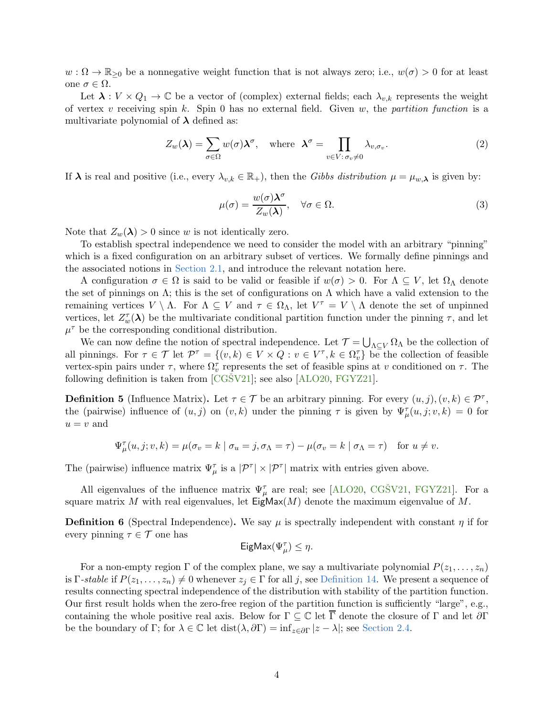$w: \Omega \to \mathbb{R}_{\geq 0}$  be a nonnegative weight function that is not always zero; i.e.,  $w(\sigma) > 0$  for at least one  $\sigma \in \Omega$ .

Let  $\lambda: V \times Q_1 \to \mathbb{C}$  be a vector of (complex) external fields; each  $\lambda_{v,k}$  represents the weight of vertex v receiving spin k. Spin 0 has no external field. Given w, the partition function is a multivariate polynomial of  $\lambda$  defined as:

<span id="page-4-1"></span>
$$
Z_w(\boldsymbol{\lambda}) = \sum_{\sigma \in \Omega} w(\sigma) \boldsymbol{\lambda}^{\sigma}, \quad \text{where} \quad \boldsymbol{\lambda}^{\sigma} = \prod_{v \in V : \sigma_v \neq 0} \lambda_{v, \sigma_v}.
$$
 (2)

If  $\lambda$  is real and positive (i.e., every  $\lambda_{v,k} \in \mathbb{R}_+$ ), then the Gibbs distribution  $\mu = \mu_{w,\lambda}$  is given by:

<span id="page-4-2"></span>
$$
\mu(\sigma) = \frac{w(\sigma)\lambda^{\sigma}}{Z_w(\lambda)}, \quad \forall \sigma \in \Omega.
$$
\n(3)

Note that  $Z_w(\lambda) > 0$  since w is not identically zero.

To establish spectral independence we need to consider the model with an arbitrary "pinning" which is a fixed configuration on an arbitrary subset of vertices. We formally define pinnings and the associated notions in [Section 2.1,](#page-7-0) and introduce the relevant notation here.

A configuration  $\sigma \in \Omega$  is said to be valid or feasible if  $w(\sigma) > 0$ . For  $\Lambda \subseteq V$ , let  $\Omega_{\Lambda}$  denote the set of pinnings on  $\Lambda$ ; this is the set of configurations on  $\Lambda$  which have a valid extension to the remaining vertices  $V \setminus \Lambda$ . For  $\Lambda \subseteq V$  and  $\tau \in \Omega_{\Lambda}$ , let  $V^{\tau} = V \setminus \Lambda$  denote the set of unpinned vertices, let  $Z_w^{\tau}(\lambda)$  be the multivariate conditional partition function under the pinning  $\tau$ , and let  $\mu^{\tau}$  be the corresponding conditional distribution.

We can now define the notion of spectral independence. Let  $\mathcal{T} = \bigcup_{\Lambda \subseteq V} \Omega_{\Lambda}$  be the collection of all pinnings. For  $\tau \in \mathcal{T}$  let  $\mathcal{P}^{\tau} = \{(v, k) \in V \times Q : v \in V^{\tau}, k \in \Omega_v^{\tau}\}\)$  be the collection of feasible vertex-spin pairs under  $\tau$ , where  $\Omega_v^{\tau}$  represents the set of feasible spins at v conditioned on  $\tau$ . The following definition is taken from  $[CGSV21]$ ; see also  $[ALO20, FGYZ21]$  $[ALO20, FGYZ21]$ .

**Definition 5** (Influence Matrix). Let  $\tau \in \mathcal{T}$  be an arbitrary pinning. For every  $(u, j), (v, k) \in \mathcal{P}^{\tau}$ , the (pairwise) influence of  $(u, j)$  on  $(v, k)$  under the pinning  $\tau$  is given by  $\Psi_{\mu}^{\tau}(u, j; v, k) = 0$  for  $u = v$  and

$$
\Psi_{\mu}^{\tau}(u,j;v,k) = \mu(\sigma_v = k \mid \sigma_u = j, \sigma_\Lambda = \tau) - \mu(\sigma_v = k \mid \sigma_\Lambda = \tau) \quad \text{for } u \neq v.
$$

The (pairwise) influence matrix  $\Psi_{\mu}^{\tau}$  is a  $|\mathcal{P}^{\tau}| \times |\mathcal{P}^{\tau}|$  matrix with entries given above.

All eigenvalues of the influence matrix  $\Psi_{\mu}^{\tau}$  are real; see [\[ALO20,](#page-33-1) CGŠV21, [FGYZ21\]](#page-34-3). For a square matrix M with real eigenvalues, let  $\text{EigMax}(M)$  denote the maximum eigenvalue of M.

**Definition 6** (Spectral Independence). We say  $\mu$  is spectrally independent with constant  $\eta$  if for every pinning  $\tau \in \mathcal{T}$  one has

$$
\mathsf{EigMax}(\Psi_{\mu}^{\tau}) \leq \eta.
$$

<span id="page-4-0"></span>For a non-empty region  $\Gamma$  of the complex plane, we say a multivariate polynomial  $P(z_1, \ldots, z_n)$ is  $\Gamma\text{-}stable$  if  $P(z_1,\ldots,z_n)\neq 0$  whenever  $z_i \in \Gamma$  for all j, see [Definition 14.](#page-8-0) We present a sequence of results connecting spectral independence of the distribution with stability of the partition function. Our first result holds when the zero-free region of the partition function is sufficiently "large", e.g., containing the whole positive real axis. Below for  $\Gamma \subseteq \mathbb{C}$  let  $\overline{\Gamma}$  denote the closure of  $\Gamma$  and let  $\partial \Gamma$ be the boundary of Γ; for  $\lambda \in \mathbb{C}$  let  $dist(\lambda, \partial \Gamma) = inf_{z \in \partial \Gamma} |z - \lambda|$ ; see [Section 2.4.](#page-8-1)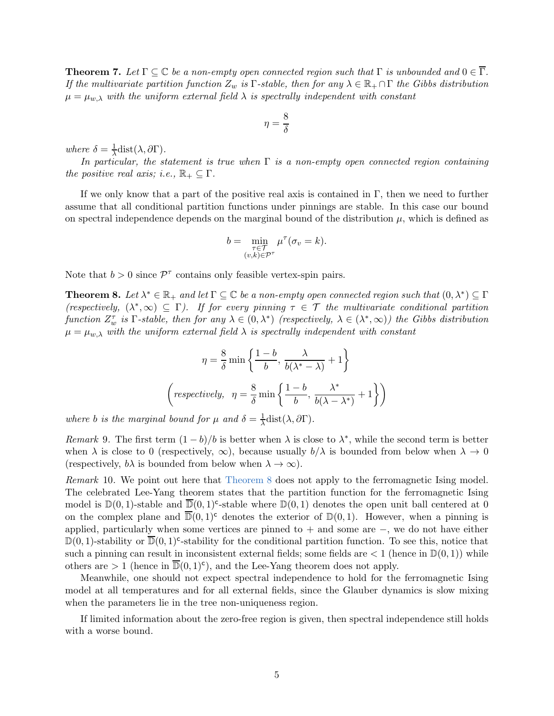**Theorem 7.** Let  $\Gamma \subseteq \mathbb{C}$  be a non-empty open connected region such that  $\Gamma$  is unbounded and  $0 \in \overline{\Gamma}$ . If the multivariate partition function  $Z_w$  is Γ-stable, then for any  $\lambda \in \mathbb{R}_+ \cap \Gamma$  the Gibbs distribution  $\mu = \mu_{w,\lambda}$  with the uniform external field  $\lambda$  is spectrally independent with constant

$$
\eta=\frac{8}{\delta}
$$

where  $\delta = \frac{1}{\lambda}$  $\frac{1}{\lambda}$ dist $(\lambda, \partial \Gamma)$ .

In particular, the statement is true when  $\Gamma$  is a non-empty open connected region containing the positive real axis; i.e.,  $\mathbb{R}_+ \subseteq \Gamma$ .

If we only know that a part of the positive real axis is contained in Γ, then we need to further assume that all conditional partition functions under pinnings are stable. In this case our bound on spectral independence depends on the marginal bound of the distribution  $\mu$ , which is defined as

$$
b = \min_{\substack{\tau \in \mathcal{T} \\ (v,k) \in \mathcal{P}^{\tau}}} \mu^{\tau}(\sigma_v = k).
$$

<span id="page-5-1"></span>Note that  $b > 0$  since  $\mathcal{P}^{\tau}$  contains only feasible vertex-spin pairs.

**Theorem 8.** Let  $\lambda^* \in \mathbb{R}_+$  and let  $\Gamma \subseteq \mathbb{C}$  be a non-empty open connected region such that  $(0, \lambda^*) \subseteq \Gamma$ (respectively,  $(\lambda^*, \infty) \subseteq \Gamma$ ). If for every pinning  $\tau \in \mathcal{T}$  the multivariate conditional partition function  $Z_w^{\tau}$  is  $\Gamma$ -stable, then for any  $\lambda \in (0, \lambda^*)$  (respectively,  $\lambda \in (\lambda^*, \infty)$ ) the Gibbs distribution  $\mu = \mu_{w,\lambda}$  with the uniform external field  $\lambda$  is spectrally independent with constant

$$
\eta = \frac{8}{\delta} \min \left\{ \frac{1 - b}{b}, \frac{\lambda}{b(\lambda^* - \lambda)} + 1 \right\}
$$

$$
\left( \text{respectively, } \eta = \frac{8}{\delta} \min \left\{ \frac{1 - b}{b}, \frac{\lambda^*}{b(\lambda - \lambda^*)} + 1 \right\} \right)
$$

where b is the marginal bound for  $\mu$  and  $\delta = \frac{1}{\lambda}$  $\frac{1}{\lambda}$ dist $(\lambda, \partial \Gamma)$ .

<span id="page-5-3"></span>Remark 9. The first term  $(1 - b)/b$  is better when  $\lambda$  is close to  $\lambda^*$ , while the second term is better when  $\lambda$  is close to 0 (respectively,  $\infty$ ), because usually  $b/\lambda$  is bounded from below when  $\lambda \to 0$ (respectively,  $b\lambda$  is bounded from below when  $\lambda \to \infty$ ).

<span id="page-5-0"></span>Remark 10. We point out here that [Theorem 8](#page-5-1) does not apply to the ferromagnetic Ising model. The celebrated Lee-Yang theorem states that the partition function for the ferromagnetic Ising model is  $\mathbb{D}(0,1)$ -stable and  $\overline{\mathbb{D}}(0,1)$ <sup>c</sup>-stable where  $\mathbb{D}(0,1)$  denotes the open unit ball centered at 0 on the complex plane and  $\overline{D}(0,1)^c$  denotes the exterior of  $D(0,1)$ . However, when a pinning is applied, particularly when some vertices are pinned to + and some are −, we do not have either  $\mathbb{D}(0,1)$ -stability or  $\overline{\mathbb{D}}(0,1)$ <sup>c</sup>-stability for the conditional partition function. To see this, notice that such a pinning can result in inconsistent external fields; some fields are  $\lt 1$  (hence in  $\mathbb{D}(0,1)$ ) while others are  $> 1$  (hence in  $\overline{D}(0,1)^c$ ), and the Lee-Yang theorem does not apply.

Meanwhile, one should not expect spectral independence to hold for the ferromagnetic Ising model at all temperatures and for all external fields, since the Glauber dynamics is slow mixing when the parameters lie in the tree non-uniqueness region.

<span id="page-5-2"></span>If limited information about the zero-free region is given, then spectral independence still holds with a worse bound.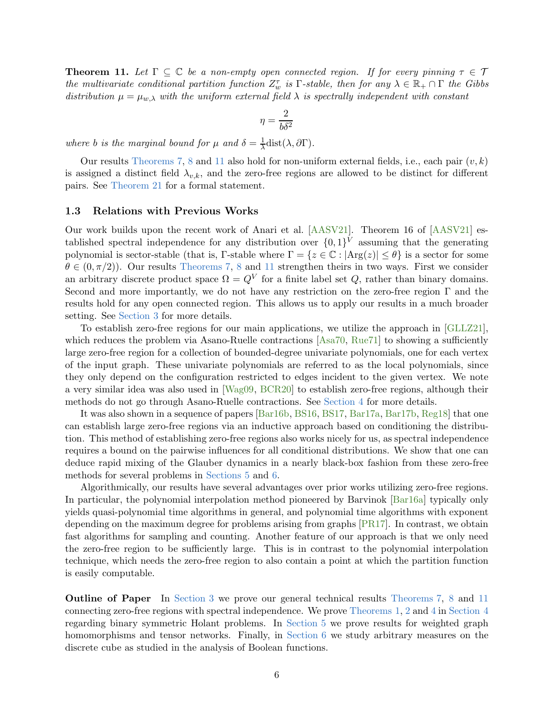**Theorem 11.** Let  $\Gamma \subseteq \mathbb{C}$  be a non-empty open connected region. If for every pinning  $\tau \in \mathcal{T}$ the multivariate conditional partition function  $Z_w^{\tau}$  is  $\Gamma$ -stable, then for any  $\lambda \in \mathbb{R}_+ \cap \Gamma$  the Gibbs distribution  $\mu = \mu_{w,\lambda}$  with the uniform external field  $\lambda$  is spectrally independent with constant

$$
\eta = \frac{2}{b\delta^2}
$$

where b is the marginal bound for  $\mu$  and  $\delta = \frac{1}{\lambda}$  $\frac{1}{\lambda}$ dist $(\lambda, \partial \Gamma)$ .

Our results [Theorems 7,](#page-4-0) [8](#page-5-1) and [11](#page-5-2) also hold for non-uniform external fields, i.e., each pair  $(v, k)$ is assigned a distinct field  $\lambda_{v,k}$ , and the zero-free regions are allowed to be distinct for different pairs. See [Theorem 21](#page-9-0) for a formal statement.

#### 1.3 Relations with Previous Works

Our work builds upon the recent work of Anari et al. [\[AASV21\]](#page-33-4). Theorem 16 of [\[AASV21\]](#page-33-4) established spectral independence for any distribution over  $\{0,1\}^V$  assuming that the generating polynomial is sector-stable (that is, Γ-stable where  $\Gamma = \{z \in \mathbb{C} : |\text{Arg}(z)| \leq \theta\}$  is a sector for some  $\theta \in (0, \pi/2)$ . Our results [Theorems 7,](#page-4-0) [8](#page-5-1) and [11](#page-5-2) strengthen theirs in two ways. First we consider an arbitrary discrete product space  $\Omega = Q^V$  for a finite label set Q, rather than binary domains. Second and more importantly, we do not have any restriction on the zero-free region Γ and the results hold for any open connected region. This allows us to apply our results in a much broader setting. See [Section 3](#page-9-1) for more details.

To establish zero-free regions for our main applications, we utilize the approach in [\[GLLZ21\]](#page-34-6), which reduces the problem via Asano-Ruelle contractions [\[Asa70,](#page-33-5) [Rue71\]](#page-35-8) to showing a sufficiently large zero-free region for a collection of bounded-degree univariate polynomials, one for each vertex of the input graph. These univariate polynomials are referred to as the local polynomials, since they only depend on the configuration restricted to edges incident to the given vertex. We note a very similar idea was also used in [\[Wag09,](#page-35-9) [BCR20\]](#page-33-3) to establish zero-free regions, although their methods do not go through Asano-Ruelle contractions. See [Section 4](#page-23-0) for more details.

It was also shown in a sequence of papers [\[Bar16b,](#page-33-6) [BS16,](#page-34-10) [BS17,](#page-34-11) [Bar17a,](#page-33-7) [Bar17b,](#page-33-8) [Reg18\]](#page-35-10) that one can establish large zero-free regions via an inductive approach based on conditioning the distribution. This method of establishing zero-free regions also works nicely for us, as spectral independence requires a bound on the pairwise influences for all conditional distributions. We show that one can deduce rapid mixing of the Glauber dynamics in a nearly black-box fashion from these zero-free methods for several problems in [Sections 5](#page-28-0) and [6.](#page-31-0)

Algorithmically, our results have several advantages over prior works utilizing zero-free regions. In particular, the polynomial interpolation method pioneered by Barvinok [\[Bar16a\]](#page-33-0) typically only yields quasi-polynomial time algorithms in general, and polynomial time algorithms with exponent depending on the maximum degree for problems arising from graphs [\[PR17\]](#page-35-1). In contrast, we obtain fast algorithms for sampling and counting. Another feature of our approach is that we only need the zero-free region to be sufficiently large. This is in contrast to the polynomial interpolation technique, which needs the zero-free region to also contain a point at which the partition function is easily computable.

Outline of Paper In [Section 3](#page-9-1) we prove our general technical results [Theorems 7,](#page-4-0) [8](#page-5-1) and [11](#page-5-2) connecting zero-free regions with spectral independence. We prove [Theorems 1,](#page-2-0) [2](#page-3-0) and [4](#page-3-1) in [Section 4](#page-23-0) regarding binary symmetric Holant problems. In [Section 5](#page-28-0) we prove results for weighted graph homomorphisms and tensor networks. Finally, in [Section 6](#page-31-0) we study arbitrary measures on the discrete cube as studied in the analysis of Boolean functions.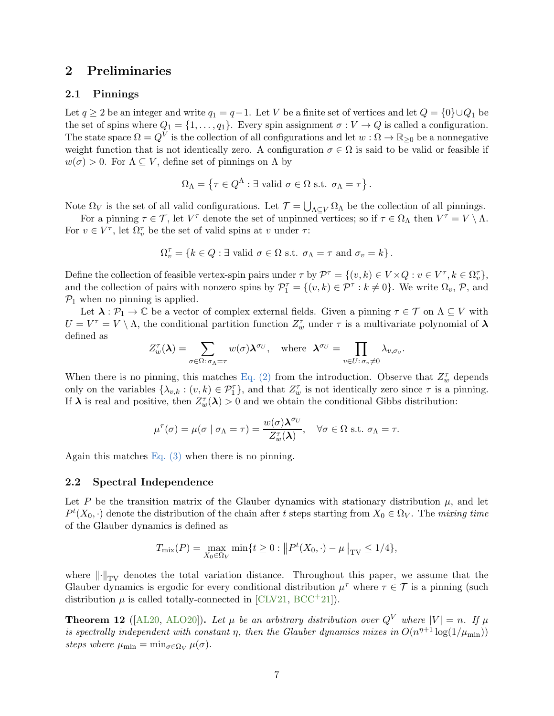# <span id="page-7-0"></span>2 Preliminaries

# 2.1 Pinnings

Let  $q \ge 2$  be an integer and write  $q_1 = q-1$ . Let V be a finite set of vertices and let  $Q = \{0\} \cup Q_1$  be the set of spins where  $Q_1 = \{1, \ldots, q_1\}$ . Every spin assignment  $\sigma : V \to Q$  is called a configuration. The state space  $\Omega = Q^V$  is the collection of all configurations and let  $w : \Omega \to \mathbb{R}_{\geq 0}$  be a nonnegative weight function that is not identically zero. A configuration  $\sigma \in \Omega$  is said to be valid or feasible if  $w(\sigma) > 0$ . For  $\Lambda \subseteq V$ , define set of pinnings on  $\Lambda$  by

$$
\Omega_{\Lambda} = \left\{ \tau \in Q^{\Lambda} : \exists \text{ valid } \sigma \in \Omega \text{ s.t. } \sigma_{\Lambda} = \tau \right\}.
$$

Note  $\Omega_V$  is the set of all valid configurations. Let  $\mathcal{T} = \bigcup_{\Lambda \subseteq V} \Omega_{\Lambda}$  be the collection of all pinnings.

For a pinning  $\tau \in \mathcal{T}$ , let  $V^{\tau}$  denote the set of unpinned vertices; so if  $\tau \in \Omega_{\Lambda}$  then  $V^{\tau} = V \setminus \Lambda$ . For  $v \in V^{\tau}$ , let  $\Omega_{v}^{\tau}$  be the set of valid spins at v under  $\tau$ :

$$
\Omega_v^{\tau} = \{ k \in Q : \exists \text{ valid } \sigma \in \Omega \text{ s.t. } \sigma_{\Lambda} = \tau \text{ and } \sigma_v = k \}.
$$

Define the collection of feasible vertex-spin pairs under  $\tau$  by  $\mathcal{P}^{\tau} = \{(v, k) \in V \times Q : v \in V^{\tau}, k \in \Omega_v^{\tau}\},\$ and the collection of pairs with nonzero spins by  $\mathcal{P}_1^{\tau} = \{(v, k) \in \mathcal{P}^{\tau} : k \neq 0\}$ . We write  $\Omega_v, \mathcal{P}$ , and  $\mathcal{P}_1$  when no pinning is applied.

Let  $\lambda : \mathcal{P}_1 \to \mathbb{C}$  be a vector of complex external fields. Given a pinning  $\tau \in \mathcal{T}$  on  $\Lambda \subseteq V$  with  $U = V^{\tau} = V \setminus \Lambda$ , the conditional partition function  $Z_{w}^{\tau}$  under  $\tau$  is a multivariate polynomial of  $\lambda$ defined as

$$
Z_w^{\tau}(\boldsymbol{\lambda}) = \sum_{\sigma \in \Omega: \sigma_{\Lambda} = \tau} w(\sigma) \boldsymbol{\lambda}^{\sigma_U}, \text{ where } \boldsymbol{\lambda}^{\sigma_U} = \prod_{v \in U: \sigma_v \neq 0} \lambda_{v, \sigma_v}.
$$

When there is no pinning, this matches [Eq. \(2\)](#page-4-1) from the introduction. Observe that  $Z_w^{\tau}$  depends only on the variables  $\{\lambda_{v,k} : (v,k) \in \mathcal{P}_1^{\tau}\}\$ , and that  $Z_w^{\tau}$  is not identically zero since  $\tau$  is a pinning. If  $\lambda$  is real and positive, then  $Z_w^{\tau}(\lambda) > 0$  and we obtain the conditional Gibbs distribution:

$$
\mu^{\tau}(\sigma) = \mu(\sigma \mid \sigma_{\Lambda} = \tau) = \frac{w(\sigma) \lambda^{\sigma_U}}{Z_{w}^{\tau}(\lambda)}, \quad \forall \sigma \in \Omega \text{ s.t. } \sigma_{\Lambda} = \tau.
$$

Again this matches Eq.  $(3)$  when there is no pinning.

### 2.2 Spectral Independence

Let P be the transition matrix of the Glauber dynamics with stationary distribution  $\mu$ , and let  $P^t(X_0, \cdot)$  denote the distribution of the chain after t steps starting from  $X_0 \in \Omega_V$ . The mixing time of the Glauber dynamics is defined as

$$
T_{\text{mix}}(P) = \max_{X_0 \in \Omega_V} \min\{t \ge 0 : ||P^t(X_0, \cdot) - \mu||_{\text{TV}} \le 1/4\},\
$$

where  $\|\cdot\|_{TV}$  denotes the total variation distance. Throughout this paper, we assume that the Glauber dynamics is ergodic for every conditional distribution  $\mu^{\tau}$  where  $\tau \in \mathcal{T}$  is a pinning (such distribution  $\mu$  is called totally-connected in [\[CLV21,](#page-34-0) [BCC](#page-33-2)<sup>+</sup>21]).

<span id="page-7-1"></span>**Theorem 12** ([\[AL20,](#page-33-9) [ALO20\]](#page-33-1)). Let  $\mu$  be an arbitrary distribution over  $Q^V$  where  $|V| = n$ . If  $\mu$ is spectrally independent with constant  $\eta$ , then the Glauber dynamics mixes in  $O(n^{\eta+1} \log(1/\mu_{\min}))$ steps where  $\mu_{\min} = \min_{\sigma \in \Omega_V} \mu(\sigma)$ .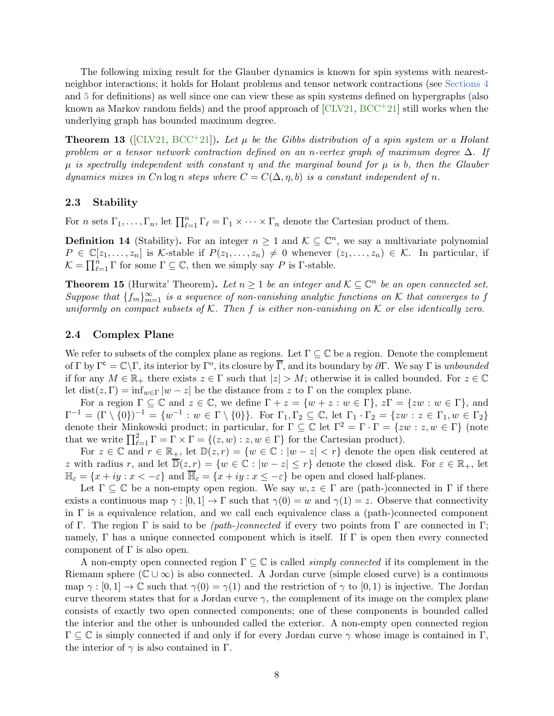The following mixing result for the Glauber dynamics is known for spin systems with nearestneighbor interactions; it holds for Holant problems and tensor network contractions (see [Sections 4](#page-23-0) and [5](#page-28-0) for definitions) as well since one can view these as spin systems defined on hypergraphs (also known as Markov random fields) and the proof approach of  $\text{[CLV21, BCC}^+21]$  $\text{[CLV21, BCC}^+21]$  $\text{[CLV21, BCC}^+21]$  still works when the underlying graph has bounded maximum degree.

<span id="page-8-3"></span>**Theorem 13** ([\[CLV21,](#page-34-0) [BCC](#page-33-2)<sup>+</sup>21]). Let  $\mu$  be the Gibbs distribution of a spin system or a Holant problem or a tensor network contraction defined on an n-vertex graph of maximum degree  $\Delta$ . If  $\mu$  is spectrally independent with constant  $\eta$  and the marginal bound for  $\mu$  is b, then the Glauber dynamics mixes in Cn log n steps where  $C = C(\Delta, \eta, b)$  is a constant independent of n.

### 2.3 Stability

<span id="page-8-0"></span>For *n* sets  $\Gamma_1, \ldots, \Gamma_n$ , let  $\prod_{\ell=1}^n \Gamma_\ell = \Gamma_1 \times \cdots \times \Gamma_n$  denote the Cartesian product of them.

**Definition 14** (Stability). For an integer  $n \geq 1$  and  $K \subseteq \mathbb{C}^n$ , we say a multivariate polynomial  $P \in \mathbb{C}[z_1,\ldots,z_n]$  is K-stable if  $P(z_1,\ldots,z_n) \neq 0$  whenever  $(z_1,\ldots,z_n) \in \mathcal{K}$ . In particular, if  $\mathcal{K} = \prod_{\ell=1}^n \Gamma$  for some  $\Gamma \subseteq \mathbb{C}$ , then we simply say P is  $\Gamma$ -stable.

<span id="page-8-2"></span>**Theorem 15** (Hurwitz' Theorem). Let  $n \geq 1$  be an integer and  $K \subseteq \mathbb{C}^n$  be an open connected set. Suppose that  $\{f_m\}_{m=1}^{\infty}$  is a sequence of non-vanishing analytic functions on K that converges to f uniformly on compact subsets of  $K$ . Then f is either non-vanishing on  $K$  or else identically zero.

### <span id="page-8-1"></span>2.4 Complex Plane

We refer to subsets of the complex plane as regions. Let  $\Gamma \subseteq \mathbb{C}$  be a region. Denote the complement of  $\Gamma$  by  $\Gamma^c = \mathbb{C}\setminus\Gamma$ , its interior by  $\Gamma^o$ , its closure by  $\overline{\Gamma}$ , and its boundary by  $\partial\Gamma$ . We say  $\Gamma$  is unbounded if for any  $M \in \mathbb{R}_+$  there exists  $z \in \Gamma$  such that  $|z| > M$ ; otherwise it is called bounded. For  $z \in \mathbb{C}$ let dist( $z, \Gamma$ ) = inf<sub>w∈Γ</sub> |w - z| be the distance from z to Γ on the complex plane.

For a region  $\Gamma \subseteq \mathbb{C}$  and  $z \in \mathbb{C}$ , we define  $\Gamma + z = \{w + z : w \in \Gamma\}$ ,  $z\Gamma = \{zw : w \in \Gamma\}$ , and  $\Gamma^{-1} = (\Gamma \setminus \{0\})^{-1} = \{w^{-1} : w \in \Gamma \setminus \{0\}\}.$  For  $\Gamma_1, \Gamma_2 \subseteq \mathbb{C}$ , let  $\Gamma_1 \cdot \Gamma_2 = \{zw : z \in \Gamma_1, w \in \Gamma_2\}$ denote their Minkowski product; in particular, for  $\Gamma \subseteq \mathbb{C}$  let  $\Gamma^2 = \Gamma \cdot \Gamma = \{zw : z, w \in \Gamma\}$  (note that we write  $\prod_{\ell=1}^2 \Gamma = \Gamma \times \Gamma = \{(z,w) : z, w \in \Gamma\}$  for the Cartesian product).

For  $z \in \mathbb{C}$  and  $r \in \mathbb{R}_+$ , let  $\mathbb{D}(z,r) = \{w \in \mathbb{C} : |w - z| < r\}$  denote the open disk centered at z with radius r, and let  $\overline{\mathbb{D}}(z,r) = \{w \in \mathbb{C} : |w - z| \leq r\}$  denote the closed disk. For  $\varepsilon \in \mathbb{R}_+$ , let  $\mathbb{H}_{\varepsilon} = \{x + iy : x < -\varepsilon\}$  and  $\overline{\mathbb{H}}_{\varepsilon} = \{x + iy : x \leq -\varepsilon\}$  be open and closed half-planes.

Let  $\Gamma \subset \mathbb{C}$  be a non-empty open region. We say  $w, z \in \Gamma$  are (path-)connected in  $\Gamma$  if there exists a continuous map  $\gamma : [0,1] \to \Gamma$  such that  $\gamma(0) = w$  and  $\gamma(1) = z$ . Observe that connectivity in  $\Gamma$  is a equivalence relation, and we call each equivalence class a (path-)connected component of Γ. The region Γ is said to be (*path-)connected* if every two points from Γ are connected in Γ; namely,  $\Gamma$  has a unique connected component which is itself. If  $\Gamma$  is open then every connected component of  $\Gamma$  is also open.

A non-empty open connected region  $\Gamma \subseteq \mathbb{C}$  is called *simply connected* if its complement in the Riemann sphere ( $\mathbb{C} \cup \infty$ ) is also connected. A Jordan curve (simple closed curve) is a continuous map  $\gamma : [0,1] \to \mathbb{C}$  such that  $\gamma(0) = \gamma(1)$  and the restriction of  $\gamma$  to  $[0,1]$  is injective. The Jordan curve theorem states that for a Jordan curve  $\gamma$ , the complement of its image on the complex plane consists of exactly two open connected components; one of these components is bounded called the interior and the other is unbounded called the exterior. A non-empty open connected region  $\Gamma \subseteq \mathbb{C}$  is simply connected if and only if for every Jordan curve  $\gamma$  whose image is contained in  $\Gamma$ , the interior of  $\gamma$  is also contained in  $\Gamma$ .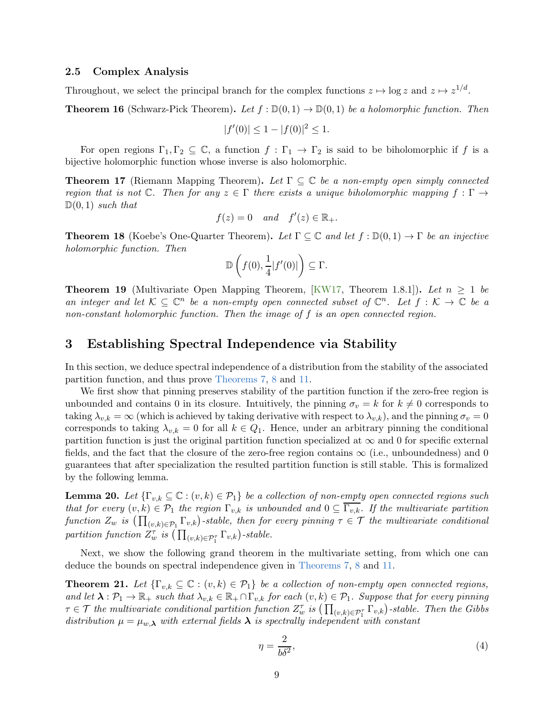### 2.5 Complex Analysis

<span id="page-9-2"></span>Throughout, we select the principal branch for the complex functions  $z \mapsto \log z$  and  $z \mapsto z^{1/d}$ .

**Theorem 16** (Schwarz-Pick Theorem). Let  $f : \mathbb{D}(0,1) \to \mathbb{D}(0,1)$  be a holomorphic function. Then

$$
|f'(0)| \le 1 - |f(0)|^2 \le 1.
$$

<span id="page-9-3"></span>For open regions  $\Gamma_1, \Gamma_2 \subseteq \mathbb{C}$ , a function  $f : \Gamma_1 \to \Gamma_2$  is said to be biholomorphic if f is a bijective holomorphic function whose inverse is also holomorphic.

**Theorem 17** (Riemann Mapping Theorem). Let  $\Gamma \subset \mathbb{C}$  be a non-empty open simply connected region that is not  $\mathbb{C}$ . Then for any  $z \in \Gamma$  there exists a unique biholomorphic mapping  $f : \Gamma \to$  $\mathbb{D}(0,1)$  such that

$$
f(z) = 0 \quad and \quad f'(z) \in \mathbb{R}_+.
$$

<span id="page-9-6"></span>**Theorem 18** (Koebe's One-Quarter Theorem). Let  $\Gamma \subseteq \mathbb{C}$  and let  $f : \mathbb{D}(0,1) \to \Gamma$  be an injective holomorphic function. Then

$$
\mathbb{D}\left(f(0),\frac{1}{4}|f'(0)|\right)\subseteq \Gamma.
$$

<span id="page-9-7"></span>**Theorem 19** (Multivariate Open Mapping Theorem, [\[KW17,](#page-35-11) Theorem 1.8.1]). Let  $n > 1$  be an integer and let  $\mathcal{K} \subseteq \mathbb{C}^n$  be a non-empty open connected subset of  $\mathbb{C}^n$ . Let  $f : \mathcal{K} \to \mathbb{C}$  be a non-constant holomorphic function. Then the image of f is an open connected region.

# <span id="page-9-1"></span>3 Establishing Spectral Independence via Stability

In this section, we deduce spectral independence of a distribution from the stability of the associated partition function, and thus prove [Theorems 7,](#page-4-0) [8](#page-5-1) and [11.](#page-5-2)

We first show that pinning preserves stability of the partition function if the zero-free region is unbounded and contains 0 in its closure. Intuitively, the pinning  $\sigma_v = k$  for  $k \neq 0$  corresponds to taking  $\lambda_{v,k} = \infty$  (which is achieved by taking derivative with respect to  $\lambda_{v,k}$ ), and the pinning  $\sigma_v = 0$ corresponds to taking  $\lambda_{v,k} = 0$  for all  $k \in Q_1$ . Hence, under an arbitrary pinning the conditional partition function is just the original partition function specialized at  $\infty$  and 0 for specific external fields, and the fact that the closure of the zero-free region contains  $\infty$  (i.e., unboundedness) and 0 guarantees that after specialization the resulted partition function is still stable. This is formalized by the following lemma.

<span id="page-9-4"></span>**Lemma 20.** Let  $\{\Gamma_{v,k} \subseteq \mathbb{C} : (v,k) \in \mathcal{P}_1\}$  be a collection of non-empty open connected regions such that for every  $(v, k) \in \mathcal{P}_1$  the region  $\Gamma_{v,k}$  is unbounded and  $0 \subseteq \overline{\Gamma_{v,k}}$ . If the multivariate partition function  $Z_w$  is  $(\prod_{(v,k)\in \mathcal{P}_1} \Gamma_{v,k})$ -stable, then for every pinning  $\tau \in \mathcal{T}$  the multivariate conditional partition function  $Z_{w}^{\tau}$  is  $(\prod_{(v,k)\in \mathcal{P}_{1}^{\tau}} \Gamma_{v,k})$ -stable.

<span id="page-9-0"></span>Next, we show the following grand theorem in the multivariate setting, from which one can deduce the bounds on spectral independence given in [Theorems 7,](#page-4-0) [8](#page-5-1) and [11.](#page-5-2)

**Theorem 21.** Let  $\{\Gamma_{v,k} \subseteq \mathbb{C} : (v,k) \in \mathcal{P}_1\}$  be a collection of non-empty open connected regions, and let  $\lambda : \mathcal{P}_1 \to \mathbb{R}_+$  such that  $\lambda_{v,k} \in \mathbb{R}_+ \cap \Gamma_{v,k}$  for each  $(v,k) \in \mathcal{P}_1$ . Suppose that for every pinning  $\tau \in \mathcal{T}$  the multivariate conditional partition function  $Z_w^{\tau}$  is  $(\prod_{(v,k)\in \mathcal{P}_1^{\tau}} \Gamma_{v,k})$ -stable. Then the Gibbs distribution  $\mu = \mu_{w,\lambda}$  with external fields  $\lambda$  is spectrally independent with constant

<span id="page-9-5"></span>
$$
\eta = \frac{2}{b\delta^2},\tag{4}
$$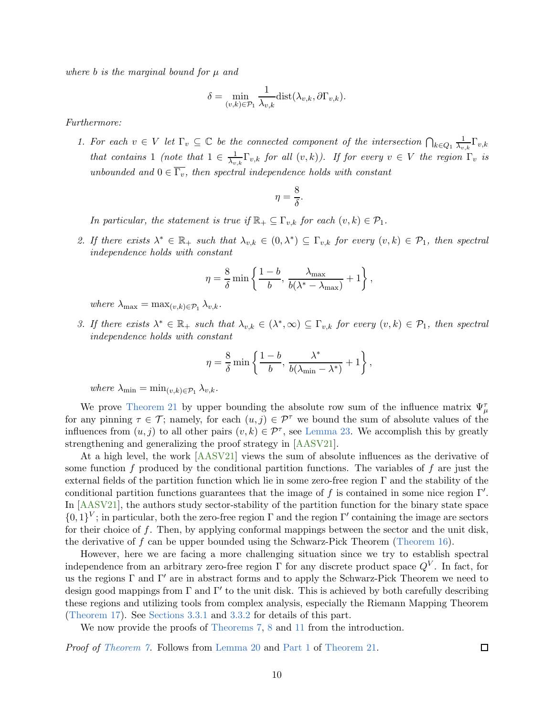where b is the marginal bound for  $\mu$  and

$$
\delta = \min_{(v,k)\in\mathcal{P}_1} \frac{1}{\lambda_{v,k}} \text{dist}(\lambda_{v,k}, \partial \Gamma_{v,k}).
$$

<span id="page-10-0"></span>Furthermore:

1. For each  $v \in V$  let  $\Gamma_v \subseteq \mathbb{C}$  be the connected component of the intersection  $\bigcap_{k \in Q_1} \frac{1}{\lambda_v}$  $\frac{1}{\lambda_{v,k}}\Gamma_{v,k}$ that contains 1 (note that  $1 \in \frac{1}{\lambda_v}$  $\frac{1}{\lambda_{v,k}}\Gamma_{v,k}$  for all  $(v,k)$ ). If for every  $v \in V$  the region  $\Gamma_v$  is unbounded and  $0 \in \overline{\Gamma_v}$ , then spectral independence holds with constant

$$
\eta = \frac{8}{\delta}.
$$

In particular, the statement is true if  $\mathbb{R}_+ \subseteq \Gamma_{v,k}$  for each  $(v,k) \in \mathcal{P}_1$ .

<span id="page-10-1"></span>2. If there exists  $\lambda^* \in \mathbb{R}_+$  such that  $\lambda_{v,k} \in (0,\lambda^*) \subseteq \Gamma_{v,k}$  for every  $(v,k) \in \mathcal{P}_1$ , then spectral independence holds with constant

$$
\eta = \frac{8}{\delta} \min \left\{ \frac{1 - b}{b}, \frac{\lambda_{\max}}{b(\lambda^* - \lambda_{\max})} + 1 \right\},\,
$$

where  $\lambda_{\max} = \max_{(v,k)\in\mathcal{P}_1} \lambda_{v,k}$ .

<span id="page-10-2"></span>3. If there exists  $\lambda^* \in \mathbb{R}_+$  such that  $\lambda_{v,k} \in (\lambda^*, \infty) \subseteq \Gamma_{v,k}$  for every  $(v,k) \in \mathcal{P}_1$ , then spectral independence holds with constant

$$
\eta = \frac{8}{\delta} \min \left\{ \frac{1-b}{b}, \frac{\lambda^*}{b(\lambda_{\min} - \lambda^*)} + 1 \right\},\,
$$

where  $\lambda_{\min} = \min_{(v,k)\in\mathcal{P}_1} \lambda_{v,k}$ .

We prove [Theorem 21](#page-9-0) by upper bounding the absolute row sum of the influence matrix  $\Psi_{\mu}^{\tau}$ for any pinning  $\tau \in \mathcal{T}$ ; namely, for each  $(u, j) \in \mathcal{P}^{\tau}$  we bound the sum of absolute values of the influences from  $(u, j)$  to all other pairs  $(v, k) \in \mathcal{P}^{\tau}$ , see [Lemma 23.](#page-12-0) We accomplish this by greatly strengthening and generalizing the proof strategy in [\[AASV21\]](#page-33-4).

At a high level, the work [\[AASV21\]](#page-33-4) views the sum of absolute influences as the derivative of some function f produced by the conditional partition functions. The variables of f are just the external fields of the partition function which lie in some zero-free region Γ and the stability of the conditional partition functions guarantees that the image of f is contained in some nice region  $\Gamma'$ . In [\[AASV21\]](#page-33-4), the authors study sector-stability of the partition function for the binary state space  $\{0,1\}^V$ ; in particular, both the zero-free region  $\Gamma$  and the region  $\Gamma'$  containing the image are sectors for their choice of f. Then, by applying conformal mappings between the sector and the unit disk, the derivative of  $f$  can be upper bounded using the Schwarz-Pick Theorem [\(Theorem 16\)](#page-9-2).

However, here we are facing a more challenging situation since we try to establish spectral independence from an arbitrary zero-free region  $\Gamma$  for any discrete product space  $Q^V$ . In fact, for us the regions  $\Gamma$  and  $\Gamma'$  are in abstract forms and to apply the Schwarz-Pick Theorem we need to design good mappings from Γ and Γ′ to the unit disk. This is achieved by both carefully describing these regions and utilizing tools from complex analysis, especially the Riemann Mapping Theorem [\(Theorem 17\)](#page-9-3). See [Sections 3.3.1](#page-17-0) and [3.3.2](#page-21-0) for details of this part.

We now provide the proofs of [Theorems 7,](#page-4-0) [8](#page-5-1) and [11](#page-5-2) from the introduction.

Proof of [Theorem 7.](#page-4-0) Follows from [Lemma 20](#page-9-4) and [Part 1](#page-10-0) of [Theorem 21.](#page-9-0)

 $\Box$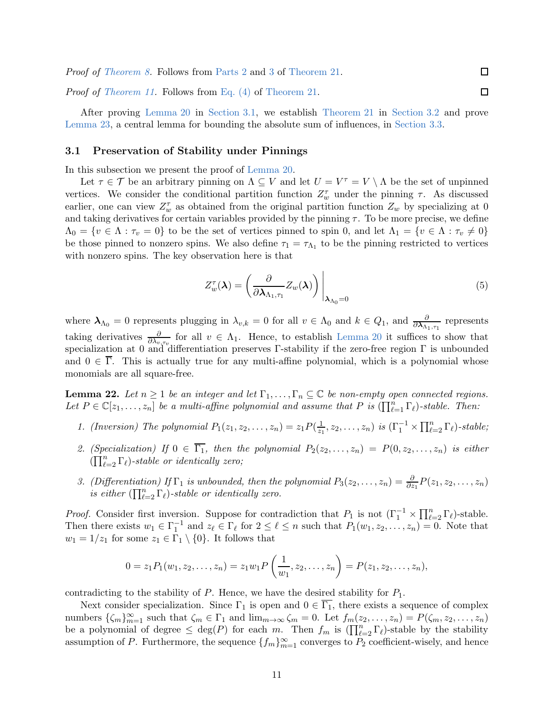Proof of [Theorem 8.](#page-5-1) Follows from [Parts 2](#page-10-1) and [3](#page-10-2) of [Theorem 21.](#page-9-0)

Proof of [Theorem 11.](#page-5-2) Follows from [Eq. \(4\)](#page-9-5) of [Theorem 21.](#page-9-0)

After proving [Lemma 20](#page-9-4) in [Section 3.1,](#page-11-0) we establish [Theorem 21](#page-9-0) in [Section 3.2](#page-12-1) and prove [Lemma 23,](#page-12-0) a central lemma for bounding the absolute sum of influences, in [Section 3.3.](#page-16-0)

# <span id="page-11-0"></span>3.1 Preservation of Stability under Pinnings

In this subsection we present the proof of [Lemma 20.](#page-9-4)

Let  $\tau \in \mathcal{T}$  be an arbitrary pinning on  $\Lambda \subseteq V$  and let  $U = V^{\tau} = V \setminus \Lambda$  be the set of unpinned vertices. We consider the conditional partition function  $Z_w^{\tau}$  under the pinning  $\tau$ . As discussed earlier, one can view  $Z_w^{\tau}$  as obtained from the original partition function  $Z_w$  by specializing at 0 and taking derivatives for certain variables provided by the pinning  $\tau$ . To be more precise, we define  $\Lambda_0 = \{v \in \Lambda : \tau_v = 0\}$  to be the set of vertices pinned to spin 0, and let  $\Lambda_1 = \{v \in \Lambda : \tau_v \neq 0\}$ be those pinned to nonzero spins. We also define  $\tau_1 = \tau_{\Lambda_1}$  to be the pinning restricted to vertices with nonzero spins. The key observation here is that

<span id="page-11-2"></span>
$$
Z_w^{\tau}(\lambda) = \left(\frac{\partial}{\partial \lambda_{\Lambda_1, \tau_1}} Z_w(\lambda)\right)\Big|_{\lambda_{\Lambda_0} = 0} \tag{5}
$$

 $\Box$ 

 $\Box$ 

where  $\lambda_{\Lambda_0} = 0$  represents plugging in  $\lambda_{v,k} = 0$  for all  $v \in \Lambda_0$  and  $k \in Q_1$ , and  $\frac{\partial}{\partial \lambda_{\Lambda_1,\tau_1}}$  represents taking derivatives  $\frac{\partial}{\partial \lambda_{v,\tau_v}}$  for all  $v \in \Lambda_1$ . Hence, to establish [Lemma 20](#page-9-4) it suffices to show that specialization at 0 and differentiation preserves  $\Gamma$ -stability if the zero-free region  $\Gamma$  is unbounded and  $0 \in \overline{\Gamma}$ . This is actually true for any multi-affine polynomial, which is a polynomial whose monomials are all square-free.

<span id="page-11-1"></span>**Lemma 22.** Let  $n \geq 1$  be an integer and let  $\Gamma_1, \ldots, \Gamma_n \subseteq \mathbb{C}$  be non-empty open connected regions. Let  $P \in \mathbb{C}[z_1,\ldots,z_n]$  be a multi-affine polynomial and assume that P is  $(\prod_{\ell=1}^n \Gamma_\ell)$ -stable. Then:

- 1. (Inversion) The polynomial  $P_1(z_1, z_2, \ldots, z_n) = z_1 P(\frac{1}{z_1})$  $\frac{1}{z_1}, z_2, \ldots, z_n)$  is  $(\Gamma_1^{-1} \times \prod_{\ell=2}^n \Gamma_\ell)$ -stable;
- 2. (Specialization) If  $0 \in \overline{\Gamma_1}$ , then the polynomial  $P_2(z_2, \ldots, z_n) = P(0, z_2, \ldots, z_n)$  is either  $(\prod_{\ell=2}^n \Gamma_\ell)$ -stable or identically zero;
- 3. (Differentiation) If  $\Gamma_1$  is unbounded, then the polynomial  $P_3(z_2, \ldots, z_n) = \frac{\partial}{\partial z_1} P(z_1, z_2, \ldots, z_n)$ is either  $(\prod_{\ell=2}^n \Gamma_\ell)$ -stable or identically zero.

*Proof.* Consider first inversion. Suppose for contradiction that  $P_1$  is not  $(\Gamma_1^{-1} \times \prod_{\ell=2}^n \Gamma_\ell)$ -stable. Then there exists  $w_1 \in \Gamma_1^{-1}$  and  $z_\ell \in \Gamma_\ell$  for  $2 \leq \ell \leq n$  such that  $P_1(w_1, z_2, \ldots, z_n) = 0$ . Note that  $w_1 = 1/z_1$  for some  $z_1 \in \Gamma_1 \setminus \{0\}$ . It follows that

$$
0 = z_1 P_1(w_1, z_2, \dots, z_n) = z_1 w_1 P\left(\frac{1}{w_1}, z_2, \dots, z_n\right) = P(z_1, z_2, \dots, z_n),
$$

contradicting to the stability of P. Hence, we have the desired stability for  $P_1$ .

Next consider specialization. Since  $\Gamma_1$  is open and  $0 \in \overline{\Gamma_1}$ , there exists a sequence of complex numbers  $\{\zeta_m\}_{m=1}^{\infty}$  such that  $\zeta_m \in \Gamma_1$  and  $\lim_{m\to\infty} \zeta_m = 0$ . Let  $f_m(z_2,\ldots,z_n) = P(\zeta_m, z_2,\ldots,z_n)$ be a polynomial of degree  $\leq$  deg(P) for each m. Then  $f_m$  is  $(\prod_{\ell=2}^n \Gamma_\ell)$ -stable by the stability assumption of P. Furthermore, the sequence  $\{f_m\}_{m=1}^{\infty}$  converges to  $P_2$  coefficient-wisely, and hence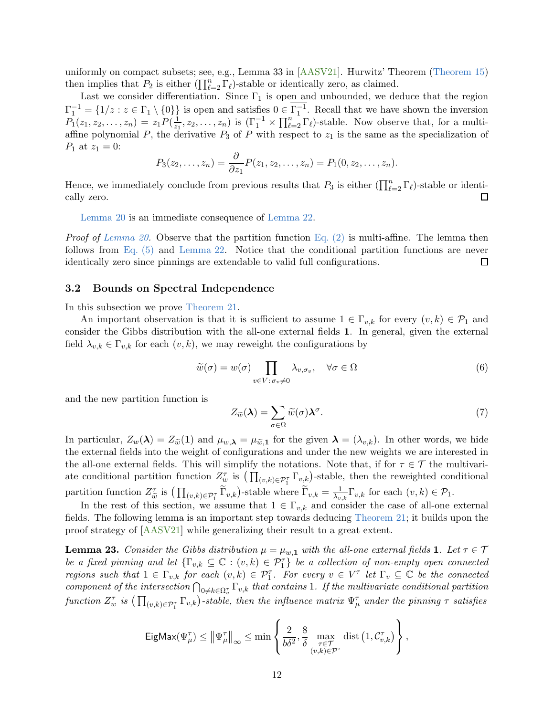uniformly on compact subsets; see, e.g., Lemma 33 in [\[AASV21\]](#page-33-4). Hurwitz' Theorem [\(Theorem 15\)](#page-8-2) then implies that  $P_2$  is either  $(\prod_{\ell=2}^n \Gamma_\ell)$ -stable or identically zero, as claimed.

Last we consider differentiation. Since  $\Gamma_1$  is open and unbounded, we deduce that the region  $\Gamma_1^{-1} = \{1/z : z \in \Gamma_1 \setminus \{0\}\}\$ is open and satisfies  $0 \in \Gamma_1^{-1}$ . Recall that we have shown the inversion 1  $P_1(z_1, z_2, \ldots, z_n) = z_1 P(\frac{1}{z_1})$  $\frac{1}{z_1}, z_2, \ldots, z_n$ ) is  $(\Gamma_1^{-1} \times \prod_{\ell=2}^n \Gamma_\ell)$ -stable. Now observe that, for a multiaffine polynomial P, the derivative  $P_3$  of P with respect to  $z_1$  is the same as the specialization of  $P_1$  at  $z_1 = 0$ :

$$
P_3(z_2,...,z_n) = \frac{\partial}{\partial z_1} P(z_1, z_2,..., z_n) = P_1(0, z_2,..., z_n).
$$

Hence, we immediately conclude from previous results that  $P_3$  is either  $(\prod_{\ell=2}^n \Gamma_\ell)$ -stable or identically zero.  $\Box$ 

[Lemma 20](#page-9-4) is an immediate consequence of [Lemma 22.](#page-11-1)

*Proof of [Lemma 20.](#page-9-4)* Observe that the partition function [Eq. \(2\)](#page-4-1) is multi-affine. The lemma then follows from [Eq. \(5\)](#page-11-2) and [Lemma 22.](#page-11-1) Notice that the conditional partition functions are never identically zero since pinnings are extendable to valid full configurations.  $\Box$ 

# <span id="page-12-1"></span>3.2 Bounds on Spectral Independence

In this subsection we prove [Theorem 21.](#page-9-0)

An important observation is that it is sufficient to assume  $1 \in \Gamma_{v,k}$  for every  $(v,k) \in \mathcal{P}_1$  and consider the Gibbs distribution with the all-one external fields 1. In general, given the external field  $\lambda_{v,k} \in \Gamma_{v,k}$  for each  $(v, k)$ , we may reweight the configurations by

<span id="page-12-2"></span>
$$
\widetilde{w}(\sigma) = w(\sigma) \prod_{v \in V : \sigma_v \neq 0} \lambda_{v, \sigma_v}, \quad \forall \sigma \in \Omega
$$
\n(6)

and the new partition function is

<span id="page-12-3"></span>
$$
Z_{\widetilde{w}}(\lambda) = \sum_{\sigma \in \Omega} \widetilde{w}(\sigma) \lambda^{\sigma}.
$$
 (7)

In particular,  $Z_w(\lambda) = Z_{\tilde{w}}(1)$  and  $\mu_{w,\lambda} = \mu_{\tilde{w},1}$  for the given  $\lambda = (\lambda_{v,k})$ . In other words, we hide the external fields into the weight of configurations and under the new weights we are interested in the all-one external fields. This will simplify the notations. Note that, if for  $\tau \in \mathcal{T}$  the multivariate conditional partition function  $Z_w^{\tau}$  is  $(\prod_{(v,k)\in \mathcal{P}_1^{\tau}} \Gamma_{v,k})$ -stable, then the reweighted conditional partition function  $Z_{\tilde{w}}^{\tau}$  is  $\left(\prod_{(v,k)\in\mathcal{P}_1^{\tau}} \tilde{\Gamma}_{v,k}\right)$ -stable where  $\tilde{\Gamma}_{v,k} = \frac{1}{\lambda_v}$  $\frac{1}{\lambda_{v,k}}\Gamma_{v,k}$  for each  $(v,k)\in\mathcal{P}_1$ .

In the rest of this section, we assume that  $1 \in \Gamma_{v,k}$  and consider the case of all-one external fields. The following lemma is an important step towards deducing [Theorem 21;](#page-9-0) it builds upon the proof strategy of [\[AASV21\]](#page-33-4) while generalizing their result to a great extent.

<span id="page-12-0"></span>**Lemma 23.** Consider the Gibbs distribution  $\mu = \mu_{w,1}$  with the all-one external fields 1. Let  $\tau \in \mathcal{T}$ be a fixed pinning and let  $\{\Gamma_{v,k}\subseteq\mathbb{C}:(v,k)\in\mathcal{P}_1^{\tau}\}$  be a collection of non-empty open connected regions such that  $1 \in \Gamma_{v,k}$  for each  $(v,k) \in \mathcal{P}_1^{\tau}$ . For every  $v \in V^{\tau}$  let  $\Gamma_v \subseteq \mathbb{C}$  be the connected component of the intersection  $\bigcap_{0\neq k\in\Omega_v^{\tau}}\Gamma_{v,k}$  that contains 1. If the multivariate conditional partition function  $Z_w^{\tau}$  is  $(\prod_{(v,k)\in\mathcal{P}_1^{\tau}}\Gamma_{v,k})$ -stable, then the influence matrix  $\Psi_{\mu}^{\tau}$  under the pinning  $\tau$  satisfies

$$
\mathsf{EigMax}(\Psi_{\mu}^{\tau}) \leq \left\|\Psi_{\mu}^{\tau}\right\|_{\infty} \leq \min\left\{\frac{2}{b\delta^2}, \frac{8}{\delta} \max_{\substack{\tau \in \mathcal{T} \\ (v,k) \in \mathcal{P}^{\tau}}}\mathrm{dist}\left(1, \mathcal{C}_{v,k}^{\tau}\right)\right\},
$$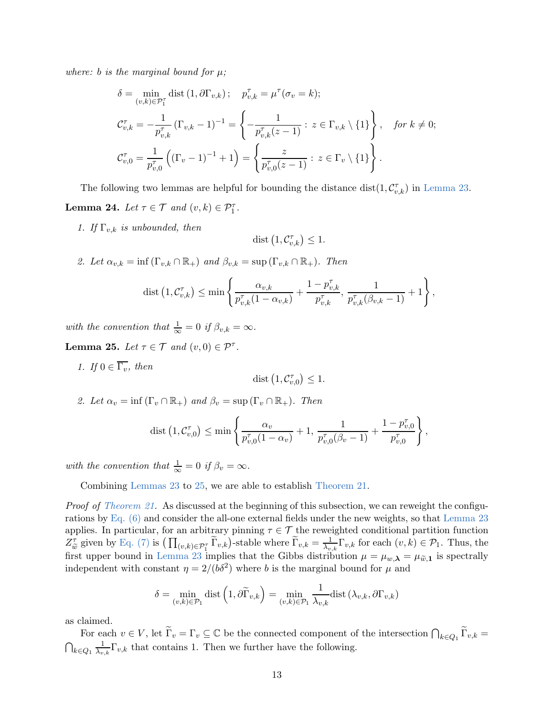where: b is the marginal bound for  $\mu$ ;

$$
\delta = \min_{(v,k)\in\mathcal{P}_1^{\tau}} \text{dist} (1, \partial \Gamma_{v,k}) ; \quad p_{v,k}^{\tau} = \mu^{\tau} (\sigma_v = k);
$$
\n
$$
\mathcal{C}_{v,k}^{\tau} = -\frac{1}{p_{v,k}^{\tau}} (\Gamma_{v,k} - 1)^{-1} = \left\{ -\frac{1}{p_{v,k}^{\tau}(z-1)} : z \in \Gamma_{v,k} \setminus \{1\} \right\}, \quad \text{for } k \neq 0;
$$
\n
$$
\mathcal{C}_{v,0}^{\tau} = \frac{1}{p_{v,0}^{\tau}} ((\Gamma_v - 1)^{-1} + 1) = \left\{ \frac{z}{p_{v,0}^{\tau}(z-1)} : z \in \Gamma_v \setminus \{1\} \right\}.
$$

<span id="page-13-1"></span>The following two lemmas are helpful for bounding the distance  $dist(1, C^{\tau}_{v,k})$  in [Lemma 23.](#page-12-0) **Lemma 24.** Let  $\tau \in \mathcal{T}$  and  $(v, k) \in \mathcal{P}_1^{\tau}$ .

1. If  $\Gamma_{v,k}$  is unbounded, then

$$
\mathop{\rm dist}\nolimits\left(1,{\mathcal C}_{v,k}^{\tau}\right)\leq 1.
$$

2. Let  $\alpha_{v,k} = \inf (\Gamma_{v,k} \cap \mathbb{R}_+)$  and  $\beta_{v,k} = \sup (\Gamma_{v,k} \cap \mathbb{R}_+)$ . Then

dist 
$$
(1, C_{v,k}^{\tau}) \le \min \left\{ \frac{\alpha_{v,k}}{p_{v,k}^{\tau}(1-\alpha_{v,k})} + \frac{1-p_{v,k}^{\tau}}{p_{v,k}^{\tau}}, \frac{1}{p_{v,k}^{\tau}(\beta_{v,k}-1)} + 1 \right\},\,
$$

with the convention that  $\frac{1}{\infty} = 0$  if  $\beta_{v,k} = \infty$ .

<span id="page-13-0"></span>**Lemma 25.** Let  $\tau \in \mathcal{T}$  and  $(v, 0) \in \mathcal{P}^{\tau}$ .

1. If  $0 \in \overline{\Gamma_v}$ , then

$$
\mathop{\rm dist\,}\nolimits\left(1,{\mathcal C}_{v,0}^\tau\right)\le 1.
$$

2. Let  $\alpha_v = \inf(\Gamma_v \cap \mathbb{R}_+)$  and  $\beta_v = \sup(\Gamma_v \cap \mathbb{R}_+)$ . Then

dist 
$$
(1, C_{v,0}^{\tau}) \le \min \left\{ \frac{\alpha_v}{p_{v,0}^{\tau}(1-\alpha_v)} + 1, \frac{1}{p_{v,0}^{\tau}(\beta_v-1)} + \frac{1-p_{v,0}^{\tau}}{p_{v,0}^{\tau}} \right\},\right\}
$$

with the convention that  $\frac{1}{\infty} = 0$  if  $\beta_v = \infty$ .

Combining [Lemmas 23](#page-12-0) to [25,](#page-13-0) we are able to establish [Theorem 21.](#page-9-0)

Proof of [Theorem 21.](#page-9-0) As discussed at the beginning of this subsection, we can reweight the configurations by [Eq. \(6\)](#page-12-2) and consider the all-one external fields under the new weights, so that [Lemma 23](#page-12-0) applies. In particular, for an arbitrary pinning  $\tau \in \mathcal{T}$  the reweighted conditional partition function  $Z_{\tilde{w}}^{\tau}$  given by [Eq. \(7\)](#page-12-3) is  $\left(\prod_{(v,k)\in \mathcal{P}_1^{\tau}} \tilde{\Gamma}_{v,k}\right)$ -stable where  $\tilde{\Gamma}_{v,k} = \frac{1}{\lambda_v}$  $\frac{1}{\lambda_{v,k}}\Gamma_{v,k}$  for each  $(v,k) \in \mathcal{P}_1$ . Thus, the first upper bound in [Lemma 23](#page-12-0) implies that the Gibbs distribution  $\mu = \mu_{w,\lambda} = \mu_{\tilde{w},1}$  is spectrally independent with constant  $\eta = 2/(b\delta^2)$  where b is the marginal bound for  $\mu$  and

$$
\delta = \min_{(v,k)\in\mathcal{P}_1} \text{dist}\left(1,\partial \widetilde{\Gamma}_{v,k}\right) = \min_{(v,k)\in\mathcal{P}_1} \frac{1}{\lambda_{v,k}} \text{dist}\left(\lambda_{v,k},\partial \Gamma_{v,k}\right)
$$

as claimed.

For each  $v \in V$ , let  $\widetilde{\Gamma}_v = \Gamma_v \subseteq \mathbb{C}$  be the connected component of the intersection  $\bigcap_{k \in Q_1} \widetilde{\Gamma}_{v,k} =$  $\bigcap_{k\in Q_1}\frac{1}{\lambda_v}$  $\frac{1}{\lambda_{v,k}}\Gamma_{v,k}$  that contains 1. Then we further have the following.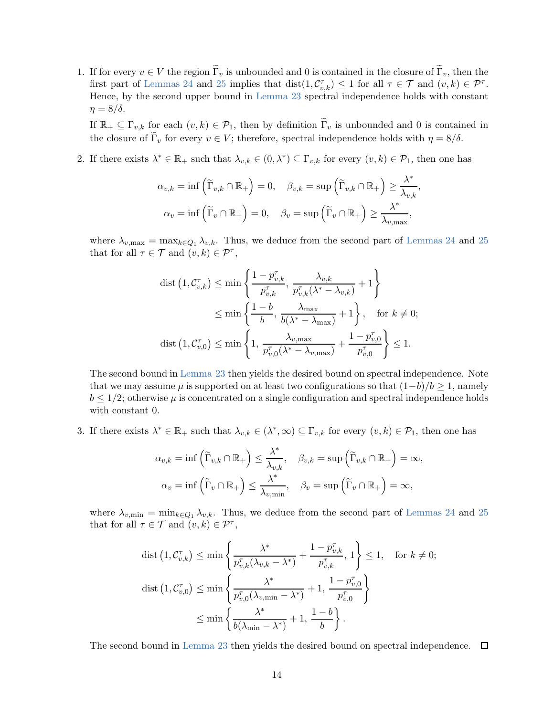1. If for every  $v \in V$  the region  $\widetilde{\Gamma}_v$  is unbounded and 0 is contained in the closure of  $\widetilde{\Gamma}_v$ , then the first part of [Lemmas 24](#page-13-1) and [25](#page-13-0) implies that  $dist(1, C_{v,k}^{\tau}) \leq 1$  for all  $\tau \in \mathcal{T}$  and  $(v, k) \in \mathcal{P}^{\tau}$ . Hence, by the second upper bound in [Lemma 23](#page-12-0) spectral independence holds with constant  $\eta = 8/\delta$ .

If  $\mathbb{R}_+ \subseteq \Gamma_{v,k}$  for each  $(v,k) \in \mathcal{P}_1$ , then by definition  $\widetilde{\Gamma}_v$  is unbounded and 0 is contained in the closure of  $\widetilde{\Gamma}_v$  for every  $v \in V$ ; therefore, spectral independence holds with  $\eta = 8/\delta$ .

2. If there exists  $\lambda^* \in \mathbb{R}_+$  such that  $\lambda_{v,k} \in (0,\lambda^*) \subseteq \Gamma_{v,k}$  for every  $(v,k) \in \mathcal{P}_1$ , then one has

$$
\alpha_{v,k} = \inf \left( \widetilde{\Gamma}_{v,k} \cap \mathbb{R}_+ \right) = 0, \quad \beta_{v,k} = \sup \left( \widetilde{\Gamma}_{v,k} \cap \mathbb{R}_+ \right) \ge \frac{\lambda^*}{\lambda_{v,k}},
$$

$$
\alpha_v = \inf \left( \widetilde{\Gamma}_v \cap \mathbb{R}_+ \right) = 0, \quad \beta_v = \sup \left( \widetilde{\Gamma}_v \cap \mathbb{R}_+ \right) \ge \frac{\lambda^*}{\lambda_{v,\max}},
$$

where  $\lambda_{v,\text{max}} = \max_{k \in Q_1} \lambda_{v,k}$ . Thus, we deduce from the second part of [Lemmas 24](#page-13-1) and [25](#page-13-0) that for all  $\tau \in \mathcal{T}$  and  $(v, k) \in \mathcal{P}^{\tau}$ ,

$$
\begin{split} \text{dist}\left(1, \mathcal{C}_{v,k}^{\tau}\right) &\leq \min\left\{\frac{1-p_{v,k}^{\tau}}{p_{v,k}^{\tau}}, \frac{\lambda_{v,k}}{p_{v,k}^{\tau}(\lambda^{*}-\lambda_{v,k})}+1\right\} \\ &\leq \min\left\{\frac{1-b}{b}, \frac{\lambda_{\max}}{b(\lambda^{*}-\lambda_{\max})}+1\right\}, \quad \text{for } k \neq 0; \\ \text{dist}\left(1, \mathcal{C}_{v,0}^{\tau}\right) &\leq \min\left\{1, \frac{\lambda_{v,\max}}{p_{v,0}^{\tau}(\lambda^{*}-\lambda_{v,\max})}+\frac{1-p_{v,0}^{\tau}}{p_{v,0}^{\tau}}\right\} \leq 1. \end{split}
$$

The second bound in [Lemma 23](#page-12-0) then yields the desired bound on spectral independence. Note that we may assume  $\mu$  is supported on at least two configurations so that  $(1-b)/b \geq 1$ , namely  $b \leq 1/2$ ; otherwise  $\mu$  is concentrated on a single configuration and spectral independence holds with constant 0.

3. If there exists  $\lambda^* \in \mathbb{R}_+$  such that  $\lambda_{v,k} \in (\lambda^*, \infty) \subseteq \Gamma_{v,k}$  for every  $(v, k) \in \mathcal{P}_1$ , then one has

$$
\alpha_{v,k} = \inf \left( \widetilde{\Gamma}_{v,k} \cap \mathbb{R}_+ \right) \le \frac{\lambda^*}{\lambda_{v,k}}, \quad \beta_{v,k} = \sup \left( \widetilde{\Gamma}_{v,k} \cap \mathbb{R}_+ \right) = \infty,
$$

$$
\alpha_v = \inf \left( \widetilde{\Gamma}_v \cap \mathbb{R}_+ \right) \le \frac{\lambda^*}{\lambda_{v,\min}}, \quad \beta_v = \sup \left( \widetilde{\Gamma}_v \cap \mathbb{R}_+ \right) = \infty,
$$

where  $\lambda_{v,\text{min}} = \min_{k \in Q_1} \lambda_{v,k}$ . Thus, we deduce from the second part of [Lemmas 24](#page-13-1) and [25](#page-13-0) that for all  $\tau \in \mathcal{T}$  and  $(v, k) \in \mathcal{P}^{\tau}$ ,

$$
\begin{split} \text{dist}\left(1,\mathcal{C}_{v,k}^{\tau}\right) &\leq \min\left\{\frac{\lambda^{*}}{p_{v,k}^{\tau}(\lambda_{v,k}-\lambda^{*})}+\frac{1-p_{v,k}^{\tau}}{p_{v,k}^{\tau}},1\right\} \leq 1, \quad \text{for } k \neq 0;\\ \text{dist}\left(1,\mathcal{C}_{v,0}^{\tau}\right) &\leq \min\left\{\frac{\lambda^{*}}{p_{v,0}^{\tau}(\lambda_{v,\min}-\lambda^{*})}+1,\frac{1-p_{v,0}^{\tau}}{p_{v,0}^{\tau}}\right\} \\ &\leq \min\left\{\frac{\lambda^{*}}{b(\lambda_{\min}-\lambda^{*})}+1,\frac{1-b}{b}\right\}. \end{split}
$$

The second bound in [Lemma 23](#page-12-0) then yields the desired bound on spectral independence.  $\Box$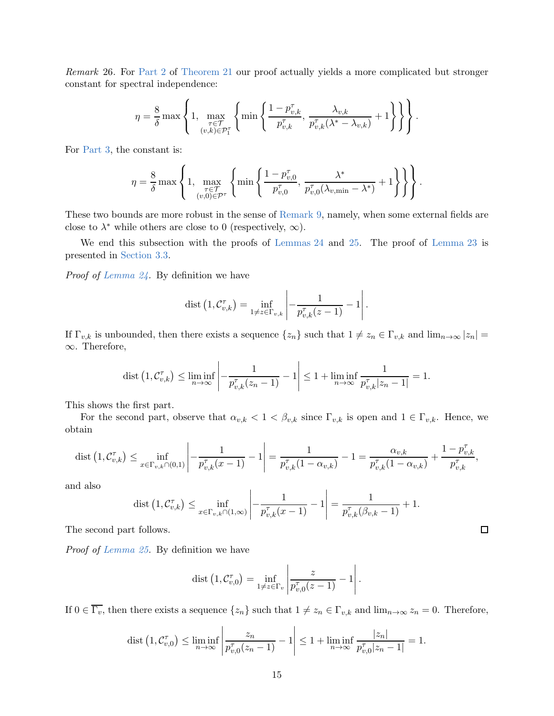Remark 26. For [Part 2](#page-10-1) of [Theorem 21](#page-9-0) our proof actually yields a more complicated but stronger constant for spectral independence:

$$
\eta = \frac{8}{\delta} \max \left\{ 1, \max_{\substack{\tau \in \mathcal{T} \\ (v,k) \in \mathcal{P}_1^{\tau}}} \left\{ \min \left\{ \frac{1 - p_{v,k}^{\tau}}{p_{v,k}^{\tau}}, \frac{\lambda_{v,k}}{p_{v,k}^{\tau}(\lambda^* - \lambda_{v,k})} + 1 \right\} \right\} \right\}.
$$

For [Part 3,](#page-10-2) the constant is:

$$
\eta = \frac{8}{\delta} \max \left\{ 1, \max_{\substack{\tau \in \mathcal{T} \\ (v,0) \in \mathcal{P}^{\tau}}} \left\{ \min \left\{ \frac{1 - p_{v,0}^{\tau}}{p_{v,0}^{\tau}}, \frac{\lambda^*}{p_{v,0}^{\tau}(\lambda_{v,\min} - \lambda^*)} + 1 \right\} \right\} \right\}.
$$

These two bounds are more robust in the sense of [Remark 9,](#page-5-3) namely, when some external fields are close to  $\lambda^*$  while others are close to 0 (respectively,  $\infty$ ).

We end this subsection with the proofs of [Lemmas 24](#page-13-1) and [25.](#page-13-0) The proof of [Lemma 23](#page-12-0) is presented in [Section 3.3.](#page-16-0)

Proof of [Lemma 24.](#page-13-1) By definition we have

$$
\text{dist}\left(1,\mathcal{C}_{v,k}^{\tau}\right) = \inf_{1 \neq z \in \Gamma_{v,k}} \left| -\frac{1}{p_{v,k}^{\tau}(z-1)} - 1 \right|.
$$

If  $\Gamma_{v,k}$  is unbounded, then there exists a sequence  $\{z_n\}$  such that  $1 \neq z_n \in \Gamma_{v,k}$  and  $\lim_{n\to\infty} |z_n|$ ∞. Therefore,

$$
\text{dist}\left(1,\mathcal{C}_{v,k}^{\tau}\right) \leq \liminf_{n \to \infty} \left|-\frac{1}{p_{v,k}^{\tau}(z_n-1)}-1\right| \leq 1 + \liminf_{n \to \infty} \frac{1}{p_{v,k}^{\tau}|z_n-1|} = 1.
$$

This shows the first part.

For the second part, observe that  $\alpha_{v,k} < 1 < \beta_{v,k}$  since  $\Gamma_{v,k}$  is open and  $1 \in \Gamma_{v,k}$ . Hence, we obtain

$$
\text{dist}\left(1, \mathcal{C}_{v,k}^{\tau}\right) \le \inf_{x \in \Gamma_{v,k} \cap (0,1)} \left| -\frac{1}{p_{v,k}^{\tau}(x-1)} - 1 \right| = \frac{1}{p_{v,k}^{\tau}(1-\alpha_{v,k})} - 1 = \frac{\alpha_{v,k}}{p_{v,k}^{\tau}(1-\alpha_{v,k})} + \frac{1-p_{v,k}^{\tau}}{p_{v,k}^{\tau}},
$$

and also

dist 
$$
(1, C_{v,k}^{\tau}) \le \inf_{x \in \Gamma_{v,k} \cap (1,\infty)} \left| -\frac{1}{p_{v,k}^{\tau}(x-1)} - 1 \right| = \frac{1}{p_{v,k}^{\tau}(\beta_{v,k} - 1)} + 1.
$$

The second part follows.

Proof of [Lemma 25.](#page-13-0) By definition we have

$$
\text{dist}\left(1,\mathcal{C}_{v,0}^{\tau}\right) = \inf_{1 \neq z \in \Gamma_v} \left| \frac{z}{p_{v,0}^{\tau}(z-1)} - 1 \right|.
$$

If  $0 \in \overline{\Gamma_v}$ , then there exists a sequence  $\{z_n\}$  such that  $1 \neq z_n \in \Gamma_{v,k}$  and  $\lim_{n \to \infty} z_n = 0$ . Therefore,

dist 
$$
(1, C_{v,0}^{\tau}) \le \liminf_{n \to \infty} \left| \frac{z_n}{p_{v,0}^{\tau}(z_n - 1)} - 1 \right| \le 1 + \liminf_{n \to \infty} \frac{|z_n|}{p_{v,0}^{\tau}|z_n - 1} = 1.
$$

 $\Box$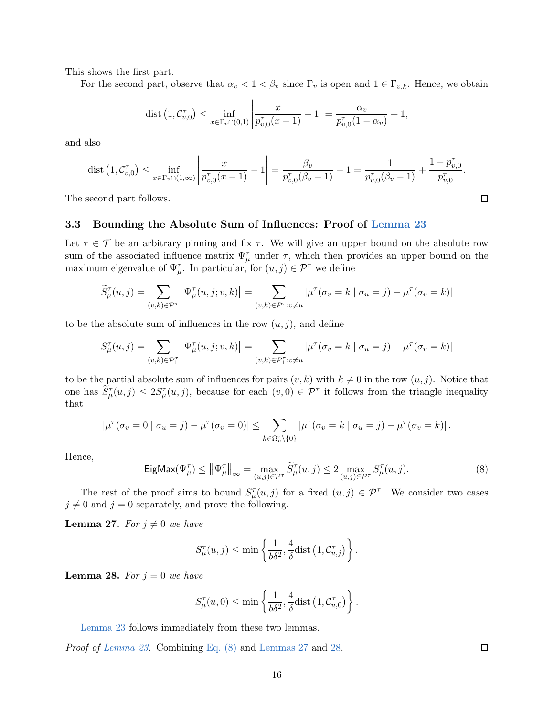This shows the first part.

For the second part, observe that  $\alpha_v < 1 < \beta_v$  since  $\Gamma_v$  is open and  $1 \in \Gamma_{v,k}$ . Hence, we obtain

$$
\text{dist}\left(1,\mathcal{C}_{v,0}^{\tau}\right) \le \inf_{x \in \Gamma_v \cap (0,1)} \left|\frac{x}{p_{v,0}^{\tau}(x-1)} - 1\right| = \frac{\alpha_v}{p_{v,0}^{\tau}(1-\alpha_v)} + 1,
$$

and also

$$
\text{dist}\left(1, \mathcal{C}_{v,0}^{\tau}\right) \le \inf_{x \in \Gamma_v \cap (1,\infty)} \left|\frac{x}{p_{v,0}^{\tau}(x-1)} - 1\right| = \frac{\beta_v}{p_{v,0}^{\tau}(\beta_v - 1)} - 1 = \frac{1}{p_{v,0}^{\tau}(\beta_v - 1)} + \frac{1 - p_{v,0}^{\tau}}{p_{v,0}^{\tau}}.
$$

The second part follows.

### <span id="page-16-0"></span>3.3 Bounding the Absolute Sum of Influences: Proof of [Lemma 23](#page-12-0)

Let  $\tau \in \mathcal{T}$  be an arbitrary pinning and fix  $\tau$ . We will give an upper bound on the absolute row sum of the associated influence matrix  $\Psi_{\mu}^{\tau}$  under  $\tau$ , which then provides an upper bound on the maximum eigenvalue of  $\Psi_{\mu}^{\tau}$ . In particular, for  $(u, j) \in \mathcal{P}^{\tau}$  we define

$$
\widetilde{S}_{\mu}^{\tau}(u,j) = \sum_{(v,k) \in \mathcal{P}^{\tau}} \left| \Psi_{\mu}^{\tau}(u,j;v,k) \right| = \sum_{(v,k) \in \mathcal{P}^{\tau}: v \neq u} |\mu^{\tau}(\sigma_v = k \mid \sigma_u = j) - \mu^{\tau}(\sigma_v = k)|
$$

to be the absolute sum of influences in the row  $(u, j)$ , and define

$$
S_{\mu}^{\tau}(u,j) = \sum_{(v,k) \in \mathcal{P}_1^{\tau}} \left| \Psi_{\mu}^{\tau}(u,j;v,k) \right| = \sum_{(v,k) \in \mathcal{P}_1^{\tau}: v \neq u} \left| \mu^{\tau}(\sigma_v = k \mid \sigma_u = j) - \mu^{\tau}(\sigma_v = k) \right|
$$

to be the partial absolute sum of influences for pairs  $(v, k)$  with  $k \neq 0$  in the row  $(u, j)$ . Notice that one has  $\tilde{S}_{\mu}^{\tau}(u,j) \leq 2S_{\mu}^{\tau}(u,j)$ , because for each  $(v,0) \in \mathcal{P}^{\tau}$  it follows from the triangle inequality that

$$
|\mu^{\tau}(\sigma_v=0 \mid \sigma_u=j)-\mu^{\tau}(\sigma_v=0)| \leq \sum_{k \in \Omega_v^{\tau} \setminus \{0\}} |\mu^{\tau}(\sigma_v=k \mid \sigma_u=j)-\mu^{\tau}(\sigma_v=k)|.
$$

Hence,

<span id="page-16-1"></span>
$$
\mathsf{EigMax}(\Psi_{\mu}^{\tau}) \le \left\| \Psi_{\mu}^{\tau} \right\|_{\infty} = \max_{(u,j) \in \mathcal{P}^{\tau}} \widetilde{S}_{\mu}^{\tau}(u,j) \le 2 \max_{(u,j) \in \mathcal{P}^{\tau}} S_{\mu}^{\tau}(u,j).
$$
\n(8)

<span id="page-16-2"></span>The rest of the proof aims to bound  $S_{\mu}^{\tau}(u, j)$  for a fixed  $(u, j) \in \mathcal{P}^{\tau}$ . We consider two cases  $j \neq 0$  and  $j = 0$  separately, and prove the following.

**Lemma 27.** For  $j \neq 0$  we have

$$
S_{\mu}^{\tau}(u,j) \le \min\left\{\frac{1}{b\delta^2}, \frac{4}{\delta} \text{dist}\left(1, \mathcal{C}_{u,j}^{\tau}\right)\right\}.
$$

<span id="page-16-3"></span>**Lemma 28.** For  $j = 0$  we have

$$
S_{\mu}^{\tau}(u,0) \le \min\left\{\frac{1}{b\delta^2}, \frac{4}{\delta} \text{dist}\left(1, \mathcal{C}_{u,0}^{\tau}\right)\right\}.
$$

[Lemma 23](#page-12-0) follows immediately from these two lemmas.

Proof of [Lemma 23.](#page-12-0) Combining [Eq. \(8\)](#page-16-1) and [Lemmas 27](#page-16-2) and [28.](#page-16-3)

 $\Box$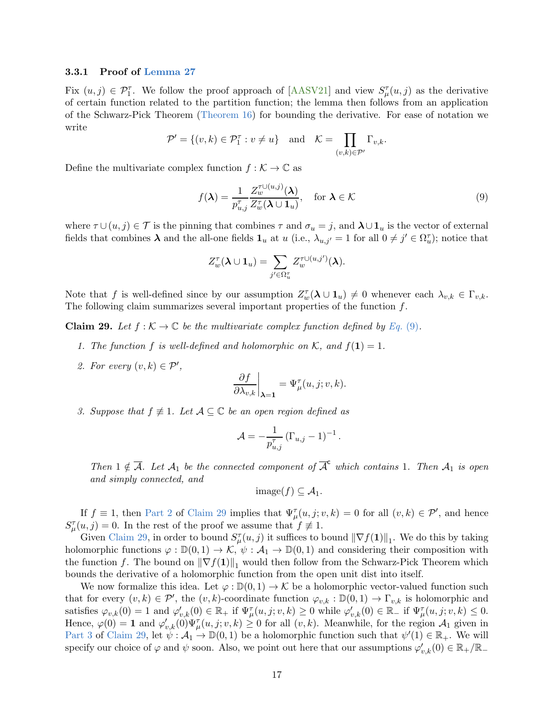#### <span id="page-17-0"></span>3.3.1 Proof of [Lemma 27](#page-16-2)

Fix  $(u, j) \in \mathcal{P}_1^{\tau}$ . We follow the proof approach of [\[AASV21\]](#page-33-4) and view  $S_{\mu}^{\tau}(u, j)$  as the derivative of certain function related to the partition function; the lemma then follows from an application of the Schwarz-Pick Theorem [\(Theorem 16\)](#page-9-2) for bounding the derivative. For ease of notation we write

$$
\mathcal{P}' = \{(v, k) \in \mathcal{P}_1^{\tau} : v \neq u\} \text{ and } \mathcal{K} = \prod_{(v, k) \in \mathcal{P}'} \Gamma_{v, k}.
$$

Define the multivariate complex function  $f : \mathcal{K} \to \mathbb{C}$  as

<span id="page-17-1"></span>
$$
f(\boldsymbol{\lambda}) = \frac{1}{p_{u,j}^{\tau}} \frac{Z_{w}^{\tau \cup (u,j)}(\boldsymbol{\lambda})}{Z_{w}^{\tau}(\boldsymbol{\lambda} \cup \mathbf{1}_{u})}, \quad \text{for } \boldsymbol{\lambda} \in \mathcal{K}
$$
\n(9)

where  $\tau \cup (u, j) \in \mathcal{T}$  is the pinning that combines  $\tau$  and  $\sigma_u = j$ , and  $\lambda \cup \mathbf{1}_u$  is the vector of external fields that combines  $\lambda$  and the all-one fields  $\mathbf{1}_u$  at  $u$  (i.e.,  $\lambda_{u,j'} = 1$  for all  $0 \neq j' \in \Omega_u^{\tau}$ ); notice that

$$
Z_w^{\tau}(\boldsymbol{\lambda} \cup \mathbf{1}_u) = \sum_{j' \in \Omega_u^{\tau}} Z_w^{\tau \cup (u,j')}(\boldsymbol{\lambda}).
$$

<span id="page-17-3"></span>Note that f is well-defined since by our assumption  $Z_w^{\tau}(\lambda \cup 1_u) \neq 0$  whenever each  $\lambda_{v,k} \in \Gamma_{v,k}$ . The following claim summarizes several important properties of the function  $f$ .

**Claim 29.** Let  $f : \mathcal{K} \to \mathbb{C}$  be the multivariate complex function defined by [Eq.](#page-17-1) (9).

- <span id="page-17-2"></span>1. The function f is well-defined and holomorphic on K, and  $f(1) = 1$ .
- 2. For every  $(v, k) \in \mathcal{P}'$ ,

$$
\left.\frac{\partial f}{\partial \lambda_{v,k}}\right|_{\pmb{\lambda}=\mathbf{1}}=\Psi_{\mu}^{\tau}(u,j;v,k).
$$

<span id="page-17-4"></span>3. Suppose that  $f \not\equiv 1$ . Let  $\mathcal{A} \subseteq \mathbb{C}$  be an open region defined as

$$
\mathcal{A} = -\frac{1}{p_{u,j}^{\tau}} \left( \Gamma_{u,j} - 1 \right)^{-1}.
$$

Then  $1 \notin \overline{A}$ . Let  $A_1$  be the connected component of  $\overline{A}^c$  which contains 1. Then  $A_1$  is open and simply connected, and

$$
image(f) \subseteq \mathcal{A}_1.
$$

If  $f \equiv 1$ , then [Part 2](#page-17-2) of [Claim 29](#page-17-3) implies that  $\Psi_{\mu}^{\tau}(u,j;v,k) = 0$  for all  $(v,k) \in \mathcal{P}'$ , and hence  $S_{\mu}^{\tau}(u,j) = 0$ . In the rest of the proof we assume that  $f \neq 1$ .

Given [Claim 29,](#page-17-3) in order to bound  $S_{\mu}^{\tau}(u, j)$  it suffices to bound  $\|\nabla f(1)\|_{1}$ . We do this by taking holomorphic functions  $\varphi : \mathbb{D}(0,1) \to \mathcal{K}, \psi : \mathcal{A}_1 \to \mathbb{D}(0,1)$  and considering their composition with the function f. The bound on  $\|\nabla f(1)\|_1$  would then follow from the Schwarz-Pick Theorem which bounds the derivative of a holomorphic function from the open unit dist into itself.

We now formalize this idea. Let  $\varphi : \mathbb{D}(0,1) \to \mathcal{K}$  be a holomorphic vector-valued function such that for every  $(v, k) \in \mathcal{P}'$ , the  $(v, k)$ -coordinate function  $\varphi_{v,k} : \mathbb{D}(0, 1) \to \Gamma_{v,k}$  is holomorphic and satisfies  $\varphi_{v,k}(0) = 1$  and  $\varphi'_{v,k}(0) \in \mathbb{R}_+$  if  $\Psi^{\tau}_{\mu}(u, j; v, k) \geq 0$  while  $\varphi'_{v,k}(0) \in \mathbb{R}_-$  if  $\Psi^{\tau}_{\mu}(u, j; v, k) \leq 0$ . Hence,  $\varphi(0) = \mathbf{1}$  and  $\varphi'_{v,k}(0) \Psi^{\tau}_{\mu}(u, j; v, k) \geq 0$  for all  $(v, k)$ . Meanwhile, for the region  $\mathcal{A}_1$  given in [Part 3](#page-17-4) of [Claim 29,](#page-17-3) let  $\psi : A_1 \to \mathbb{D}(0,1)$  be a holomorphic function such that  $\psi'(1) \in \mathbb{R}_+$ . We will specify our choice of  $\varphi$  and  $\psi$  soon. Also, we point out here that our assumptions  $\varphi'_{v,k}(0) \in \mathbb{R}_+/\mathbb{R}_-$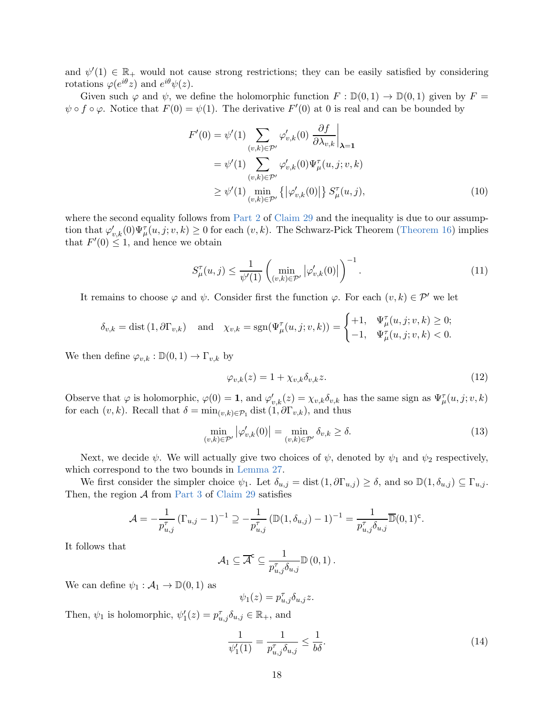and  $\psi'(1) \in \mathbb{R}_+$  would not cause strong restrictions; they can be easily satisfied by considering rotations  $\varphi(e^{i\theta}z)$  and  $e^{i\theta}\psi(z)$ .

Given such  $\varphi$  and  $\psi$ , we define the holomorphic function  $F : \mathbb{D}(0,1) \to \mathbb{D}(0,1)$  given by  $F =$  $\psi \circ f \circ \varphi$ . Notice that  $F(0) = \psi(1)$ . The derivative  $F'(0)$  at 0 is real and can be bounded by

<span id="page-18-3"></span>
$$
F'(0) = \psi'(1) \sum_{(v,k)\in \mathcal{P}'} \varphi'_{v,k}(0) \frac{\partial f}{\partial \lambda_{v,k}}\Big|_{\lambda=1}
$$
  
=  $\psi'(1) \sum_{(v,k)\in \mathcal{P}'} \varphi'_{v,k}(0) \Psi^{\tau}_{\mu}(u,j;v,k)$   
 $\geq \psi'(1) \min_{(v,k)\in \mathcal{P}'} \left\{ |\varphi'_{v,k}(0)| \right\} S^{\tau}_{\mu}(u,j),$  (10)

where the second equality follows from [Part 2](#page-17-2) of [Claim 29](#page-17-3) and the inequality is due to our assumption that  $\varphi'_{v,k}(0)\Psi_{\mu}^{\tau}(u,j;v,k) \ge 0$  for each  $(v,k)$ . The Schwarz-Pick Theorem [\(Theorem 16\)](#page-9-2) implies that  $F'(0) \leq 1$ , and hence we obtain

<span id="page-18-0"></span>
$$
S_{\mu}^{\tau}(u,j) \le \frac{1}{\psi'(1)} \left( \min_{(v,k) \in \mathcal{P}'} |\varphi'_{v,k}(0)| \right)^{-1}.
$$
 (11)

It remains to choose  $\varphi$  and  $\psi$ . Consider first the function  $\varphi$ . For each  $(v, k) \in \mathcal{P}'$  we let

$$
\delta_{v,k} = \text{dist}\left(1, \partial \Gamma_{v,k}\right) \quad \text{and} \quad \chi_{v,k} = \text{sgn}(\Psi^\tau_\mu(u,j;v,k)) = \begin{cases} +1, & \Psi^\tau_\mu(u,j;v,k) \ge 0; \\ -1, & \Psi^\tau_\mu(u,j;v,k) < 0. \end{cases}
$$

We then define  $\varphi_{v,k} : \mathbb{D}(0,1) \to \Gamma_{v,k}$  by

<span id="page-18-4"></span>
$$
\varphi_{v,k}(z) = 1 + \chi_{v,k} \delta_{v,k} z. \tag{12}
$$

Observe that  $\varphi$  is holomorphic,  $\varphi(0) = 1$ , and  $\varphi'_{v,k}(z) = \chi_{v,k} \delta_{v,k}$  has the same sign as  $\Psi_{\mu}^{\tau}(u, j; v, k)$ for each  $(v, k)$ . Recall that  $\delta = \min_{(v, k) \in \mathcal{P}_1} \text{dist}(1, \partial \Gamma_{v, k})$ , and thus

<span id="page-18-1"></span>
$$
\min_{(v,k)\in\mathcal{P}'} |\varphi'_{v,k}(0)| = \min_{(v,k)\in\mathcal{P}'} \delta_{v,k} \ge \delta.
$$
\n(13)

Next, we decide  $\psi$ . We will actually give two choices of  $\psi$ , denoted by  $\psi_1$  and  $\psi_2$  respectively, which correspond to the two bounds in [Lemma 27.](#page-16-2)

We first consider the simpler choice  $\psi_1$ . Let  $\delta_{u,j} = \text{dist} (1, \partial \Gamma_{u,j}) \geq \delta$ , and so  $\mathbb{D}(1, \delta_{u,j}) \subseteq \Gamma_{u,j}$ . Then, the region  $A$  from [Part 3](#page-17-4) of [Claim 29](#page-17-3) satisfies

$$
\mathcal{A} = -\frac{1}{p_{u,j}^{\tau}} \left( \Gamma_{u,j} - 1 \right)^{-1} \supseteq -\frac{1}{p_{u,j}^{\tau}} \left( \mathbb{D}(1, \delta_{u,j}) - 1 \right)^{-1} = \frac{1}{p_{u,j}^{\tau} \delta_{u,j}} \overline{\mathbb{D}}(0, 1)^{\mathsf{c}}.
$$

It follows that

$$
A_1 \subseteq \overline{\mathcal{A}}^c \subseteq \frac{1}{p_{u,j}^{\tau} \delta_{u,j}} \mathbb{D}(0,1) .
$$

We can define  $\psi_1 : \mathcal{A}_1 \to \mathbb{D}(0,1)$  as

$$
\psi_1(z) = p_{u,j}^\tau \delta_{u,j} z.
$$

Then,  $\psi_1$  is holomorphic,  $\psi'_1(z) = p_{u,j}^{\tau} \delta_{u,j} \in \mathbb{R}_+$ , and

<span id="page-18-2"></span>
$$
\frac{1}{\psi_1'(1)} = \frac{1}{p_{u,j}^{\tau} \delta_{u,j}} \le \frac{1}{b\delta}.
$$
\n(14)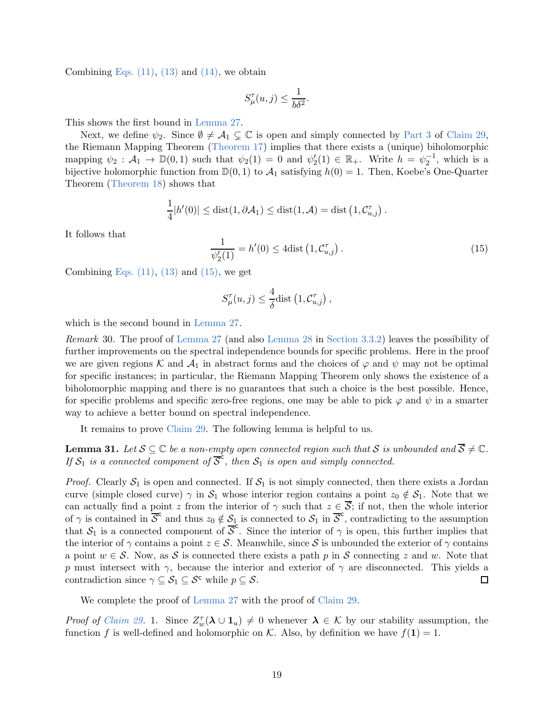Combining Eqs.  $(11)$ ,  $(13)$  and  $(14)$ , we obtain

$$
S_{\mu}^{\tau}(u,j) \le \frac{1}{b\delta^2}.
$$

This shows the first bound in [Lemma 27.](#page-16-2)

Next, we define  $\psi_2$ . Since  $\emptyset \neq A_1 \subsetneq \mathbb{C}$  is open and simply connected by [Part 3](#page-17-4) of [Claim 29,](#page-17-3) the Riemann Mapping Theorem [\(Theorem 17\)](#page-9-3) implies that there exists a (unique) biholomorphic mapping  $\psi_2 : A_1 \to \mathbb{D}(0,1)$  such that  $\psi_2(1) = 0$  and  $\psi_2'(1) \in \mathbb{R}_+$ . Write  $h = \psi_2^{-1}$ , which is a bijective holomorphic function from  $\mathbb{D}(0,1)$  to  $\mathcal{A}_1$  satisfying  $h(0) = 1$ . Then, Koebe's One-Quarter Theorem [\(Theorem 18\)](#page-9-6) shows that

$$
\frac{1}{4}|h'(0)| \leq \text{dist}(1,\partial \mathcal{A}_1) \leq \text{dist}(1,\mathcal{A}) = \text{dist}\left(1,\mathcal{C}_{u,j}^{\tau}\right).
$$

It follows that

<span id="page-19-0"></span>
$$
\frac{1}{\psi_2'(1)} = h'(0) \le 4 \text{dist}\left(1, \mathcal{C}_{u,j}^{\tau}\right). \tag{15}
$$

Combining Eqs.  $(11)$ ,  $(13)$  and  $(15)$ , we get

$$
S_{\mu}^{\tau}(u,j) \leq \frac{4}{\delta} \text{dist} \left( 1, \mathcal{C}_{u,j}^{\tau} \right),
$$

which is the second bound in [Lemma 27.](#page-16-2)

Remark 30. The proof of [Lemma 27](#page-16-2) (and also [Lemma 28](#page-16-3) in [Section 3.3.2\)](#page-21-0) leaves the possibility of further improvements on the spectral independence bounds for specific problems. Here in the proof we are given regions K and  $\mathcal{A}_1$  in abstract forms and the choices of  $\varphi$  and  $\psi$  may not be optimal for specific instances; in particular, the Riemann Mapping Theorem only shows the existence of a biholomorphic mapping and there is no guarantees that such a choice is the best possible. Hence, for specific problems and specific zero-free regions, one may be able to pick  $\varphi$  and  $\psi$  in a smarter way to achieve a better bound on spectral independence.

<span id="page-19-1"></span>It remains to prove [Claim 29.](#page-17-3) The following lemma is helpful to us.

**Lemma 31.** Let  $S \subseteq \mathbb{C}$  be a non-empty open connected region such that S is unbounded and  $\overline{S} \neq \mathbb{C}$ . **ISONIFICATE:** Let  $\overline{E}$  be a non-empty open connected region can have  $\overline{E}$ .

*Proof.* Clearly  $S_1$  is open and connected. If  $S_1$  is not simply connected, then there exists a Jordan curve (simple closed curve)  $\gamma$  in  $S_1$  whose interior region contains a point  $z_0 \notin S_1$ . Note that we can actually find a point z from the interior of  $\gamma$  such that  $z \in \overline{S}$ ; if not, then the whole interior of  $\gamma$  is contained in  $\overline{S}^c$  and thus  $z_0 \notin \underline{S_1}$  is connected to  $S_1$  in  $\overline{S}^c$ , contradicting to the assumption that  $S_1$  is a connected component of  $\overline{S}^c$ . Since the interior of  $\gamma$  is open, this further implies that the interior of  $\gamma$  contains a point  $z \in \mathcal{S}$ . Meanwhile, since S is unbounded the exterior of  $\gamma$  contains a point  $w \in \mathcal{S}$ . Now, as S is connected there exists a path p in S connecting z and w. Note that p must intersect with  $\gamma$ , because the interior and exterior of  $\gamma$  are disconnected. This yields a contradiction since  $\gamma \subseteq \mathcal{S}_1 \subseteq \mathcal{S}^{\mathsf{c}}$  while  $p \subseteq \mathcal{S}$ .  $\Box$ 

We complete the proof of [Lemma 27](#page-16-2) with the proof of [Claim 29.](#page-17-3)

Proof of [Claim 29.](#page-17-3) 1. Since  $Z_w^{\tau}(\lambda \cup 1_u) \neq 0$  whenever  $\lambda \in \mathcal{K}$  by our stability assumption, the function f is well-defined and holomorphic on K. Also, by definition we have  $f(1) = 1$ .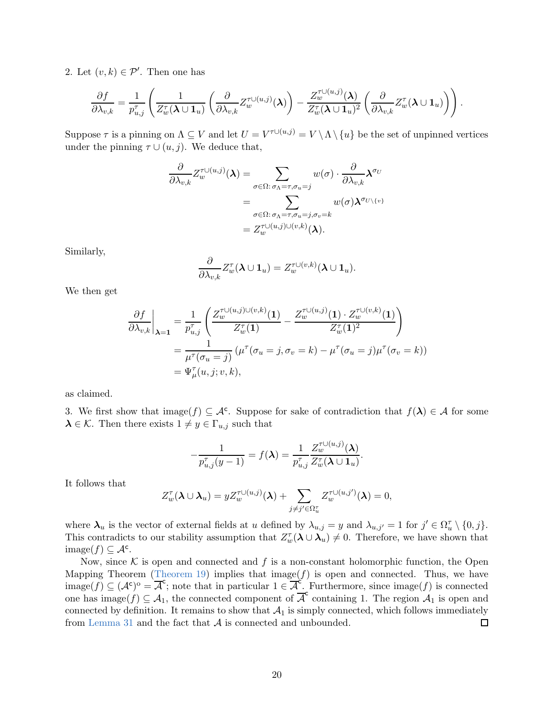2. Let  $(v,k) \in \mathcal{P}'$ . Then one has

$$
\frac{\partial f}{\partial \lambda_{v,k}} = \frac{1}{p_{u,j}^{\tau}} \left( \frac{1}{Z_w^{\tau}(\boldsymbol{\lambda} \cup \mathbf{1}_u)} \left( \frac{\partial}{\partial \lambda_{v,k}} Z_w^{\tau \cup (u,j)}(\boldsymbol{\lambda}) \right) - \frac{Z_w^{\tau \cup (u,j)}(\boldsymbol{\lambda})}{Z_w^{\tau}(\boldsymbol{\lambda} \cup \mathbf{1}_u)^2} \left( \frac{\partial}{\partial \lambda_{v,k}} Z_w^{\tau}(\boldsymbol{\lambda} \cup \mathbf{1}_u) \right) \right).
$$

Suppose  $\tau$  is a pinning on  $\Lambda \subseteq V$  and let  $U = V^{\tau \cup (u,j)} = V \setminus \Lambda \setminus \{u\}$  be the set of unpinned vertices under the pinning  $\tau \cup (u, j)$ . We deduce that,

$$
\frac{\partial}{\partial \lambda_{v,k}} Z_{w}^{\tau \cup (u,j)}(\boldsymbol{\lambda}) = \sum_{\sigma \in \Omega: \sigma_{\Lambda} = \tau, \sigma_{u} = j} w(\sigma) \cdot \frac{\partial}{\partial \lambda_{v,k}} \boldsymbol{\lambda}^{\sigma_{U}}
$$
\n
$$
= \sum_{\sigma \in \Omega: \sigma_{\Lambda} = \tau, \sigma_{u} = j, \sigma_{v} = k} w(\sigma) \boldsymbol{\lambda}^{\sigma_{U \setminus \{v\}}}
$$
\n
$$
= Z_{w}^{\tau \cup (u,j) \cup (v,k)}(\boldsymbol{\lambda}).
$$

Similarly,

$$
\frac{\partial}{\partial \lambda_{v,k}} Z_w^{\tau}(\boldsymbol{\lambda} \cup \mathbf{1}_u) = Z_w^{\tau \cup (v,k)}(\boldsymbol{\lambda} \cup \mathbf{1}_u).
$$

We then get

$$
\frac{\partial f}{\partial \lambda_{v,k}}\bigg|_{\boldsymbol{\lambda}=1} = \frac{1}{p_{u,j}^{\tau}} \left( \frac{Z_w^{\tau \cup (u,j) \cup (v,k)}(\mathbf{1})}{Z_w^{\tau}(\mathbf{1})} - \frac{Z_w^{\tau \cup (u,j)}(\mathbf{1}) \cdot Z_w^{\tau \cup (v,k)}(\mathbf{1})}{Z_w^{\tau}(\mathbf{1})^2} \right)
$$
  
= 
$$
\frac{1}{\mu^{\tau}(\sigma_u=j)} (\mu^{\tau}(\sigma_u=j, \sigma_v=k) - \mu^{\tau}(\sigma_u=j)\mu^{\tau}(\sigma_v=k))
$$
  
= 
$$
\Psi_{\mu}^{\tau}(u,j;v,k),
$$

as claimed.

3. We first show that  $\text{image}(f) \subseteq \mathcal{A}^c$ . Suppose for sake of contradiction that  $f(\lambda) \in \mathcal{A}$  for some  $\lambda \in \mathcal{K}$ . Then there exists  $1 \neq y \in \Gamma_{u,j}$  such that

$$
-\frac{1}{p_{u,j}^{\tau}(y-1)}=f(\boldsymbol{\lambda})=\frac{1}{p_{u,j}^{\tau}}\frac{Z_{w}^{\tau\cup(u,j)}(\boldsymbol{\lambda})}{Z_{w}^{\tau}(\boldsymbol{\lambda}\cup\mathbf{1}_{u})}.
$$

It follows that

$$
Z_w^{\tau}(\boldsymbol{\lambda} \cup \boldsymbol{\lambda}_u) = y Z_w^{\tau \cup (u,j)}(\boldsymbol{\lambda}) + \sum_{j \neq j' \in \Omega_u^{\tau}} Z_w^{\tau \cup (u,j')}(\boldsymbol{\lambda}) = 0,
$$

where  $\lambda_u$  is the vector of external fields at u defined by  $\lambda_{u,j} = y$  and  $\lambda_{u,j'} = 1$  for  $j' \in \Omega_u^{\tau} \setminus \{0, j\}.$ This contradicts to our stability assumption that  $Z_w^{\tau}(\lambda \cup \lambda_u) \neq 0$ . Therefore, we have shown that  $\text{image}(f) \subseteq \mathcal{A}^c$ .

Now, since  $K$  is open and connected and f is a non-constant holomorphic function, the Open Mapping Theorem [\(Theorem 19\)](#page-9-7) implies that image( $f$ ) is open and connected. Thus, we have image(f)  $\subseteq (A^c)^o = \overline{A}^c$ ; note that in particular  $1 \in \overline{A}^c$ . Furthermore, since image(f) is connected one has image(f)  $\subseteq A_1$ , the connected component of  $\overline{A}^c$  containing 1. The region  $A_1$  is open and connected by definition. It remains to show that  $A_1$  is simply connected, which follows immediately from Lemma 31 and the fact that  $A$  is connected and unbounded. from [Lemma 31](#page-19-1) and the fact that  $A$  is connected and unbounded.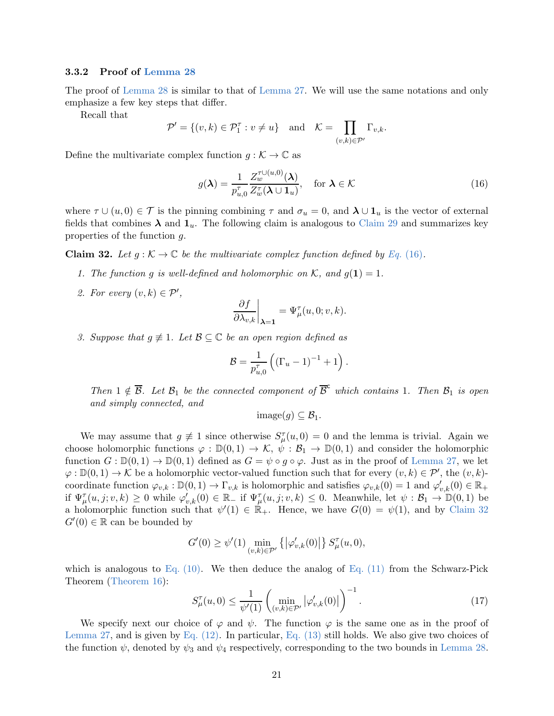#### <span id="page-21-0"></span>3.3.2 Proof of [Lemma 28](#page-16-3)

The proof of [Lemma 28](#page-16-3) is similar to that of [Lemma 27.](#page-16-2) We will use the same notations and only emphasize a few key steps that differ.

Recall that

$$
\mathcal{P}' = \{(v, k) \in \mathcal{P}_1^{\tau} : v \neq u\} \quad \text{and} \quad \mathcal{K} = \prod_{(v, k) \in \mathcal{P}'} \Gamma_{v, k}.
$$

Define the multivariate complex function  $g : \mathcal{K} \to \mathbb{C}$  as

<span id="page-21-1"></span>
$$
g(\boldsymbol{\lambda}) = \frac{1}{p_{u,0}^{\tau}} \frac{Z_{w}^{\tau \cup (u,0)}(\boldsymbol{\lambda})}{Z_{w}^{\tau}(\boldsymbol{\lambda} \cup \mathbf{1}_{u})}, \quad \text{for } \boldsymbol{\lambda} \in \mathcal{K}
$$
 (16)

where  $\tau \cup (u, 0) \in \mathcal{T}$  is the pinning combining  $\tau$  and  $\sigma_u = 0$ , and  $\lambda \cup \mathbf{1}_u$  is the vector of external fields that combines  $\lambda$  and  $1_u$ . The following claim is analogous to [Claim 29](#page-17-3) and summarizes key properties of the function g.

<span id="page-21-4"></span><span id="page-21-2"></span>**Claim 32.** Let  $q : \mathcal{K} \to \mathbb{C}$  be the multivariate complex function defined by Eq. [\(16\)](#page-21-1).

- <span id="page-21-5"></span>1. The function g is well-defined and holomorphic on K, and  $g(1) = 1$ .
- 2. For every  $(v,k) \in \mathcal{P}'$ ,

$$
\left. \frac{\partial f}{\partial \lambda_{v,k}} \right|_{\boldsymbol{\lambda} = \mathbf{1}} = \Psi_{\mu}^{\tau}(u,0;v,k).
$$

<span id="page-21-6"></span>3. Suppose that  $g \neq 1$ . Let  $\mathcal{B} \subseteq \mathbb{C}$  be an open region defined as

$$
B = \frac{1}{p_{u,0}^{\tau}} \left( (\Gamma_u - 1)^{-1} + 1 \right).
$$

Then  $1 \notin \overline{B}$ . Let  $\mathcal{B}_1$  be the connected component of  $\overline{B}^c$  which contains 1. Then  $\mathcal{B}_1$  is open and simply connected, and

 $\text{image}(q) \subset \mathcal{B}_1$ .

We may assume that  $g \neq 1$  since otherwise  $S_{\mu}^{\tau}(u,0) = 0$  and the lemma is trivial. Again we choose holomorphic functions  $\varphi : \mathbb{D}(0,1) \to \mathcal{K}, \psi : \mathcal{B}_1 \to \mathbb{D}(0,1)$  and consider the holomorphic function  $G: \mathbb{D}(0,1) \to \mathbb{D}(0,1)$  defined as  $G = \psi \circ g \circ \varphi$ . Just as in the proof of [Lemma 27,](#page-16-2) we let  $\varphi: \mathbb{D}(0,1) \to \mathcal{K}$  be a holomorphic vector-valued function such that for every  $(v,k) \in \mathcal{P}'$ , the  $(v,k)$ coordinate function  $\varphi_{v,k} : \mathbb{D}(0,1) \to \Gamma_{v,k}$  is holomorphic and satisfies  $\varphi_{v,k}(0) = 1$  and  $\varphi'_{v,k}(0) \in \mathbb{R}_+$ if  $\Psi_{\mu}^{\tau}(u,j;v,k) \geq 0$  while  $\varphi'_{v,k}(0) \in \mathbb{R}_+$  if  $\Psi_{\mu}^{\tau}(u,j;v,k) \leq 0$ . Meanwhile, let  $\psi : \mathcal{B}_1 \to \mathbb{D}(0,1)$  be a holomorphic function such that  $\psi'(1) \in \mathbb{R}_+$ . Hence, we have  $G(0) = \psi(1)$ , and by [Claim 32](#page-21-2)  $G'(0) \in \mathbb{R}$  can be bounded by

$$
G'(0) \ge \psi'(1) \min_{(v,k) \in \mathcal{P}'} \left\{ \left| \varphi'_{v,k}(0) \right| \right\} S^{\tau}_{\mu}(u,0),
$$

which is analogous to Eq.  $(10)$ . We then deduce the analog of Eq.  $(11)$  from the Schwarz-Pick Theorem [\(Theorem 16\)](#page-9-2):

<span id="page-21-3"></span>
$$
S_{\mu}^{\tau}(u,0) \le \frac{1}{\psi'(1)} \left( \min_{(v,k) \in \mathcal{P}'} |\varphi'_{v,k}(0)| \right)^{-1}.
$$
 (17)

We specify next our choice of  $\varphi$  and  $\psi$ . The function  $\varphi$  is the same one as in the proof of [Lemma 27,](#page-16-2) and is given by [Eq. \(12\).](#page-18-4) In particular, [Eq. \(13\)](#page-18-1) still holds. We also give two choices of the function  $\psi$ , denoted by  $\psi_3$  and  $\psi_4$  respectively, corresponding to the two bounds in [Lemma 28.](#page-16-3)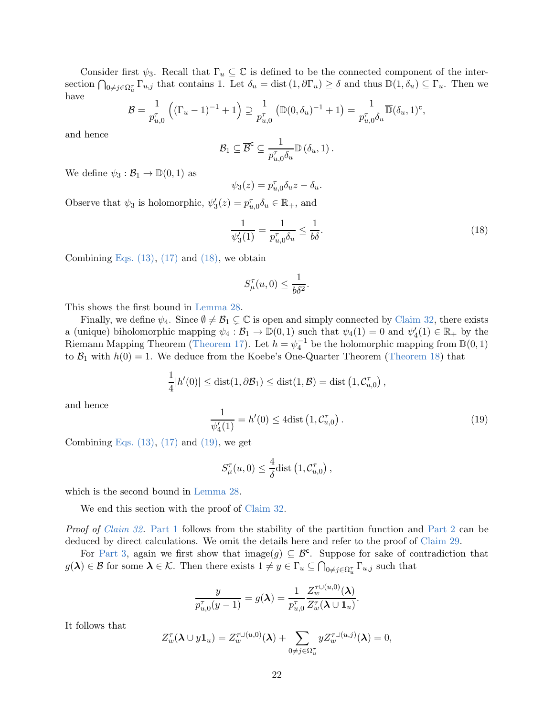Consider first  $\psi_3$ . Recall that  $\Gamma_u \subseteq \mathbb{C}$  is defined to be the connected component of the intersection  $\bigcap_{0 \neq j \in \Omega_u^{\tau}} \Gamma_{u,j}$  that contains 1. Let  $\delta_u = \text{dist} (1, \partial \Gamma_u) \geq \delta$  and thus  $\mathbb{D} (1, \delta_u) \subseteq \Gamma_u$ . Then we have

$$
\mathcal{B} = \frac{1}{p_{u,0}^{\tau}} \left( (\Gamma_u - 1)^{-1} + 1 \right) \supseteq \frac{1}{p_{u,0}^{\tau}} \left( \mathbb{D}(0, \delta_u)^{-1} + 1 \right) = \frac{1}{p_{u,0}^{\tau} \delta_u} \overline{\mathbb{D}}(\delta_u, 1)^c,
$$

and hence

$$
\mathcal{B}_1 \subseteq \overline{\mathcal{B}}^c \subseteq \frac{1}{p_{u,0}^{\tau} \delta_u} \mathbb{D}(\delta_u, 1) .
$$

We define  $\psi_3 : \mathcal{B}_1 \to \mathbb{D}(0,1)$  as

$$
\psi_3(z) = p_{u,0}^{\tau} \delta_u z - \delta_u.
$$

Observe that  $\psi_3$  is holomorphic,  $\psi'_3(z) = p_{u,0}^{\tau} \delta_u \in \mathbb{R}_+$ , and

<span id="page-22-0"></span>
$$
\frac{1}{\psi_3'(1)} = \frac{1}{p_{u,0}^{\tau} \delta_u} \le \frac{1}{b\delta}.\tag{18}
$$

Combining Eqs.  $(13)$ ,  $(17)$  and  $(18)$ , we obtain

$$
S_{\mu}^{\tau}(u,0) \le \frac{1}{b\delta^2}.
$$

This shows the first bound in [Lemma 28.](#page-16-3)

Finally, we define  $\psi_4$ . Since  $\emptyset \neq \mathcal{B}_1 \subsetneq \mathbb{C}$  is open and simply connected by [Claim 32,](#page-21-2) there exists a (unique) biholomorphic mapping  $\psi_4 : \mathcal{B}_1 \to \mathbb{D}(0,1)$  such that  $\psi_4(1) = 0$  and  $\psi'_4(1) \in \mathbb{R}_+$  by the Riemann Mapping Theorem [\(Theorem 17\)](#page-9-3). Let  $h = \psi_4^{-1}$  be the holomorphic mapping from  $\mathbb{D}(0,1)$ to  $\mathcal{B}_1$  with  $h(0) = 1$ . We deduce from the Koebe's One-Quarter Theorem [\(Theorem 18\)](#page-9-6) that

$$
\frac{1}{4}|h'(0)| \leq \text{dist}(1,\partial \mathcal{B}_1) \leq \text{dist}(1,\mathcal{B}) = \text{dist}\left(1,\mathcal{C}_{u,0}^{\tau}\right),
$$

and hence

<span id="page-22-1"></span>
$$
\frac{1}{\psi_4'(1)} = h'(0) \le 4 \text{dist} \left( 1, \mathcal{C}_{u,0}^{\tau} \right). \tag{19}
$$

Combining Eqs.  $(13)$ ,  $(17)$  and  $(19)$ , we get

$$
S_{\mu}^{\tau}(u,0) \leq \frac{4}{\delta} \text{dist} \left(1, \mathcal{C}_{u,0}^{\tau} \right),
$$

which is the second bound in [Lemma 28.](#page-16-3)

We end this section with the proof of [Claim 32.](#page-21-2)

Proof of [Claim 32.](#page-21-2) [Part 1](#page-21-4) follows from the stability of the partition function and [Part 2](#page-21-5) can be deduced by direct calculations. We omit the details here and refer to the proof of [Claim 29.](#page-17-3)

For [Part 3,](#page-21-6) again we first show that  $\text{image}(g) \subseteq \mathcal{B}^c$ . Suppose for sake of contradiction that  $g(\lambda) \in \mathcal{B}$  for some  $\lambda \in \mathcal{K}$ . Then there exists  $1 \neq y \in \Gamma_u \subseteq \bigcap_{0 \neq j \in \Omega_u^{\tau}} \Gamma_{u,j}$  such that

$$
\frac{y}{p_{u,0}^{\tau}(y-1)}=g(\boldsymbol{\lambda})=\frac{1}{p_{u,0}^{\tau}}\frac{Z_{w}^{\tau\cup(u,0)}(\boldsymbol{\lambda})}{Z_{w}^{\tau}(\boldsymbol{\lambda}\cup\mathbf{1}_{u})}.
$$

It follows that

$$
Z_w^{\tau}(\boldsymbol{\lambda} \cup y\mathbf{1}_u) = Z_w^{\tau \cup (u,0)}(\boldsymbol{\lambda}) + \sum_{0 \neq j \in \Omega_u^{\tau}} y Z_w^{\tau \cup (u,j)}(\boldsymbol{\lambda}) = 0,
$$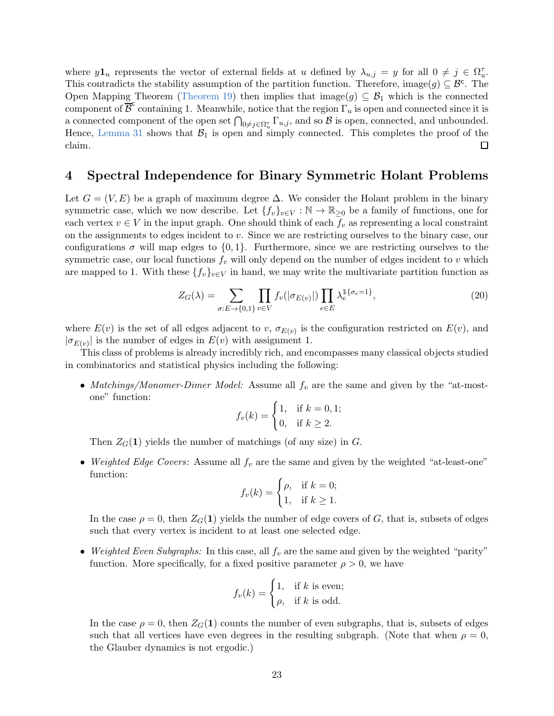where  $y\mathbf{1}_u$  represents the vector of external fields at u defined by  $\lambda_{u,j} = y$  for all  $0 \neq j \in \Omega_u^{\tau}$ . This contradicts the stability assumption of the partition function. Therefore, image(g)  $\subseteq \mathcal{B}^c$ . The Open Mapping Theorem [\(Theorem 19\)](#page-9-7) then implies that image $(g) \subseteq \mathcal{B}_1$  which is the connected component of  $\overline{\mathcal{B}}^c$  containing 1. Meanwhile, notice that the region  $\Gamma_u$  is open and connected since it is a connected component of the open set  $\bigcap_{0\neq j\in\Omega_u^{\tau}}\Gamma_{u,j}$ , and so  $\mathcal{B}$  is open, connected, and unbounded. Hence, [Lemma 31](#page-19-1) shows that  $\mathcal{B}_1$  is open and simply connected. This completes the proof of the claim. claim.

# <span id="page-23-0"></span>4 Spectral Independence for Binary Symmetric Holant Problems

Let  $G = (V, E)$  be a graph of maximum degree  $\Delta$ . We consider the Holant problem in the binary symmetric case, which we now describe. Let  $\{f_v\}_{v\in V} : \mathbb{N} \to \mathbb{R}_{\geq 0}$  be a family of functions, one for each vertex  $v \in V$  in the input graph. One should think of each  $f_v$  as representing a local constraint on the assignments to edges incident to  $v$ . Since we are restricting ourselves to the binary case, our configurations  $\sigma$  will map edges to  $\{0, 1\}$ . Furthermore, since we are restricting ourselves to the symmetric case, our local functions  $f_v$  will only depend on the number of edges incident to v which are mapped to 1. With these  $\{f_v\}_{v\in V}$  in hand, we may write the multivariate partition function as

<span id="page-23-1"></span>
$$
Z_G(\lambda) = \sum_{\sigma: E \to \{0,1\}} \prod_{v \in V} f_v(|\sigma_{E(v)}|) \prod_{e \in E} \lambda_e^{\mathbb{I}\{\sigma_e = 1\}},\tag{20}
$$

where  $E(v)$  is the set of all edges adjacent to v,  $\sigma_{E(v)}$  is the configuration restricted on  $E(v)$ , and  $|\sigma_{E(v)}|$  is the number of edges in  $E(v)$  with assignment 1.

This class of problems is already incredibly rich, and encompasses many classical objects studied in combinatorics and statistical physics including the following:

• Matchings/Monomer-Dimer Model: Assume all  $f_v$  are the same and given by the "at-mostone" function:

$$
f_v(k) = \begin{cases} 1, & \text{if } k = 0, 1; \\ 0, & \text{if } k \ge 2. \end{cases}
$$

Then  $Z_G(1)$  yields the number of matchings (of any size) in G.

• Weighted Edge Covers: Assume all  $f_v$  are the same and given by the weighted "at-least-one" function:

$$
f_v(k) = \begin{cases} \rho, & \text{if } k = 0; \\ 1, & \text{if } k \ge 1. \end{cases}
$$

In the case  $\rho = 0$ , then  $Z_G(1)$  yields the number of edge covers of G, that is, subsets of edges such that every vertex is incident to at least one selected edge.

• Weighted Even Subgraphs: In this case, all  $f_v$  are the same and given by the weighted "parity" function. More specifically, for a fixed positive parameter  $\rho > 0$ , we have

$$
f_v(k) = \begin{cases} 1, & \text{if } k \text{ is even;} \\ \rho, & \text{if } k \text{ is odd.} \end{cases}
$$

In the case  $\rho = 0$ , then  $Z_G(1)$  counts the number of even subgraphs, that is, subsets of edges such that all vertices have even degrees in the resulting subgraph. (Note that when  $\rho = 0$ , the Glauber dynamics is not ergodic.)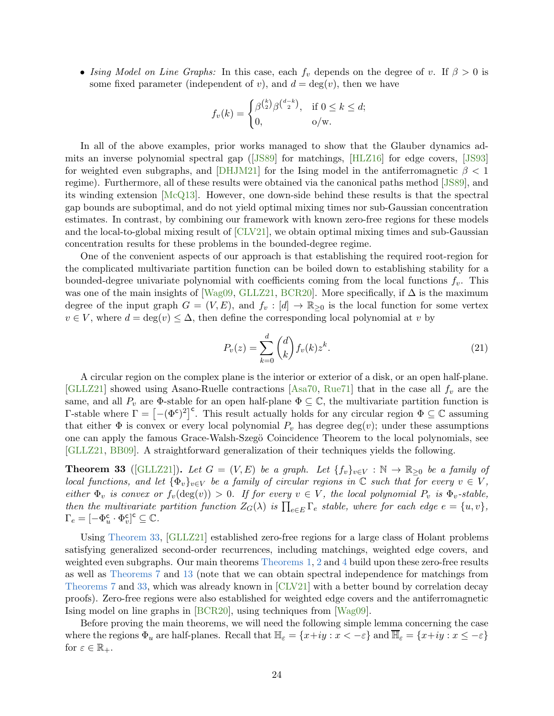• Ising Model on Line Graphs: In this case, each  $f_v$  depends on the degree of v. If  $\beta > 0$  is some fixed parameter (independent of v), and  $d = \deg(v)$ , then we have

$$
f_v(k) = \begin{cases} \beta^{\binom{k}{2}} \beta^{\binom{d-k}{2}}, & \text{if } 0 \le k \le d; \\ 0, & \text{o/w.} \end{cases}
$$

In all of the above examples, prior works managed to show that the Glauber dynamics admits an inverse polynomial spectral gap([\[JS89\]](#page-34-8) for matchings, [\[HLZ16\]](#page-34-5) for edge covers, [\[JS93\]](#page-35-6) for weighted even subgraphs, and [\[DHJM21\]](#page-34-9) for the Ising model in the antiferromagnetic  $\beta$  < 1 regime). Furthermore, all of these results were obtained via the canonical paths method [\[JS89\]](#page-34-8), and its winding extension [\[McQ13\]](#page-35-12). However, one down-side behind these results is that the spectral gap bounds are suboptimal, and do not yield optimal mixing times nor sub-Gaussian concentration estimates. In contrast, by combining our framework with known zero-free regions for these models and the local-to-global mixing result of [\[CLV21\]](#page-34-0), we obtain optimal mixing times and sub-Gaussian concentration results for these problems in the bounded-degree regime.

One of the convenient aspects of our approach is that establishing the required root-region for the complicated multivariate partition function can be boiled down to establishing stability for a bounded-degree univariate polynomial with coefficients coming from the local functions  $f_v$ . This was one of the main insights of [\[Wag09,](#page-35-9) [GLLZ21,](#page-34-6) [BCR20\]](#page-33-3). More specifically, if  $\Delta$  is the maximum degree of the input graph  $G = (V, E)$ , and  $f_v : [d] \to \mathbb{R}_{\geq 0}$  is the local function for some vertex  $v \in V$ , where  $d = \deg(v) \leq \Delta$ , then define the corresponding local polynomial at v by

$$
P_v(z) = \sum_{k=0}^{d} \binom{d}{k} f_v(k) z^k.
$$
 (21)

A circular region on the complex plane is the interior or exterior of a disk, or an open half-plane. [\[GLLZ21\]](#page-34-6) showed using Asano-Ruelle contractions [\[Asa70,](#page-33-5) [Rue71\]](#page-35-8) that in the case all  $f_v$  are the same, and all  $P_v$  are  $\Phi$ -stable for an open half-plane  $\Phi \subseteq \mathbb{C}$ , the multivariate partition function is  $\Gamma$ -stable where  $\Gamma = \left[ -(\Phi^c)^2 \right]^c$ . This result actually holds for any circular region  $\Phi \subseteq \mathbb{C}$  assuming that either  $\Phi$  is convex or every local polynomial  $P_v$  has degree deg(v); under these assumptions one can apply the famous Grace-Walsh-Szegö Coincidence Theorem to the local polynomials, see [\[GLLZ21,](#page-34-6) [BB09\]](#page-33-10). A straightforward generalization of their techniques yields the following.

<span id="page-24-0"></span>**Theorem 33** ([\[GLLZ21\]](#page-34-6)). Let  $G = (V, E)$  be a graph. Let  $\{f_v\}_{v \in V} : \mathbb{N} \to \mathbb{R}_{\geq 0}$  be a family of local functions, and let  $\{\Phi_v\}_{v\in V}$  be a family of circular regions in  $\mathbb C$  such that for every  $v \in V$ , either  $\Phi_v$  is convex or  $f_v(\deg(v)) > 0$ . If for every  $v \in V$ , the local polynomial  $P_v$  is  $\Phi_v$ -stable, then the multivariate partition function  $Z_G(\lambda)$  is  $\prod_{e \in E} \Gamma_e$  stable, where for each edge  $e = \{u, v\}$ ,  $\Gamma_e = \left[ -\Phi_u^{\sf c} \right]$  $u^{\mathsf{c}} \cdot \Phi_v^{\mathsf{c}}$  $\left[\begin{smallmatrix} \mathsf{c} \ v \end{smallmatrix}\right]^\mathsf{c} \subseteq \mathbb{C}.$ 

Using [Theorem 33,](#page-24-0) [\[GLLZ21\]](#page-34-6) established zero-free regions for a large class of Holant problems satisfying generalized second-order recurrences, including matchings, weighted edge covers, and weighted even subgraphs. Our main theorems [Theorems 1,](#page-2-0) [2](#page-3-0) and [4](#page-3-1) build upon these zero-free results as well as [Theorems 7](#page-4-0) and [13](#page-8-3) (note that we can obtain spectral independence for matchings from [Theorems 7](#page-4-0) and [33,](#page-24-0) which was already known in [\[CLV21\]](#page-34-0) with a better bound by correlation decay proofs). Zero-free regions were also established for weighted edge covers and the antiferromagnetic Ising model on line graphs in [\[BCR20\]](#page-33-3), using techniques from [\[Wag09\]](#page-35-9).

<span id="page-24-1"></span>Before proving the main theorems, we will need the following simple lemma concerning the case where the regions  $\Phi_u$  are half-planes. Recall that  $\mathbb{H}_{\varepsilon} = \{x+iy : x < -\varepsilon\}$  and  $\overline{\mathbb{H}}_{\varepsilon} = \{x+iy : x \leq -\varepsilon\}$ for  $\varepsilon \in \mathbb{R}_+$ .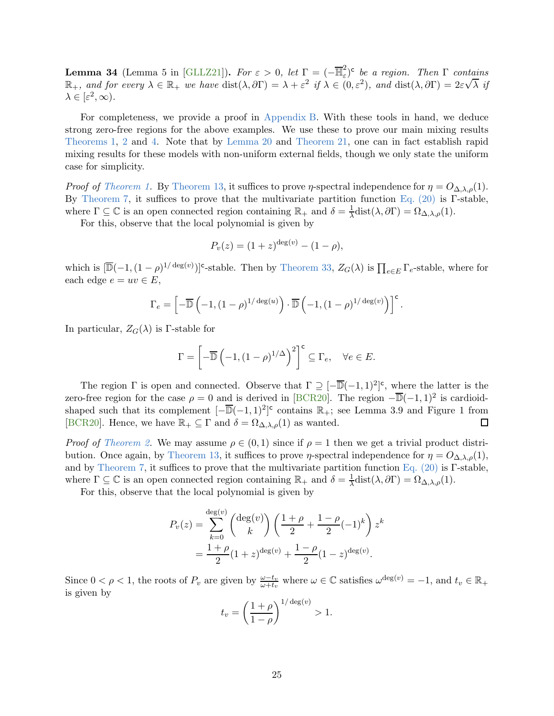**Lemma 34** (Lemma 5 in [\[GLLZ21\]](#page-34-6)). For  $\varepsilon > 0$ , let  $\Gamma = (-\overline{\mathbb{H}}_{\varepsilon}^2)$  $(\varepsilon^2)$ <sup>c</sup> be a region. Then  $\Gamma$  contains  $\mathbb{R}_+$ , and for every  $\lambda \in \mathbb{R}_+$  we have  $dist(\lambda, \partial \Gamma) = \lambda + \varepsilon^2$  if  $\lambda \in (0, \varepsilon^2)$ , and  $dist(\lambda, \partial \Gamma) = 2\varepsilon\sqrt{\lambda}$  if  $\lambda \in [\varepsilon^2, \infty).$ 

For completeness, we provide a proof in [Appendix B.](#page-42-0) With these tools in hand, we deduce strong zero-free regions for the above examples. We use these to prove our main mixing results [Theorems 1,](#page-2-0) [2](#page-3-0) and [4.](#page-3-1) Note that by [Lemma 20](#page-9-4) and [Theorem 21,](#page-9-0) one can in fact establish rapid mixing results for these models with non-uniform external fields, though we only state the uniform case for simplicity.

*Proof of [Theorem 1.](#page-2-0)* By [Theorem 13,](#page-8-3) it suffices to prove  $\eta$ -spectral independence for  $\eta = O_{\Delta,\lambda,\rho}(1)$ . By [Theorem 7,](#page-4-0) it suffices to prove that the multivariate partition function [Eq. \(20\)](#page-23-1) is Γ-stable, where  $\Gamma \subseteq \mathbb{C}$  is an open connected region containing  $\mathbb{R}_+$  and  $\delta = \frac{1}{\lambda}$  $\frac{1}{\lambda}$ dist $(\lambda, \partial \Gamma) = \Omega_{\Delta, \lambda, \rho}(1)$ .

For this, observe that the local polynomial is given by

$$
P_v(z) = (1+z)^{\deg(v)} - (1-\rho),
$$

which is  $[\overline{\mathbb{D}}(-1,(1-\rho)^{1/\deg(v)})]^{c}$ -stable. Then by [Theorem 33,](#page-24-0)  $Z_{G}(\lambda)$  is  $\prod_{e\in E}\Gamma_{e}$ -stable, where for each edge  $e = uv \in E$ ,

$$
\Gamma_e = \left[ -\overline{\mathbb{D}} \left( -1, (1-\rho)^{1/\deg(u)} \right) \cdot \overline{\mathbb{D}} \left( -1, (1-\rho)^{1/\deg(v)} \right) \right]^{\mathsf{c}}.
$$

In particular,  $Z_G(\lambda)$  is Γ-stable for

$$
\Gamma = \left[ -\overline{\mathbb{D}} \left( -1, (1-\rho)^{1/\Delta} \right)^2 \right]^{\mathsf{c}} \subseteq \Gamma_e, \quad \forall e \in E.
$$

The region  $\Gamma$  is open and connected. Observe that  $\Gamma \supseteq [-\overline{\mathbb{D}}(-1,1)^2]^c$ , where the latter is the zero-free region for the case  $\rho = 0$  and is derived in [\[BCR20\]](#page-33-3). The region  $-\overline{\mathbb{D}}(-1,1)^2$  is cardioidshaped such that its complement  $[-\overline{\mathbb{D}}(-1,1)^2]^c$  contains  $\mathbb{R}_+$ ; see Lemma 3.9 and Figure 1 from [\[BCR20\]](#page-33-3). Hence, we have  $\mathbb{R}_+ \subseteq \Gamma$  and  $\delta = \Omega_{\Delta,\lambda,\rho}(1)$  as wanted.  $\Box$ 

*Proof of [Theorem 2.](#page-3-0)* We may assume  $\rho \in (0,1)$  since if  $\rho = 1$  then we get a trivial product distri-bution. Once again, by [Theorem 13,](#page-8-3) it suffices to prove  $\eta$ -spectral independence for  $\eta = O_{\Delta,\lambda,\rho}(1)$ , and by [Theorem 7,](#page-4-0) it suffices to prove that the multivariate partition function [Eq. \(20\)](#page-23-1) is Γ-stable, where  $\Gamma \subseteq \mathbb{C}$  is an open connected region containing  $\mathbb{R}_+$  and  $\delta = \frac{1}{\lambda} \text{dist}(\lambda, \partial \Gamma) = \Omega_{\Delta, \lambda, \rho}(1)$ .

For this, observe that the local polynomial is given by

$$
P_v(z) = \sum_{k=0}^{\deg(v)} {\deg(v) \choose k} \left(\frac{1+\rho}{2} + \frac{1-\rho}{2}(-1)^k\right) z^k
$$
  
= 
$$
\frac{1+\rho}{2} (1+z)^{\deg(v)} + \frac{1-\rho}{2} (1-z)^{\deg(v)}.
$$

Since  $0 < \rho < 1$ , the roots of  $P_v$  are given by  $\frac{\omega - t_v}{\omega + t_v}$  where  $\omega \in \mathbb{C}$  satisfies  $\omega^{\deg(v)} = -1$ , and  $t_v \in \mathbb{R}_+$ is given by

$$
t_v = \left(\frac{1+\rho}{1-\rho}\right)^{1/\deg(v)} > 1.
$$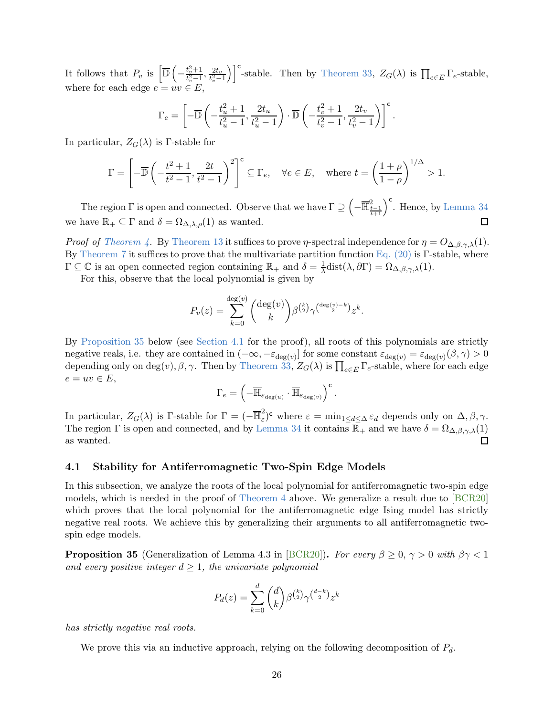It follows that  $P_v$  is  $\overline{\mathbb{D}}$  (  $-\frac{t_v^2+1}{t_v^2-1}$  $\frac{t_v^2+1}{t_v^2-1}, \frac{2t_v}{t_v^2-1}$  $t_v^2 - 1$ )<sup>c</sup>-stable. Then by [Theorem 33,](#page-24-0)  $Z_G(\lambda)$  is  $\prod_{e \in E} \Gamma_e$ -stable, where for each edge  $e = uv \in E$ ,

$$
\Gamma_e = \left[ -\overline{\mathbb{D}} \left( -\frac{t_u^2 + 1}{t_u^2 - 1}, \frac{2t_u}{t_u^2 - 1} \right) \cdot \overline{\mathbb{D}} \left( -\frac{t_v^2 + 1}{t_v^2 - 1}, \frac{2t_v}{t_v^2 - 1} \right) \right]^\mathsf{c}.
$$

In particular,  $Z_G(\lambda)$  is Γ-stable for

$$
\Gamma = \left[ -\overline{\mathbb{D}} \left( -\frac{t^2 + 1}{t^2 - 1}, \frac{2t}{t^2 - 1} \right)^2 \right]^{\mathsf{c}} \subseteq \Gamma_e, \quad \forall e \in E, \quad \text{where } t = \left( \frac{1 + \rho}{1 - \rho} \right)^{1/\Delta} > 1.
$$

The region  $\Gamma$  is open and connected. Observe that we have  $\Gamma \supseteq \left(-\overline{\mathbb{H}}_{\frac{t-1}{t+1}}^2\right)^{\mathsf{c}}$ . Hence, by [Lemma 34](#page-24-1) we have  $\mathbb{R}_+ \subseteq \Gamma$  and  $\delta = \Omega_{\Delta,\lambda,\rho}(1)$  as wanted. П

*Proof of [Theorem 4.](#page-3-1)* By [Theorem 13](#page-8-3) it suffices to prove *η*-spectral independence for  $\eta = O_{\Delta,\beta,\gamma,\lambda}(1)$ . By [Theorem 7](#page-4-0) it suffices to prove that the multivariate partition function [Eq. \(20\)](#page-23-1) is Γ-stable, where  $\Gamma \subseteq \mathbb{C}$  is an open connected region containing  $\mathbb{R}_+$  and  $\delta = \frac{1}{\lambda}$  $\frac{1}{\lambda}$ dist $(\lambda, \partial \Gamma) = \Omega_{\Delta, \beta, \gamma, \lambda}(1)$ .

For this, observe that the local polynomial is given by

$$
P_v(z) = \sum_{k=0}^{\deg(v)} {\deg(v) \choose k} \beta^{\binom{k}{2}} \gamma^{\binom{\deg(v)-k}{2}} z^k.
$$

By [Proposition 35](#page-26-0) below (see [Section 4.1](#page-26-1) for the proof), all roots of this polynomials are strictly negative reals, i.e. they are contained in  $(-\infty, -\varepsilon_{\deg(v)})$  for some constant  $\varepsilon_{\deg(v)} = \varepsilon_{\deg(v)}(\beta, \gamma) > 0$ depending only on  $\deg(v)$ ,  $\beta$ ,  $\gamma$ . Then by [Theorem 33,](#page-24-0)  $Z_G(\lambda)$  is  $\prod_{e \in E} \Gamma_e$ -stable, where for each edge  $e = uv \in E$ ,

$$
\Gamma_e = \left(-\overline{\mathbb{H}}_{\varepsilon_{\deg(u)}} \cdot \overline{\mathbb{H}}_{\varepsilon_{\deg(v)}}\right)^\mathsf{c}.
$$

In particular,  $Z_G(\lambda)$  is Γ-stable for  $\Gamma = (-\overline{\mathbb{H}}_{\varepsilon}^2)$ <sup>2</sup>/<sub>ε</sub>)<sup>c</sup> where  $\varepsilon = \min_{1 \le d \le \Delta} \varepsilon_d$  depends only on  $\Delta, \beta, \gamma$ . The region  $\Gamma$  is open and connected, and by [Lemma 34](#page-24-1) it contains  $\mathbb{R}_+$  and we have  $\delta = \Omega_{\Delta,\beta,\gamma,\lambda}(1)$ as wanted.  $\Box$ 

# <span id="page-26-1"></span>4.1 Stability for Antiferromagnetic Two-Spin Edge Models

In this subsection, we analyze the roots of the local polynomial for antiferromagnetic two-spin edge models, which is needed in the proof of [Theorem 4](#page-3-1) above. We generalize a result due to [\[BCR20\]](#page-33-3) which proves that the local polynomial for the antiferromagnetic edge Ising model has strictly negative real roots. We achieve this by generalizing their arguments to all antiferromagnetic twospin edge models.

<span id="page-26-0"></span>**Proposition 35** (Generalization of Lemma 4.3 in [\[BCR20\]](#page-33-3)). For every  $\beta \geq 0$ ,  $\gamma > 0$  with  $\beta \gamma < 1$ and every positive integer  $d \geq 1$ , the univariate polynomial

$$
P_d(z) = \sum_{k=0}^{d} \binom{d}{k} \beta^{\binom{k}{2}} \gamma^{\binom{d-k}{2}} z^k
$$

has strictly negative real roots.

<span id="page-26-2"></span>We prove this via an inductive approach, relying on the following decomposition of  $P_d$ .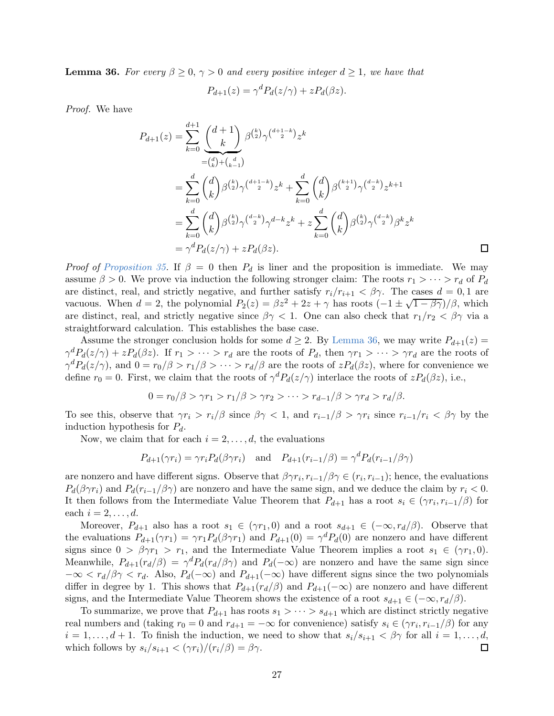**Lemma 36.** For every  $\beta \geq 0$ ,  $\gamma > 0$  and every positive integer  $d \geq 1$ , we have that

$$
P_{d+1}(z) = \gamma^d P_d(z/\gamma) + z P_d(\beta z).
$$

Proof. We have

$$
P_{d+1}(z) = \sum_{k=0}^{d+1} \frac{\binom{d+1}{k}}{\binom{d}{k}} \beta^{\binom{k}{2}} \gamma^{\binom{d+1-k}{2}} z^k
$$
  
\n
$$
= \sum_{k=0}^d \binom{d}{k} \beta^{\binom{k}{2}} \gamma^{\binom{d+1-k}{2}} z^k + \sum_{k=0}^d \binom{d}{k} \beta^{\binom{k+1}{2}} \gamma^{\binom{d-k}{2}} z^{k+1}
$$
  
\n
$$
= \sum_{k=0}^d \binom{d}{k} \beta^{\binom{k}{2}} \gamma^{\binom{d-k}{2}} \gamma^{d-k} z^k + z \sum_{k=0}^d \binom{d}{k} \beta^{\binom{k}{2}} \gamma^{\binom{d-k}{2}} \beta^k z^k
$$
  
\n
$$
= \gamma^d P_d(z/\gamma) + z P_d(\beta z).
$$

*Proof of [Proposition 35.](#page-26-0)* If  $\beta = 0$  then  $P_d$  is liner and the proposition is immediate. We may assume  $\beta > 0$ . We prove via induction the following stronger claim: The roots  $r_1 > \cdots > r_d$  of  $P_d$ are distinct, real, and strictly negative, and further satisfy  $r_i/r_{i+1} < \beta \gamma$ . The cases  $d = 0, 1$  are vacuous. When  $d = 2$ , the polynomial  $P_2(z) = \beta z^2 + 2z + \gamma$  has roots  $\left(-1 \pm \sqrt{1-\beta\gamma}\right)/\beta$ , which are distinct, real, and strictly negative since  $\beta \gamma < 1$ . One can also check that  $r_1/r_2 < \beta \gamma$  via a straightforward calculation. This establishes the base case.

Assume the stronger conclusion holds for some  $d \geq 2$ . By [Lemma 36,](#page-26-2) we may write  $P_{d+1}(z)$  $\gamma^d P_d(z/\gamma) + z P_d(\beta z)$ . If  $r_1 > \cdots > r_d$  are the roots of  $P_d$ , then  $\gamma r_1 > \cdots > \gamma r_d$  are the roots of  $\gamma^d P_d(z/\gamma)$ , and  $0 = r_0/\beta > r_1/\beta > \cdots > r_d/\beta$  are the roots of  $zP_d(\beta z)$ , where for convenience we define  $r_0 = 0$ . First, we claim that the roots of  $\gamma^d P_d(z/\gamma)$  interlace the roots of  $zP_d(\beta z)$ , i.e.,

$$
0 = r_0/\beta > \gamma r_1 > r_1/\beta > \gamma r_2 > \cdots > r_{d-1}/\beta > \gamma r_d > r_d/\beta.
$$

To see this, observe that  $\gamma r_i > r_i/\beta$  since  $\beta \gamma < 1$ , and  $r_{i-1}/\beta > \gamma r_i$  since  $r_{i-1}/r_i < \beta \gamma$  by the induction hypothesis for  $P_d$ .

Now, we claim that for each  $i = 2, \ldots, d$ , the evaluations

$$
P_{d+1}(\gamma r_i) = \gamma r_i P_d(\beta \gamma r_i) \quad \text{and} \quad P_{d+1}(r_{i-1}/\beta) = \gamma^d P_d(r_{i-1}/\beta \gamma)
$$

are nonzero and have different signs. Observe that  $\beta\gamma r_i, r_{i-1}/\beta\gamma \in (r_i, r_{i-1})$ ; hence, the evaluations  $P_d(\beta \gamma r_i)$  and  $P_d(r_{i-1}/\beta \gamma)$  are nonzero and have the same sign, and we deduce the claim by  $r_i < 0$ . It then follows from the Intermediate Value Theorem that  $P_{d+1}$  has a root  $s_i \in (\gamma r_i, r_{i-1}/\beta)$  for each  $i = 2, \ldots, d$ .

Moreover,  $P_{d+1}$  also has a root  $s_1 \in (\gamma r_1, 0)$  and a root  $s_{d+1} \in (-\infty, r_d/\beta)$ . Observe that the evaluations  $P_{d+1}(\gamma r_1) = \gamma r_1 P_d(\beta \gamma r_1)$  and  $P_{d+1}(0) = \gamma^d P_d(0)$  are nonzero and have different signs since  $0 > \beta \gamma r_1 > r_1$ , and the Intermediate Value Theorem implies a root  $s_1 \in (\gamma r_1, 0)$ . Meanwhile,  $P_{d+1}(r_d/\beta) = \gamma^d P_d(r_d/\beta\gamma)$  and  $P_d(-\infty)$  are nonzero and have the same sign since  $-\infty < r_d/\beta\gamma < r_d$ . Also,  $P_d(-\infty)$  and  $P_{d+1}(-\infty)$  have different signs since the two polynomials differ in degree by 1. This shows that  $P_{d+1}(r_d/\beta)$  and  $P_{d+1}(-\infty)$  are nonzero and have different signs, and the Intermediate Value Theorem shows the existence of a root  $s_{d+1} \in (-\infty, r_d/\beta)$ .

To summarize, we prove that  $P_{d+1}$  has roots  $s_1 > \cdots > s_{d+1}$  which are distinct strictly negative real numbers and (taking  $r_0 = 0$  and  $r_{d+1} = -\infty$  for convenience) satisfy  $s_i \in (\gamma r_i, r_{i-1}/\beta)$  for any  $i = 1, \ldots, d + 1$ . To finish the induction, we need to show that  $s_i/s_{i+1} < \beta \gamma$  for all  $i = 1, \ldots, d$ , which follows by  $s_i/s_{i+1} < (\gamma r_i)/(r_i/\beta) = \beta \gamma$ .  $\Box$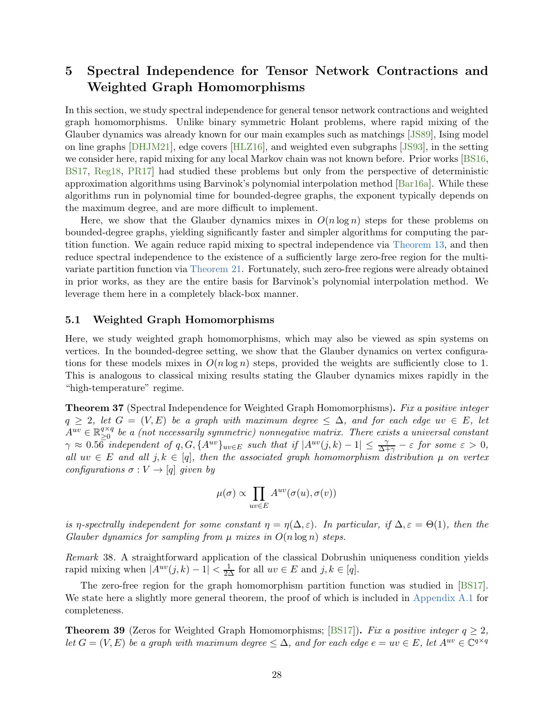# <span id="page-28-0"></span>5 Spectral Independence for Tensor Network Contractions and Weighted Graph Homomorphisms

In this section, we study spectral independence for general tensor network contractions and weighted graph homomorphisms. Unlike binary symmetric Holant problems, where rapid mixing of the Glauber dynamics was already known for our main examples such as matchings [\[JS89\]](#page-34-8), Ising model on line graphs [\[DHJM21\]](#page-34-9), edge covers [\[HLZ16\]](#page-34-5), and weighted even subgraphs [\[JS93\]](#page-35-6), in the setting we consider here, rapid mixing for any local Markov chain was not known before. Prior works [\[BS16,](#page-34-10) [BS17,](#page-34-11) [Reg18,](#page-35-10) [PR17\]](#page-35-1) had studied these problems but only from the perspective of deterministic approximation algorithms using Barvinok's polynomial interpolation method [\[Bar16a\]](#page-33-0). While these algorithms run in polynomial time for bounded-degree graphs, the exponent typically depends on the maximum degree, and are more difficult to implement.

Here, we show that the Glauber dynamics mixes in  $O(n \log n)$  steps for these problems on bounded-degree graphs, yielding significantly faster and simpler algorithms for computing the partition function. We again reduce rapid mixing to spectral independence via [Theorem 13,](#page-8-3) and then reduce spectral independence to the existence of a sufficiently large zero-free region for the multivariate partition function via [Theorem 21.](#page-9-0) Fortunately, such zero-free regions were already obtained in prior works, as they are the entire basis for Barvinok's polynomial interpolation method. We leverage them here in a completely black-box manner.

# 5.1 Weighted Graph Homomorphisms

Here, we study weighted graph homomorphisms, which may also be viewed as spin systems on vertices. In the bounded-degree setting, we show that the Glauber dynamics on vertex configurations for these models mixes in  $O(n \log n)$  steps, provided the weights are sufficiently close to 1. This is analogous to classical mixing results stating the Glauber dynamics mixes rapidly in the "high-temperature" regime.

<span id="page-28-1"></span>Theorem 37 (Spectral Independence for Weighted Graph Homomorphisms). Fix a positive integer  $q \geq 2$ , let  $G = (V, E)$  be a graph with maximum degree  $\leq \Delta$ , and for each edge uv  $\in E$ , let  $A^{uv} \in \mathbb{R}_{\geq 0}^{q \times q}$  $\sum_{i=0}^{q \times q}$  be a (not necessarily symmetric) nonnegative matrix. There exists a universal constant  $\gamma \approx 0.5\bar{6}$  independent of q,  $G, \{A^{uv}\}_{uv\in E}$  such that if  $|A^{uv}(j,k)-1| \leq \frac{\gamma}{\Delta+\gamma} - \varepsilon$  for some  $\varepsilon > 0$ , all  $uv \in E$  and all  $j, k \in [q]$ , then the associated graph homomorphism distribution  $\mu$  on vertex configurations  $\sigma: V \to [q]$  given by

$$
\mu(\sigma) \propto \prod_{uv \in E} A^{uv}(\sigma(u), \sigma(v))
$$

is η-spectrally independent for some constant  $\eta = \eta(\Delta, \varepsilon)$ . In particular, if  $\Delta, \varepsilon = \Theta(1)$ , then the Glauber dynamics for sampling from  $\mu$  mixes in  $O(n \log n)$  steps.

Remark 38. A straightforward application of the classical Dobrushin uniqueness condition yields rapid mixing when  $|A^{uv}(j,k) - 1| < \frac{1}{2\Delta}$  for all  $uv \in E$  and  $j, k \in [q]$ .

The zero-free region for the graph homomorphism partition function was studied in [\[BS17\]](#page-34-11). We state here a slightly more general theorem, the proof of which is included in [Appendix A.1](#page-36-0) for completeness.

<span id="page-28-2"></span>**Theorem 39** (Zeros for Weighted Graph Homomorphisms; [\[BS17\]](#page-34-11)). Fix a positive integer  $q \geq 2$ , let  $G = (V, E)$  be a graph with maximum degree  $\leq \Delta$ , and for each edge  $e = uv \in E$ , let  $A^{uv} \in \mathbb{C}^{q \times q}$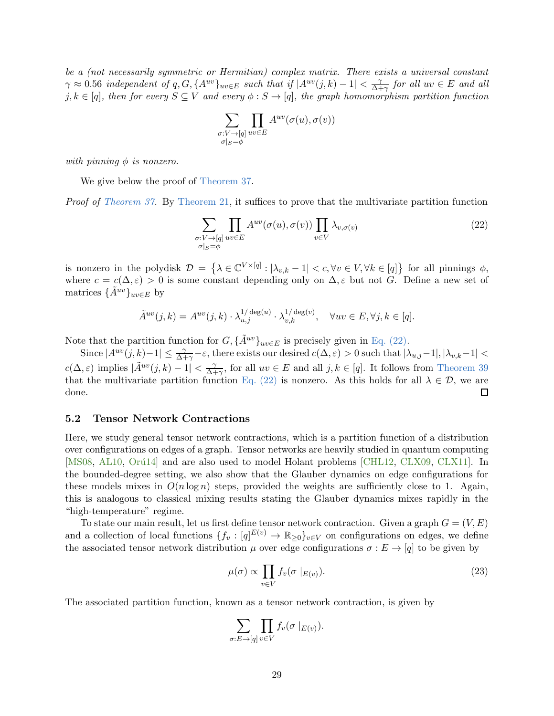be a (not necessarily symmetric or Hermitian) complex matrix. There exists a universal constant  $\gamma \approx 0.56$  independent of q, G,  $\{A^{uv}\}_{uv \in E}$  such that if  $|A^{uv}(j,k) - 1| < \frac{\gamma}{\Delta + 1}$  $\frac{\gamma}{\Delta + \gamma}$  for all  $uv \in E$  and all j,  $k \in [q]$ , then for every  $S \subseteq V$  and every  $\phi : S \to [q]$ , the graph homomorphism partition function

<span id="page-29-0"></span>
$$
\sum_{\substack{\sigma:V\rightarrow [q] \\ \sigma|_S=\phi}}\prod_{uv\in E}A^{uv}(\sigma(u),\sigma(v))
$$

with pinning  $\phi$  is nonzero.

We give below the proof of [Theorem 37.](#page-28-1)

Proof of [Theorem 37.](#page-28-1) By [Theorem 21,](#page-9-0) it suffices to prove that the multivariate partition function

$$
\sum_{\substack{\sigma: V \to [q] \\ \sigma|_S = \phi}} \prod_{uv \in E} A^{uv}(\sigma(u), \sigma(v)) \prod_{v \in V} \lambda_{v, \sigma(v)}
$$
(22)

is nonzero in the polydisk  $\mathcal{D} = \{ \lambda \in \mathbb{C}^{V \times [q]} : |\lambda_{v,k} - 1| < c, \forall v \in V, \forall k \in [q] \}$  for all pinnings  $\phi$ , where  $c = c(\Delta, \varepsilon) > 0$  is some constant depending only on  $\Delta, \varepsilon$  but not G. Define a new set of matrices  $\{\tilde{A}^{uv}\}_{uv\in E}$  by

$$
\tilde{A}^{uv}(j,k) = A^{uv}(j,k) \cdot \lambda_{u,j}^{1/\deg(u)} \cdot \lambda_{v,k}^{1/\deg(v)}, \quad \forall uv \in E, \forall j, k \in [q].
$$

Note that the partition function for  $G, {\{\tilde{A}}^{uv}\}_{uv\in E}$  is precisely given in [Eq. \(22\).](#page-29-0)

Since  $|A^{uv}(j,k)-1|\leq \frac{\gamma}{\Delta+\gamma}-\varepsilon$ , there exists our desired  $c(\Delta,\varepsilon)>0$  such that  $|\lambda_{u,j}-1|, |\lambda_{v,k}-1|<\frac{\gamma}{\Delta+\gamma}$  $c(\Delta, \varepsilon)$  implies  $|\tilde{A}^{uv}(j,k) - 1| < \frac{\gamma}{\Delta + 1}$  $\frac{\gamma}{\Delta+\gamma}$ , for all  $uv \in E$  and all  $j, k \in [q]$ . It follows from [Theorem 39](#page-28-2) that the multivariate partition function [Eq. \(22\)](#page-29-0) is nonzero. As this holds for all  $\lambda \in \mathcal{D}$ , we are done. done.

### 5.2 Tensor Network Contractions

Here, we study general tensor network contractions, which is a partition function of a distribution over configurations on edges of a graph. Tensor networks are heavily studied in quantum computing [\[MS08,](#page-35-13) [AL10,](#page-33-11) Orú14] and are also used to model Holant problems [\[CHL12,](#page-34-12) [CLX09,](#page-34-13) [CLX11\]](#page-34-14). In the bounded-degree setting, we also show that the Glauber dynamics on edge configurations for these models mixes in  $O(n \log n)$  steps, provided the weights are sufficiently close to 1. Again, this is analogous to classical mixing results stating the Glauber dynamics mixes rapidly in the "high-temperature" regime.

To state our main result, let us first define tensor network contraction. Given a graph  $G = (V, E)$ and a collection of local functions  $\{f_v: [q]^{E(v)} \to \mathbb{R}_{\geq 0}\}_{v \in V}$  on configurations on edges, we define the associated tensor network distribution  $\mu$  over edge configurations  $\sigma : E \to [q]$  to be given by

<span id="page-29-1"></span>
$$
\mu(\sigma) \propto \prod_{v \in V} f_v(\sigma \mid_{E(v)}).
$$
\n(23)

The associated partition function, known as a tensor network contraction, is given by

$$
\sum_{\sigma: E \to [q]} \prod_{v \in V} f_v(\sigma |_{E(v)}).
$$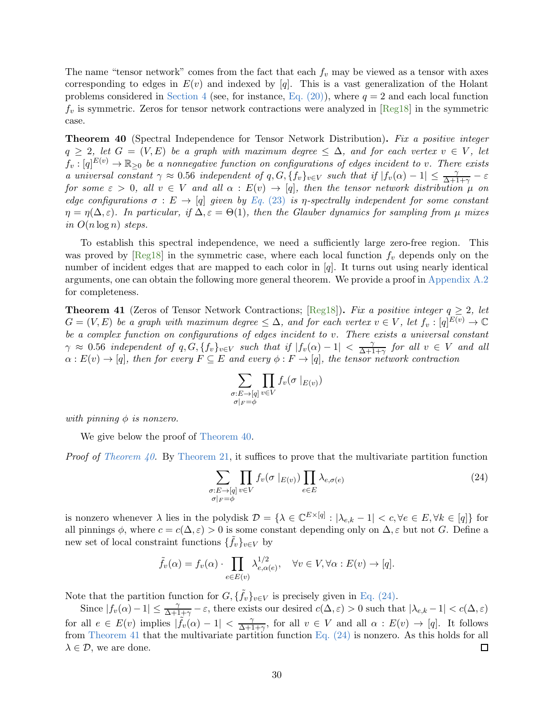The name "tensor network" comes from the fact that each  $f_v$  may be viewed as a tensor with axes corresponding to edges in  $E(v)$  and indexed by [q]. This is a vast generalization of the Holant problems considered in [Section 4](#page-23-0) (see, for instance, Eq.  $(20)$ ), where  $q = 2$  and each local function  $f_v$  is symmetric. Zeros for tensor network contractions were analyzed in  $[\text{Reg18}]$  in the symmetric case.

<span id="page-30-0"></span>**Theorem 40** (Spectral Independence for Tensor Network Distribution). Fix a positive integer  $q \geq 2$ , let  $G = (V, E)$  be a graph with maximum degree  $\leq \Delta$ , and for each vertex  $v \in V$ , let  $f_v:[q]^{E(v)}\to\mathbb{R}_{\geq 0}$  be a nonnegative function on configurations of edges incident to v. There exists a universal constant  $\gamma \approx 0.56$  independent of  $q, G, \{f_v\}_{v \in V}$  such that if  $|f_v(\alpha) - 1| \leq \frac{\gamma}{\Delta + 1 + \gamma} - \varepsilon$ for some  $\varepsilon > 0$ , all  $v \in V$  and all  $\alpha : E(v) \to [q]$ , then the tensor network distribution  $\mu$  on edge configurations  $\sigma : E \to [q]$  given by Eq. [\(23\)](#page-29-1) is *η*-spectrally independent for some constant  $\eta = \eta(\Delta, \varepsilon)$ . In particular, if  $\Delta, \varepsilon = \Theta(1)$ , then the Glauber dynamics for sampling from  $\mu$  mixes in  $O(n \log n)$  steps.

To establish this spectral independence, we need a sufficiently large zero-free region. This was proved by  $[Reg18]$  in the symmetric case, where each local function  $f_v$  depends only on the number of incident edges that are mapped to each color in [q]. It turns out using nearly identical arguments, one can obtain the following more general theorem. We provide a proof in [Appendix A.2](#page-39-0) for completeness.

<span id="page-30-2"></span>**Theorem 41** (Zeros of Tensor Network Contractions; [\[Reg18\]](#page-35-10)). Fix a positive integer  $q \geq 2$ , let  $G = (V, E)$  be a graph with maximum degree  $\leq \Delta$ , and for each vertex  $v \in V$ , let  $f_v : [q]^{E(v)} \to \mathbb{C}$ be a complex function on configurations of edges incident to v. There exists a universal constant  $\gamma \approx 0.56$  independent of q,  $G, \{f_v\}_{v \in V}$  such that if  $|f_v(\alpha) - 1| < \frac{\gamma}{\Delta + 1}$  $\frac{\gamma}{\Delta+1+\gamma}$  for all  $v \in V$  and all  $\alpha: E(v) \to [q]$ , then for every  $F \subseteq E$  and every  $\phi: F \to [q]$ , the tensor network contraction

<span id="page-30-1"></span>
$$
\sum_{\substack{\sigma: E \to [q] \\ \sigma|_F = \phi}} \prod_{v \in V} f_v(\sigma |_{E(v)})
$$

with pinning  $\phi$  is nonzero.

We give below the proof of [Theorem 40.](#page-30-0)

*Proof of [Theorem 40.](#page-30-0)* By [Theorem 21,](#page-9-0) it suffices to prove that the multivariate partition function

$$
\sum_{\substack{\sigma: E \to [q] \\ \sigma|_F = \phi}} \prod_{v \in V} f_v(\sigma |_{E(v)}) \prod_{e \in E} \lambda_{e, \sigma(e)} \tag{24}
$$

is nonzero whenever  $\lambda$  lies in the polydisk  $\mathcal{D} = {\lambda \in \mathbb{C}^{E\times [q]} : |\lambda_{e,k} - 1| < c, \forall e \in E, \forall k \in [q]}$  for all pinnings  $\phi$ , where  $c = c(\Delta, \varepsilon) > 0$  is some constant depending only on  $\Delta, \varepsilon$  but not G. Define a new set of local constraint functions  $\{\tilde{f}_v\}_{v\in V}$  by

$$
\tilde{f}_v(\alpha) = f_v(\alpha) \cdot \prod_{e \in E(v)} \lambda_{e, \alpha(e)}^{1/2}, \quad \forall v \in V, \forall \alpha : E(v) \to [q].
$$

Note that the partition function for  $G, {\{\tilde{f}_v\}}_{v\in V}$  is precisely given in [Eq. \(24\).](#page-30-1)

Since  $|f_v(\alpha)-1|\leq \frac{\gamma}{\Delta+1+\gamma}-\varepsilon$ , there exists our desired  $c(\Delta,\varepsilon)>0$  such that  $|\lambda_{e,k}-1|< c(\Delta,\varepsilon)$ for all  $e \in E(v)$  implies  $|\tilde{f}_v(\alpha) - 1| < \frac{\gamma}{\Delta + 1}$  $\frac{\gamma}{\Delta+1+\gamma}$ , for all  $v \in V$  and all  $\alpha : E(v) \to [q]$ . It follows from [Theorem 41](#page-30-2) that the multivariate partition function Eq.  $(24)$  is nonzero. As this holds for all  $\lambda \in \mathcal{D}$ , we are done. 囗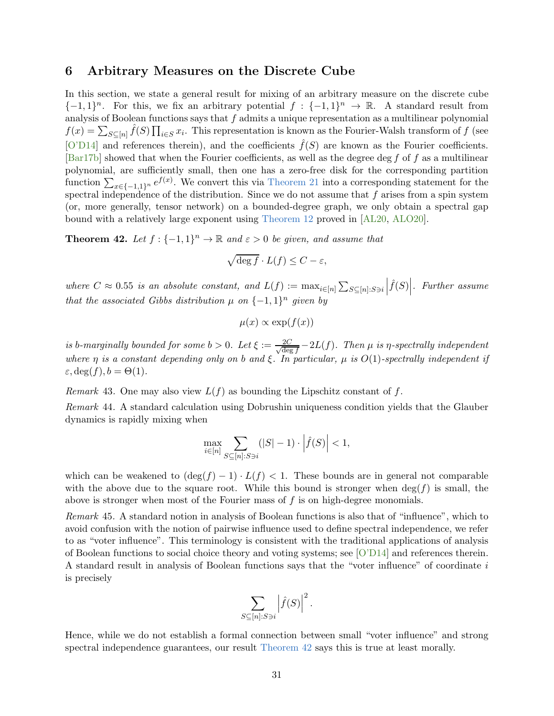# <span id="page-31-0"></span>6 Arbitrary Measures on the Discrete Cube

In this section, we state a general result for mixing of an arbitrary measure on the discrete cube  $\{-1,1\}^n$ . For this, we fix an arbitrary potential  $f: \{-1,1\}^n \to \mathbb{R}$ . A standard result from analysis of Boolean functions says that  $f$  admits a unique representation as a multilinear polynomial  $f(x) = \sum_{S \subseteq [n]} \hat{f}(S) \prod_{i \in S} x_i$ . This representation is known as the Fourier-Walsh transform of f (see [\[O'D14\]](#page-35-15) and references therein), and the coefficients  $\hat{f}(S)$  are known as the Fourier coefficients.  $\lceil \text{Bar17b} \rceil$  showed that when the Fourier coefficients, as well as the degree deg f of f as a multilinear polynomial, are sufficiently small, then one has a zero-free disk for the corresponding partition function  $\sum_{x\in\{-1,1\}^n} e^{f(x)}$ . We convert this via [Theorem 21](#page-9-0) into a corresponding statement for the spectral independence of the distribution. Since we do not assume that  $f$  arises from a spin system (or, more generally, tensor network) on a bounded-degree graph, we only obtain a spectral gap bound with a relatively large exponent using [Theorem 12](#page-7-1) proved in [\[AL20,](#page-33-9) [ALO20\]](#page-33-1).

<span id="page-31-1"></span>**Theorem 42.** Let  $f: \{-1, 1\}^n \to \mathbb{R}$  and  $\varepsilon > 0$  be given, and assume that

$$
\sqrt{\deg f} \cdot L(f) \le C - \varepsilon,
$$

where  $C \approx 0.55$  is an absolute constant, and  $L(f) := \max_{i \in [n]} \sum_{S \subseteq [n]: S \ni i}$  $\left|\widehat{f}(S)\right|$ . Further assume that the associated Gibbs distribution  $\mu$  on  $\{-1,1\}^n$  given by

$$
\mu(x) \propto \exp(f(x))
$$

is b-marginally bounded for some  $b > 0$ . Let  $\xi := \frac{2C}{\sqrt{det}}$  $\frac{2C}{\deg f} - 2L(f)$ . Then  $\mu$  is  $\eta$ -spectrally independent where  $\eta$  is a constant depending only on b and  $\xi$ . In particular,  $\mu$  is  $O(1)$ -spectrally independent if  $\varepsilon, \deg(f), b = \Theta(1).$ 

*Remark* 43. One may also view  $L(f)$  as bounding the Lipschitz constant of f.

Remark 44. A standard calculation using Dobrushin uniqueness condition yields that the Glauber dynamics is rapidly mixing when

$$
\max_{i \in [n]} \sum_{S \subseteq [n]: S \ni i} (|S| - 1) \cdot \left| \hat{f}(S) \right| < 1,
$$

which can be weakened to  $(\deg(f) - 1) \cdot L(f) < 1$ . These bounds are in general not comparable with the above due to the square root. While this bound is stronger when  $\deg(f)$  is small, the above is stronger when most of the Fourier mass of f is on high-degree monomials.

Remark 45. A standard notion in analysis of Boolean functions is also that of "influence", which to avoid confusion with the notion of pairwise influence used to define spectral independence, we refer to as "voter influence". This terminology is consistent with the traditional applications of analysis of Boolean functions to social choice theory and voting systems; see [\[O'D14\]](#page-35-15) and references therein. A standard result in analysis of Boolean functions says that the "voter influence" of coordinate i is precisely

$$
\sum_{S \subseteq [n]: S \ni i} \left| \hat{f}(S) \right|^2.
$$

Hence, while we do not establish a formal connection between small "voter influence" and strong spectral independence guarantees, our result [Theorem 42](#page-31-1) says this is true at least morally.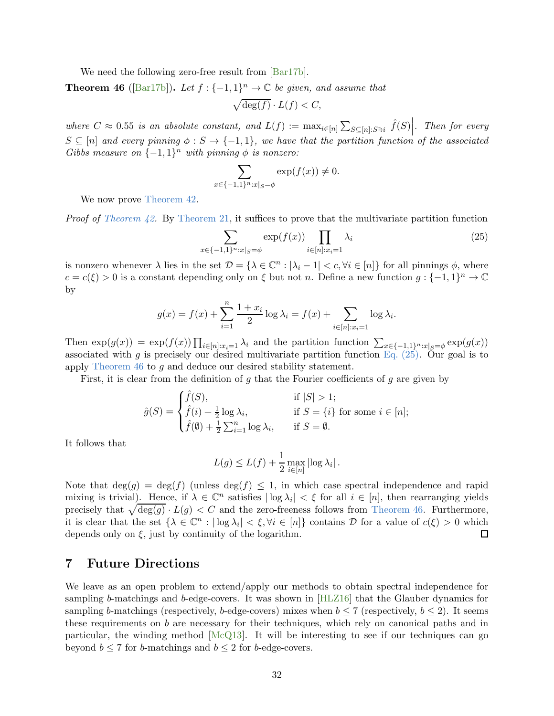<span id="page-32-1"></span>We need the following zero-free result from  $\left[\text{Bar17b}\right]$ .

**Theorem 46** ([\[Bar17b\]](#page-33-8)). Let  $f: \{-1, 1\}^n \to \mathbb{C}$  be given, and assume that

$$
\sqrt{\deg(f)} \cdot L(f) < C,
$$

where  $C \approx 0.55$  is an absolute constant, and  $L(f) := \max_{i \in [n]} \sum_{S \subseteq [n]: S \ni i}$  $\left|\widehat{f}(S)\right|$ . Then for every  $S \subseteq [n]$  and every pinning  $\phi : S \to \{-1,1\}$ , we have that the partition function of the associated Gibbs measure on  $\{-1,1\}^n$  with pinning  $\phi$  is nonzero:

<span id="page-32-0"></span>
$$
\sum_{x \in \{-1,1\}^n : x|_{S} = \phi} \exp(f(x)) \neq 0.
$$

We now prove Theorem  $42$ .

*Proof of [Theorem 42.](#page-31-1)* By [Theorem 21,](#page-9-0) it suffices to prove that the multivariate partition function

$$
\sum_{x \in \{-1,1\}^n : x|_{S} = \phi} \exp(f(x)) \prod_{i \in [n]: x_i = 1} \lambda_i
$$
 (25)

is nonzero whenever  $\lambda$  lies in the set  $\mathcal{D} = {\lambda \in \mathbb{C}^n : |\lambda_i - 1| < c, \forall i \in [n]}$  for all pinnings  $\phi$ , where  $c = c(\xi) > 0$  is a constant depending only on  $\xi$  but not n. Define a new function  $g: \{-1,1\}^n \to \mathbb{C}$ by

$$
g(x) = f(x) + \sum_{i=1}^{n} \frac{1 + x_i}{2} \log \lambda_i = f(x) + \sum_{i \in [n]: x_i = 1} \log \lambda_i.
$$

Then  $\exp(g(x)) = \exp(f(x)) \prod_{i \in [n]: x_i = 1} \lambda_i$  and the partition function  $\sum_{x \in \{-1,1\}^n : x|_{S} = \phi} \exp(g(x))$ associated with g is precisely our desired multivariate partition function Eq.  $(25)$ . Our goal is to apply [Theorem 46](#page-32-1) to g and deduce our desired stability statement.

First, it is clear from the definition of  $q$  that the Fourier coefficients of  $q$  are given by

$$
\hat{g}(S) = \begin{cases} \hat{f}(S), & \text{if } |S| > 1; \\ \hat{f}(i) + \frac{1}{2} \log \lambda_i, & \text{if } S = \{i\} \text{ for some } i \in [n]; \\ \hat{f}(\emptyset) + \frac{1}{2} \sum_{i=1}^n \log \lambda_i, & \text{if } S = \emptyset. \end{cases}
$$

It follows that

$$
L(g) \le L(f) + \frac{1}{2} \max_{i \in [n]} |\log \lambda_i|.
$$

Note that  $\deg(q) = \deg(f)$  (unless  $\deg(f) \leq 1$ , in which case spectral independence and rapid mixing is trivial). Hence, if  $\lambda \in \mathbb{C}^n$  satisfies  $|\log \lambda_i| < \xi$  for all  $i \in [n]$ , then rearranging yields precisely that  $\sqrt{\deg(g)} \cdot L(g) < C$  and the zero-freeness follows from [Theorem 46.](#page-32-1) Furthermore, it is clear that the set  $\{\lambda \in \mathbb{C}^n : |\log \lambda_i| < \xi, \forall i \in [n]\}$  contains  $\mathcal D$  for a value of  $c(\xi) > 0$  which depends only on  $\xi$ , just by continuity of the logarithm.

# 7 Future Directions

We leave as an open problem to extend/apply our methods to obtain spectral independence for sampling b-matchings and b-edge-covers. It was shown in [\[HLZ16\]](#page-34-5) that the Glauber dynamics for sampling b-matchings (respectively, b-edge-covers) mixes when  $b \le 7$  (respectively,  $b \le 2$ ). It seems these requirements on b are necessary for their techniques, which rely on canonical paths and in particular, the winding method [\[McQ13\]](#page-35-12). It will be interesting to see if our techniques can go beyond  $b \le 7$  for b-matchings and  $b \le 2$  for b-edge-covers.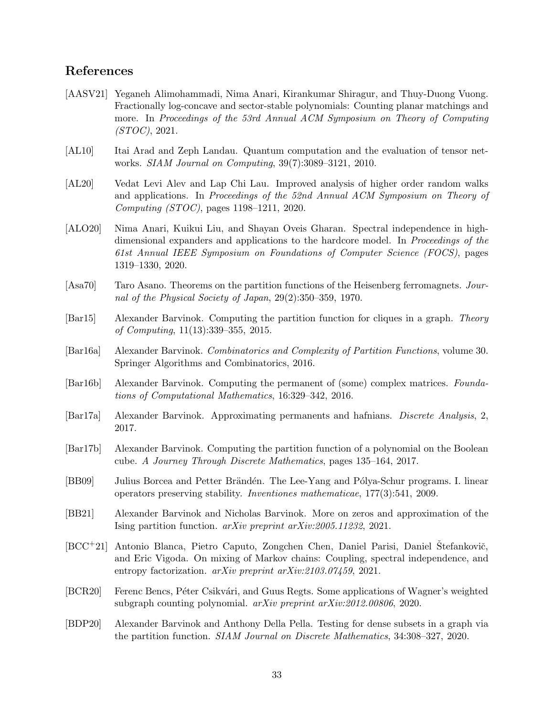# References

- <span id="page-33-4"></span>[AASV21] Yeganeh Alimohammadi, Nima Anari, Kirankumar Shiragur, and Thuy-Duong Vuong. Fractionally log-concave and sector-stable polynomials: Counting planar matchings and more. In Proceedings of the 53rd Annual ACM Symposium on Theory of Computing (STOC), 2021.
- <span id="page-33-11"></span>[AL10] Itai Arad and Zeph Landau. Quantum computation and the evaluation of tensor networks. SIAM Journal on Computing, 39(7):3089–3121, 2010.
- <span id="page-33-9"></span>[AL20] Vedat Levi Alev and Lap Chi Lau. Improved analysis of higher order random walks and applications. In Proceedings of the 52nd Annual ACM Symposium on Theory of Computing (STOC), pages 1198–1211, 2020.
- <span id="page-33-1"></span>[ALO20] Nima Anari, Kuikui Liu, and Shayan Oveis Gharan. Spectral independence in highdimensional expanders and applications to the hardcore model. In Proceedings of the 61st Annual IEEE Symposium on Foundations of Computer Science (FOCS), pages 1319–1330, 2020.
- <span id="page-33-5"></span>[Asa70] Taro Asano. Theorems on the partition functions of the Heisenberg ferromagnets. Journal of the Physical Society of Japan, 29(2):350–359, 1970.
- <span id="page-33-12"></span>[Bar15] Alexander Barvinok. Computing the partition function for cliques in a graph. Theory of Computing, 11(13):339–355, 2015.
- <span id="page-33-0"></span>[Bar16a] Alexander Barvinok. Combinatorics and Complexity of Partition Functions, volume 30. Springer Algorithms and Combinatorics, 2016.
- <span id="page-33-6"></span>[Bar16b] Alexander Barvinok. Computing the permanent of (some) complex matrices. Foundations of Computational Mathematics, 16:329–342, 2016.
- <span id="page-33-7"></span>[Bar17a] Alexander Barvinok. Approximating permanents and hafnians. Discrete Analysis, 2, 2017.
- <span id="page-33-8"></span>[Bar17b] Alexander Barvinok. Computing the partition function of a polynomial on the Boolean cube. A Journey Through Discrete Mathematics, pages 135–164, 2017.
- <span id="page-33-10"></span>[BB09] Julius Borcea and Petter Brändén. The Lee-Yang and Pólya-Schur programs. I. linear operators preserving stability. Inventiones mathematicae, 177(3):541, 2009.
- <span id="page-33-14"></span>[BB21] Alexander Barvinok and Nicholas Barvinok. More on zeros and approximation of the Ising partition function. arXiv preprint arXiv:2005.11232, 2021.
- <span id="page-33-2"></span>[BCC<sup>+</sup>21] Antonio Blanca, Pietro Caputo, Zongchen Chen, Daniel Parisi, Daniel Štefankovič, and Eric Vigoda. On mixing of Markov chains: Coupling, spectral independence, and entropy factorization. arXiv preprint arXiv:2103.07459, 2021.
- <span id="page-33-3"></span>[BCR20] Ferenc Bencs, Péter Csikvári, and Guus Regts. Some applications of Wagner's weighted subgraph counting polynomial. arXiv preprint arXiv:2012.00806, 2020.
- <span id="page-33-13"></span>[BDP20] Alexander Barvinok and Anthony Della Pella. Testing for dense subsets in a graph via the partition function. SIAM Journal on Discrete Mathematics, 34:308–327, 2020.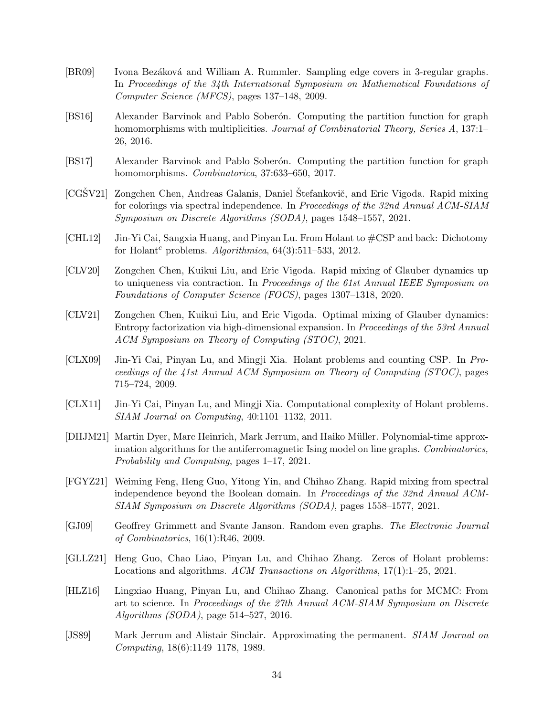- <span id="page-34-4"></span>[BR09] Ivona Bezáková and William A. Rummler. Sampling edge covers in 3-regular graphs. In Proceedings of the 34th International Symposium on Mathematical Foundations of Computer Science (MFCS), pages 137–148, 2009.
- <span id="page-34-10"></span>[BS16] Alexander Barvinok and Pablo Soberon. Computing the partition function for graph homomorphisms with multiplicities. Journal of Combinatorial Theory, Series A, 137:1– 26, 2016.
- <span id="page-34-11"></span>[BS17] Alexander Barvinok and Pablo Soberon. Computing the partition function for graph homomorphisms. Combinatorica, 37:633–650, 2017.
- <span id="page-34-2"></span>[CGSV21] Zongchen Chen, Andreas Galanis, Daniel Štefankovič, and Eric Vigoda. Rapid mixing for colorings via spectral independence. In Proceedings of the 32nd Annual ACM-SIAM Symposium on Discrete Algorithms (SODA), pages 1548–1557, 2021.
- <span id="page-34-12"></span>[CHL12] Jin-Yi Cai, Sangxia Huang, and Pinyan Lu. From Holant to #CSP and back: Dichotomy for Holant<sup>c</sup> problems. Algorithmica,  $64(3):511-533$ ,  $2012$ .
- <span id="page-34-1"></span>[CLV20] Zongchen Chen, Kuikui Liu, and Eric Vigoda. Rapid mixing of Glauber dynamics up to uniqueness via contraction. In Proceedings of the 61st Annual IEEE Symposium on Foundations of Computer Science (FOCS), pages 1307–1318, 2020.
- <span id="page-34-0"></span>[CLV21] Zongchen Chen, Kuikui Liu, and Eric Vigoda. Optimal mixing of Glauber dynamics: Entropy factorization via high-dimensional expansion. In Proceedings of the 53rd Annual ACM Symposium on Theory of Computing (STOC), 2021.
- <span id="page-34-13"></span>[CLX09] Jin-Yi Cai, Pinyan Lu, and Mingji Xia. Holant problems and counting CSP. In Proceedings of the 41st Annual ACM Symposium on Theory of Computing (STOC), pages 715–724, 2009.
- <span id="page-34-14"></span>[CLX11] Jin-Yi Cai, Pinyan Lu, and Mingji Xia. Computational complexity of Holant problems. SIAM Journal on Computing, 40:1101–1132, 2011.
- <span id="page-34-9"></span>[DHJM21] Martin Dyer, Marc Heinrich, Mark Jerrum, and Haiko Müller. Polynomial-time approximation algorithms for the antiferromagnetic Ising model on line graphs. Combinatorics, Probability and Computing, pages 1–17, 2021.
- <span id="page-34-3"></span>[FGYZ21] Weiming Feng, Heng Guo, Yitong Yin, and Chihao Zhang. Rapid mixing from spectral independence beyond the Boolean domain. In Proceedings of the 32nd Annual ACM-SIAM Symposium on Discrete Algorithms (SODA), pages 1558–1577, 2021.
- <span id="page-34-7"></span>[GJ09] Geoffrey Grimmett and Svante Janson. Random even graphs. The Electronic Journal of Combinatorics, 16(1):R46, 2009.
- <span id="page-34-6"></span>[GLLZ21] Heng Guo, Chao Liao, Pinyan Lu, and Chihao Zhang. Zeros of Holant problems: Locations and algorithms. ACM Transactions on Algorithms, 17(1):1–25, 2021.
- <span id="page-34-5"></span>[HLZ16] Lingxiao Huang, Pinyan Lu, and Chihao Zhang. Canonical paths for MCMC: From art to science. In Proceedings of the 27th Annual ACM-SIAM Symposium on Discrete Algorithms (SODA), page 514–527, 2016.
- <span id="page-34-8"></span>[JS89] Mark Jerrum and Alistair Sinclair. Approximating the permanent. SIAM Journal on Computing, 18(6):1149–1178, 1989.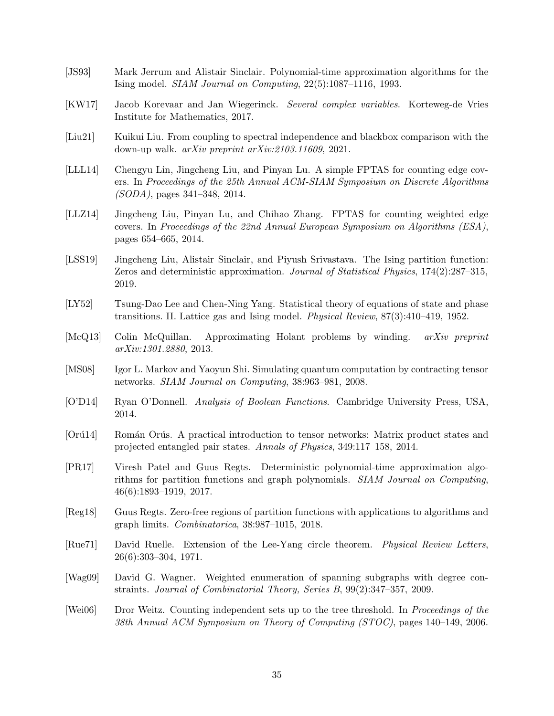- <span id="page-35-6"></span>[JS93] Mark Jerrum and Alistair Sinclair. Polynomial-time approximation algorithms for the Ising model. SIAM Journal on Computing, 22(5):1087–1116, 1993.
- <span id="page-35-11"></span>[KW17] Jacob Korevaar and Jan Wiegerinck. Several complex variables. Korteweg-de Vries Institute for Mathematics, 2017.
- <span id="page-35-2"></span>[Liu21] Kuikui Liu. From coupling to spectral independence and blackbox comparison with the down-up walk. arXiv preprint arXiv:2103.11609, 2021.
- <span id="page-35-4"></span>[LLL14] Chengyu Lin, Jingcheng Liu, and Pinyan Lu. A simple FPTAS for counting edge covers. In Proceedings of the 25th Annual ACM-SIAM Symposium on Discrete Algorithms (SODA), pages 341–348, 2014.
- <span id="page-35-5"></span>[LLZ14] Jingcheng Liu, Pinyan Lu, and Chihao Zhang. FPTAS for counting weighted edge covers. In Proceedings of the 22nd Annual European Symposium on Algorithms (ESA), pages 654–665, 2014.
- <span id="page-35-7"></span>[LSS19] Jingcheng Liu, Alistair Sinclair, and Piyush Srivastava. The Ising partition function: Zeros and deterministic approximation. Journal of Statistical Physics, 174(2):287–315, 2019.
- <span id="page-35-3"></span>[LY52] Tsung-Dao Lee and Chen-Ning Yang. Statistical theory of equations of state and phase transitions. II. Lattice gas and Ising model. Physical Review, 87(3):410–419, 1952.
- <span id="page-35-12"></span>[McQ13] Colin McQuillan. Approximating Holant problems by winding. arXiv preprint arXiv:1301.2880, 2013.
- <span id="page-35-13"></span>[MS08] Igor L. Markov and Yaoyun Shi. Simulating quantum computation by contracting tensor networks. SIAM Journal on Computing, 38:963–981, 2008.
- <span id="page-35-15"></span>[O'D14] Ryan O'Donnell. Analysis of Boolean Functions. Cambridge University Press, USA, 2014.
- <span id="page-35-14"></span>[Orú14] Román Orús. A practical introduction to tensor networks: Matrix product states and projected entangled pair states. Annals of Physics, 349:117–158, 2014.
- <span id="page-35-1"></span>[PR17] Viresh Patel and Guus Regts. Deterministic polynomial-time approximation algorithms for partition functions and graph polynomials. SIAM Journal on Computing, 46(6):1893–1919, 2017.
- <span id="page-35-10"></span>[Reg18] Guus Regts. Zero-free regions of partition functions with applications to algorithms and graph limits. Combinatorica, 38:987–1015, 2018.
- <span id="page-35-8"></span>[Rue71] David Ruelle. Extension of the Lee-Yang circle theorem. Physical Review Letters, 26(6):303–304, 1971.
- <span id="page-35-9"></span>[Wag09] David G. Wagner. Weighted enumeration of spanning subgraphs with degree constraints. Journal of Combinatorial Theory, Series B, 99(2):347–357, 2009.
- <span id="page-35-0"></span>[Wei06] Dror Weitz. Counting independent sets up to the tree threshold. In Proceedings of the 38th Annual ACM Symposium on Theory of Computing (STOC), pages 140–149, 2006.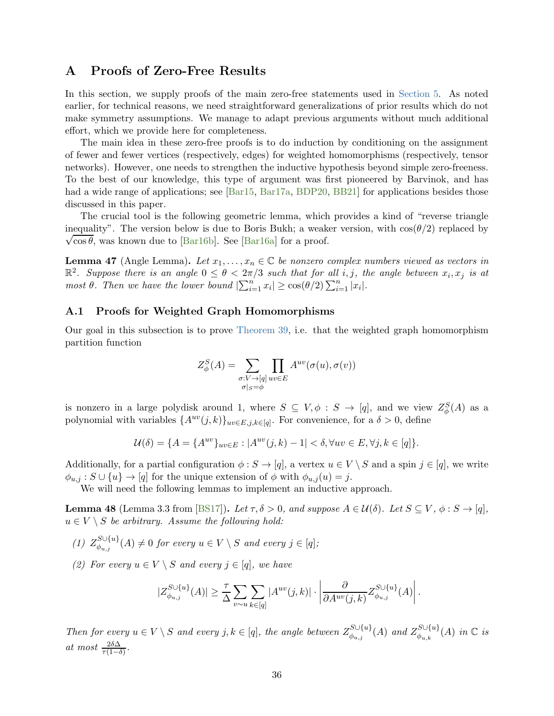# A Proofs of Zero-Free Results

In this section, we supply proofs of the main zero-free statements used in [Section 5.](#page-28-0) As noted earlier, for technical reasons, we need straightforward generalizations of prior results which do not make symmetry assumptions. We manage to adapt previous arguments without much additional effort, which we provide here for completeness.

The main idea in these zero-free proofs is to do induction by conditioning on the assignment of fewer and fewer vertices (respectively, edges) for weighted homomorphisms (respectively, tensor networks). However, one needs to strengthen the inductive hypothesis beyond simple zero-freeness. To the best of our knowledge, this type of argument was first pioneered by Barvinok, and has had a wide range of applications; see [\[Bar15,](#page-33-12) [Bar17a,](#page-33-7) [BDP20,](#page-33-13) [BB21\]](#page-33-14) for applications besides those discussed in this paper.

The crucial tool is the following geometric lemma, which provides a kind of "reverse triangle" inequality". The version below is due to Boris Bukh; a weaker version, with  $\cos(\theta/2)$  replaced by  $\sqrt{\cos \theta}$ , was known due to [\[Bar16b\]](#page-33-6). See [\[Bar16a\]](#page-33-0) for a proof.

<span id="page-36-1"></span>**Lemma 47** (Angle Lemma). Let  $x_1, \ldots, x_n \in \mathbb{C}$  be nonzero complex numbers viewed as vectors in  $\mathbb{R}^2$ . Suppose there is an angle  $0 \leq \theta < 2\pi/3$  such that for all i, j, the angle between  $x_i, x_j$  is at most  $\theta$ . Then we have the lower bound  $|\sum_{i=1}^n x_i| \geq \cos(\theta/2) \sum_{i=1}^n |x_i|$ .

# <span id="page-36-0"></span>A.1 Proofs for Weighted Graph Homomorphisms

Our goal in this subsection is to prove [Theorem 39,](#page-28-2) i.e. that the weighted graph homomorphism partition function

$$
Z_{\phi}^{S}(A) = \sum_{\substack{\sigma: V \to [q] \\ \sigma|_{S} = \phi}} \prod_{uv \in E} A^{uv}(\sigma(u), \sigma(v))
$$

is nonzero in a large polydisk around 1, where  $S \subseteq V, \phi : S \to [q]$ , and we view  $Z_{\phi}^{S}(A)$  as a polynomial with variables  $\{A^{uv}(j,k)\}_{uv\in E,j,k\in [q]}$ . For convenience, for a  $\delta > 0$ , define

$$
\mathcal{U}(\delta) = \{ A = \{ A^{uv} \}_{uv \in E} : |A^{uv}(j,k) - 1| < \delta, \forall uv \in E, \forall j, k \in [q] \}.
$$

Additionally, for a partial configuration  $\phi : S \to [q]$ , a vertex  $u \in V \setminus S$  and a spin  $j \in [q]$ , we write  $\phi_{u,j} : S \cup \{u\} \to [q]$  for the unique extension of  $\phi$  with  $\phi_{u,j}(u) = j$ .

<span id="page-36-2"></span>We will need the following lemmas to implement an inductive approach.

**Lemma 48** (Lemma 3.3 from [\[BS17\]](#page-34-11)). Let  $\tau, \delta > 0$ , and suppose  $A \in \mathcal{U}(\delta)$ . Let  $S \subseteq V$ ,  $\phi : S \rightarrow [q]$ ,  $u \in V \setminus S$  be arbitrary. Assume the following hold:

- (1)  $Z_{\phi_{u,j}}^{S\cup\{u\}}(A) \neq 0$  for every  $u \in V \setminus S$  and every  $j \in [q]$ ;
- (2) For every  $u \in V \setminus S$  and every  $j \in [q]$ , we have

$$
|Z_{\phi_{u,j}}^{S\cup\{u\}}(A)| \geq \frac{\tau}{\Delta} \sum_{v\sim u} \sum_{k\in[q]} |A^{uv}(j,k)| \cdot \left| \frac{\partial}{\partial A^{uv}(j,k)} Z_{\phi_{u,j}}^{S\cup\{u\}}(A) \right|.
$$

Then for every  $u \in V \setminus S$  and every  $j, k \in [q]$ , the angle between  $Z_{\phi_{u,j}}^{S \cup \{u\}}(A)$  and  $Z_{\phi_{u,k}}^{S \cup \{u\}}(A)$  in  $\mathbb C$  is at most  $\frac{2\delta\Delta}{\tau(1-\delta)}$ .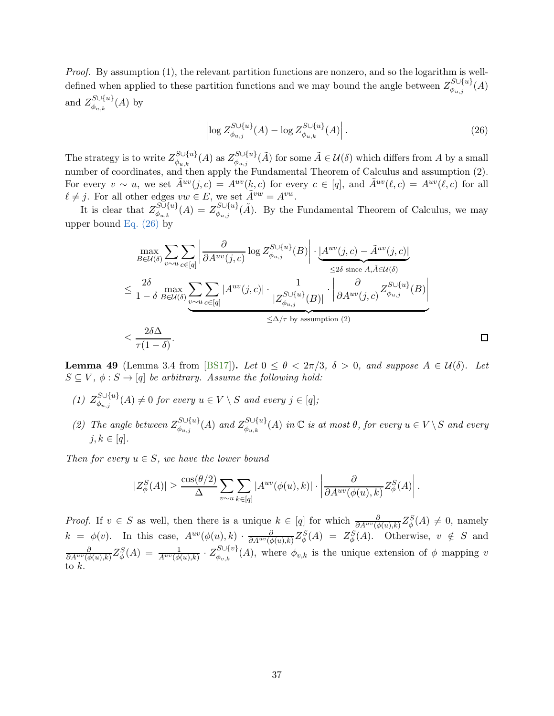*Proof.* By assumption  $(1)$ , the relevant partition functions are nonzero, and so the logarithm is welldefined when applied to these partition functions and we may bound the angle between  $Z_{\phi_{u,j}}^{S\cup\{u\}}(A)$ and  $Z_{\phi_{u,k}}^{S\cup\{u\}}(A)$  by

$$
\left| \log Z_{\phi_{u,j}}^{S \cup \{u\}}(A) - \log Z_{\phi_{u,k}}^{S \cup \{u\}}(A) \right|.
$$
 (26)

<span id="page-37-0"></span> $\Box$ 

The strategy is to write  $Z_{\phi_{u,k}}^{S\cup \{u\}}(A)$  as  $Z_{\phi_{u,j}}^{S\cup \{u\}}(\tilde{A})$  for some  $\tilde{A}\in\mathcal{U}(\delta)$  which differs from A by a small number of coordinates, and then apply the Fundamental Theorem of Calculus and assumption (2). For every  $v \sim u$ , we set  $\tilde{A}^{uv}(i,c) = A^{uv}(k,c)$  for every  $c \in [q]$ , and  $\tilde{A}^{uv}(\ell,c) = A^{uv}(\ell,c)$  for all  $\ell \neq j$ . For all other edges  $vw \in E$ , we set  $\tilde{A}^{vw} = A^{vw}$ .

It is clear that  $Z_{\phi_{u,k}}^{S\cup \{u\}}(A) = Z_{\phi_{u,j}}^{S\cup \{u\}}(\tilde{A})$ . By the Fundamental Theorem of Calculus, we may upper bound Eq.  $(26)$  by

$$
\max_{B \in \mathcal{U}(\delta)} \sum_{v \sim u} \sum_{c \in [q]} \left| \frac{\partial}{\partial A^{uv}(j,c)} \log Z_{\phi_{u,j}}^{S \cup \{u\}}(B) \right| \cdot \underbrace{\left| A^{uv}(j,c) - \tilde{A}^{uv}(j,c) \right|}_{\leq 2\delta \text{ since } A, \tilde{A} \in \mathcal{U}(\delta)}
$$
\n
$$
\leq \frac{2\delta}{1 - \delta} \max_{B \in \mathcal{U}(\delta)} \sum_{v \sim u} \sum_{c \in [q]} |A^{uv}(j,c)| \cdot \frac{1}{|Z_{\phi_{u,j}}^{S \cup \{u\}}(B)|} \cdot \left| \frac{\partial}{\partial A^{uv}(j,c)} Z_{\phi_{u,j}}^{S \cup \{u\}}(B) \right|
$$
\n
$$
\leq \Delta/\tau \text{ by assumption (2)}
$$
\n
$$
\leq \frac{2\delta \Delta}{\tau(1 - \delta)}.
$$

<span id="page-37-1"></span>**Lemma 49** (Lemma 3.4 from [\[BS17\]](#page-34-11)). Let  $0 \le \theta < 2\pi/3$ ,  $\delta > 0$ , and suppose  $A \in \mathcal{U}(\delta)$ . Let  $S \subseteq V$ ,  $\phi : S \rightarrow [q]$  be arbitrary. Assume the following hold:

- (1)  $Z_{\phi_{u,j}}^{S\cup\{u\}}(A) \neq 0$  for every  $u \in V \setminus S$  and every  $j \in [q]$ ;
- (2) The angle between  $Z_{\phi_{u,j}}^{S\cup\{u\}}(A)$  and  $Z_{\phi_{u,k}}^{S\cup\{u\}}(A)$  in  $\mathbb C$  is at most  $\theta$ , for every  $u \in V\setminus S$  and every  $i, k \in [q]$ .

Then for every  $u \in S$ , we have the lower bound

$$
|Z^S_\phi(A)| \geq \frac{\cos(\theta/2)}{\Delta} \sum_{v\sim u} \sum_{k\in [q]} |A^{uv}(\phi(u),k)| \cdot \left|\frac{\partial}{\partial A^{uv}(\phi(u),k)} Z^S_\phi(A)\right|.
$$

*Proof.* If  $v \in S$  as well, then there is a unique  $k \in [q]$  for which  $\frac{\partial}{\partial A^{uv}(\phi(u),k)} Z_{\phi}^{S}(A) \neq 0$ , namely  $k = \phi(v)$ . In this case,  $A^{uv}(\phi(u), k) \cdot \frac{\partial}{\partial A^{uv}(\phi(u), k)} Z_{\phi}^S(A) = Z_{\phi}^S(A)$ . Otherwise,  $v \notin S$  and  $\frac{\partial}{\partial A^{uv}(\phi(u),k)} Z_{\phi}^{S}(A) = \frac{1}{A^{uv}(\phi(u),k)} \cdot Z_{\phi_{v,k}}^{S \cup \{v\}}(A)$ , where  $\phi_{v,k}$  is the unique extension of  $\phi$  mapping v to k.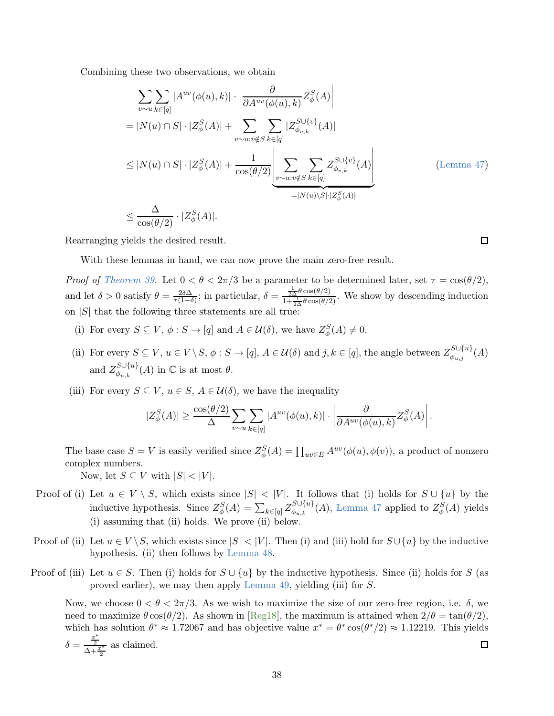Combining these two observations, we obtain

$$
\sum_{v \sim u} \sum_{k \in [q]} |A^{uv}(\phi(u), k)| \cdot \left| \frac{\partial}{\partial A^{uv}(\phi(u), k)} Z_{\phi}^{S}(A) \right|
$$
\n
$$
= |N(u) \cap S| \cdot |Z_{\phi}^{S}(A)| + \sum_{v \sim u:v \notin S} \sum_{k \in [q]} |Z_{\phi_{v,k}}^{S \cup \{v\}}(A)|
$$
\n
$$
\leq |N(u) \cap S| \cdot |Z_{\phi}^{S}(A)| + \frac{1}{\cos(\theta/2)} \left| \sum_{v \sim u:v \notin S} \sum_{k \in [q]} Z_{\phi_{v,k}}^{S \cup \{v\}}(A) \right|
$$
\n
$$
= |N(u) \setminus S| \cdot |Z_{\phi}^{S}(A)|
$$
\n
$$
\leq \frac{\Delta}{\cos(\theta/2)} \cdot |Z_{\phi}^{S}(A)|.
$$
\n(Lemma 47)

Rearranging yields the desired result.

With these lemmas in hand, we can now prove the main zero-free result.

Proof of [Theorem 39.](#page-28-2) Let  $0 < \theta < 2\pi/3$  be a parameter to be determined later, set  $\tau = \cos(\theta/2)$ , and let  $\delta > 0$  satisfy  $\theta = \frac{2\delta\Delta}{\tau(1-\delta)}$ ; in particular,  $\delta = \frac{\frac{1}{2\Delta}\theta\cos(\theta/2)}{1+\frac{1}{2\Delta}\theta\cos(\theta/2)}$  $\frac{2\Delta^{\sigma} \cos(\theta/2)}{1+\frac{1}{2\Delta}\theta \cos(\theta/2)}$ . We show by descending induction on  $|S|$  that the following three statements are all true.

- (i) For every  $S \subseteq V$ ,  $\phi : S \to [q]$  and  $A \in \mathcal{U}(\delta)$ , we have  $Z_{\phi}^{S}(A) \neq 0$ .
- (ii) For every  $S \subseteq V$ ,  $u \in V \setminus S$ ,  $\phi : S \to [q]$ ,  $A \in \mathcal{U}(\delta)$  and  $j, k \in [q]$ , the angle between  $Z_{\phi_{u,j}}^{S \cup \{u\}}(A)$ and  $Z_{\phi_{u,k}}^{S\cup \{u\}}(A)$  in  $\mathbb C$  is at most  $\theta$ .
- (iii) For every  $S \subseteq V$ ,  $u \in S$ ,  $A \in \mathcal{U}(\delta)$ , we have the inequality

$$
|Z^S_\phi(A)| \geq \frac{\cos(\theta/2)}{\Delta} \sum_{v\sim u} \sum_{k\in [q]} |A^{uv}(\phi(u),k)| \cdot \left|\frac{\partial}{\partial A^{uv}(\phi(u),k)} Z^S_\phi(A)\right|.
$$

The base case  $S = V$  is easily verified since  $Z_{\phi}^{S}(A) = \prod_{uv \in E} A^{uv}(\phi(u), \phi(v))$ , a product of nonzero complex numbers.

Now, let  $S \subseteq V$  with  $|S| < |V|$ .

- Proof of (i) Let  $u \in V \setminus S$ , which exists since  $|S| < |V|$ . It follows that (i) holds for  $S \cup \{u\}$  by the inductive hypothesis. Since  $Z_{\phi}^{S}(A) = \sum_{k \in [q]} Z_{\phi_{u,k}}^{S \cup \{u\}}(A)$ , [Lemma 47](#page-36-1) applied to  $Z_{\phi}^{S}(A)$  yields (i) assuming that (ii) holds. We prove (ii) below.
- Proof of (ii) Let  $u \in V \setminus S$ , which exists since  $|S| < |V|$ . Then (i) and (iii) hold for  $S \cup \{u\}$  by the inductive hypothesis. (ii) then follows by [Lemma 48.](#page-36-2)
- Proof of (iii) Let  $u \in S$ . Then (i) holds for  $S \cup \{u\}$  by the inductive hypothesis. Since (ii) holds for S (as proved earlier), we may then apply [Lemma 49,](#page-37-1) yielding (iii) for S.

Now, we choose  $0 < \theta < 2\pi/3$ . As we wish to maximize the size of our zero-free region, i.e.  $\delta$ , we need to maximize  $\theta \cos(\theta/2)$ . As shown in [\[Reg18\]](#page-35-10), the maximum is attained when  $2/\theta = \tan(\theta/2)$ , which has solution  $\theta^* \approx 1.72067$  and has objective value  $x^* = \theta^* \cos(\theta^*/2) \approx 1.12219$ . This yields  $\delta = \frac{x^*}{\Delta}$  $\Box$  $\frac{2}{\Delta + \frac{x^*}{2}}$  as claimed. 2

 $\Box$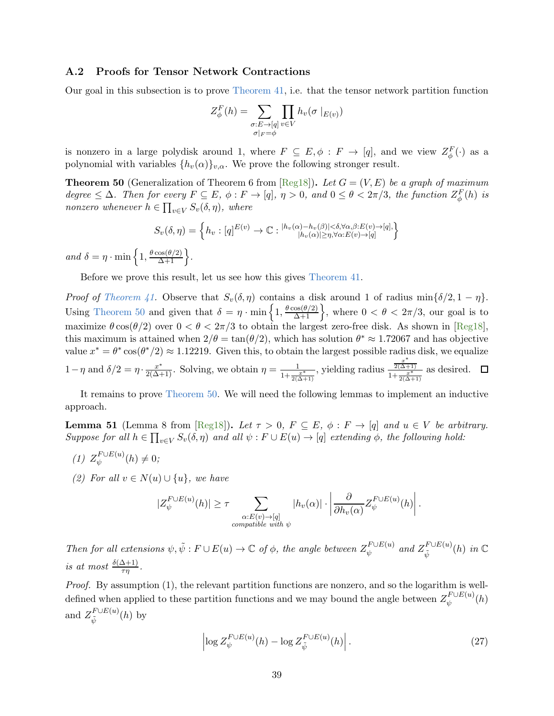# <span id="page-39-0"></span>A.2 Proofs for Tensor Network Contractions

Our goal in this subsection is to prove [Theorem 41,](#page-30-2) i.e. that the tensor network partition function

$$
Z_{\phi}^{F}(h) = \sum_{\substack{\sigma: E \to [q] \\ \sigma|_{F} = \phi}} \prod_{v \in V} h_{v}(\sigma |_{E(v)})
$$

<span id="page-39-1"></span>is nonzero in a large polydisk around 1, where  $F \subseteq E, \phi : F \to [q]$ , and we view  $Z_{\phi}^{F}(\cdot)$  as a polynomial with variables  $\{h_v(\alpha)\}_{v,\alpha}$ . We prove the following stronger result.

**Theorem 50** (Generalization of Theorem 6 from  $[Reg18]$ ). Let  $G = (V, E)$  be a graph of maximum degree  $\leq \Delta$ . Then for every  $F \subseteq E$ ,  $\phi : F \to [q]$ ,  $\eta > 0$ , and  $0 \leq \theta < 2\pi/3$ , the function  $Z_{\phi}^{F}(h)$  is nonzero whenever  $h \in \prod_{v \in V} S_v(\delta, \eta)$ , where

$$
S_v(\delta, \eta) = \left\{ h_v : [q]^{E(v)} \to \mathbb{C} : \frac{|h_v(\alpha) - h_v(\beta)| < \delta, \forall \alpha, \beta : E(v) \to [q], \beta : E(v) \to [q], \forall \alpha : E(v) \to [q] \right\}
$$

and  $\delta = \eta \cdot \min\left\{1, \frac{\theta \cos(\theta/2)}{\Delta + 1}\right\}.$ 

Before we prove this result, let us see how this gives [Theorem 41.](#page-30-2)

*Proof of [Theorem 41.](#page-30-2)* Observe that  $S_v(\delta, \eta)$  contains a disk around 1 of radius min $\{\delta/2, 1 - \eta\}.$ Using [Theorem 50](#page-39-1) and given that  $\delta = \eta \cdot \min\left\{1, \frac{\theta \cos(\theta/2)}{\Delta + 1}\right\}$ , where  $0 < \theta < 2\pi/3$ , our goal is to maximize  $\theta \cos(\theta/2)$  over  $0 < \theta < 2\pi/3$  to obtain the largest zero-free disk. As shown in [\[Reg18\]](#page-35-10), this maximum is attained when  $2/\theta = \tan(\theta/2)$ , which has solution  $\theta^* \approx 1.72067$  and has objective value  $x^* = \theta^* \cos(\theta^*/2) \approx 1.12219$ . Given this, to obtain the largest possible radius disk, we equalize 1 – η and  $\delta/2 = \eta \cdot \frac{x^*}{2(\Delta+1)}$ . Solving, we obtain  $\eta = \frac{1}{1+\frac{x^*}{2(\Delta+1)}}$ , yielding radius  $\frac{\frac{x^*}{2(\Delta+1)}}{1+\frac{x}{2(\Delta+1)}}$  $rac{2(\Delta+1)}{1+\frac{x^*}{2(\Delta+1)}}$  as desired.

<span id="page-39-3"></span>It remains to prove [Theorem 50.](#page-39-1) We will need the following lemmas to implement an inductive approach.

**Lemma 51** (Lemma 8 from [\[Reg18\]](#page-35-10)). Let  $\tau > 0$ ,  $F \subseteq E$ ,  $\phi : F \to [q]$  and  $u \in V$  be arbitrary. Suppose for all  $h \in \prod_{v \in V} S_v(\delta, \eta)$  and all  $\psi : F \cup E(u) \to [q]$  extending  $\phi$ , the following hold:

- (1)  $Z_{\psi}^{F \cup E(u)}(h) \neq 0;$
- (2) For all  $v \in N(u) \cup \{u\}$ , we have

$$
|Z_{\psi}^{F \cup E(u)}(h)| \geq \tau \sum_{\substack{\alpha: E(v) \to [q] \\ compatible\ with\ \psi}} |h_v(\alpha)| \cdot \left| \frac{\partial}{\partial h_v(\alpha)} Z_{\psi}^{F \cup E(u)}(h) \right|.
$$

Then for all extensions  $\psi, \tilde{\psi}: F \cup E(u) \to \mathbb{C}$  of  $\phi$ , the angle between  $Z_{\psi}^{F \cup E(u)}$  and  $Z_{\tilde{\psi}}^{F \cup E(u)}$  $_{\tilde{\psi}}^{T \cup E(u)}(h)$  in  $\mathbb C$ is at most  $\frac{\delta(\Delta+1)}{\tau\eta}$ .

Proof. By assumption (1), the relevant partition functions are nonzero, and so the logarithm is welldefined when applied to these partition functions and we may bound the angle between  $Z_{\psi}^{F \cup E(u)}(h)$ and  $Z_{\tilde{\Lambda}}^{F \cup E(u)}$  $\tilde{\psi}^{F\cup E(u)}(h)$  by

<span id="page-39-2"></span>
$$
\left| \log Z_{\psi}^{F \cup E(u)}(h) - \log Z_{\tilde{\psi}}^{F \cup E(u)}(h) \right|.
$$
 (27)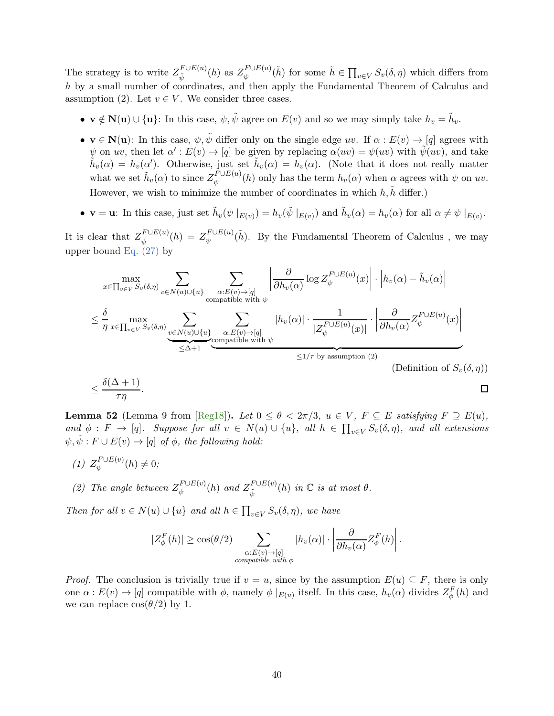The strategy is to write  $Z_{\tilde{\Lambda}}^{F \cup E(u)}$  $\tilde{\psi}^{F \cup E(u)}(h)$  as  $Z_{\psi}^{F \cup E(u)}(\tilde{h})$  for some  $\tilde{h} \in \prod_{v \in V} S_v(\delta, \eta)$  which differs from h by a small number of coordinates, and then apply the Fundamental Theorem of Calculus and assumption (2). Let  $v \in V$ . We consider three cases.

- $\mathbf{v} \notin \mathbf{N}(\mathbf{u}) \cup {\mathbf{u}}$ : In this case,  $\psi, \tilde{\psi}$  agree on  $E(v)$  and so we may simply take  $h_v = \tilde{h}_v$ .
- $\mathbf{v} \in \mathbf{N}(\mathbf{u})$ : In this case,  $\psi, \tilde{\psi}$  differ only on the single edge uv. If  $\alpha : E(v) \to [q]$  agrees with  $\psi$  on uv, then let  $\alpha' : E(v) \to [q]$  be given by replacing  $\alpha(uv) = \psi(uv)$  with  $\tilde{\psi}(uv)$ , and take  $\tilde{h}_v(\alpha) = h_v(\alpha')$ . Otherwise, just set  $\tilde{h}_v(\alpha) = h_v(\alpha)$ . (Note that it does not really matter what we set  $\tilde{h}_v(\alpha)$  to since  $Z_{\psi}^{F \cup E(u)}(h)$  only has the term  $h_v(\alpha)$  when  $\alpha$  agrees with  $\psi$  on  $uv$ . However, we wish to minimize the number of coordinates in which  $h, \tilde{h}$  differ.)
- $\mathbf{v} = \mathbf{u}$ : In this case, just set  $\tilde{h}_v(\psi \mid_{E(v)}) = h_v(\tilde{\psi} \mid_{E(v)})$  and  $\tilde{h}_v(\alpha) = h_v(\alpha)$  for all  $\alpha \neq \psi \mid_{E(v)}$ .

It is clear that  $Z_{\tilde{\Lambda}}^{F \cup E(u)}$  $\tilde{u}^{F \cup E(u)}_{\tilde{\psi}}(h) = Z_{\psi}^{F \cup E(u)}(\tilde{h}).$  By the Fundamental Theorem of Calculus, we may upper bound Eq.  $(27)$  by

$$
\max_{x \in \prod_{v \in V} S_v(\delta, \eta)} \sum_{v \in N(u) \cup \{u\}} \sum_{\substack{\alpha: E(v) \to [q] \\ \text{compatible with } \psi}} \left| \frac{\partial}{\partial h_v(\alpha)} \log Z_{\psi}^{F \cup E(u)}(x) \right| \cdot \left| h_v(\alpha) - \tilde{h}_v(\alpha) \right|
$$
  

$$
\leq \frac{\delta}{\eta} \max_{x \in \prod_{v \in V} S_v(\delta, \eta)} \sum_{\substack{v \in N(u) \cup \{u\} \\ \text{compatible with } \psi}} \sum_{\substack{\alpha: E(v) \to [q] \\ \text{compatible with } \psi}} |h_v(\alpha)| \cdot \frac{1}{|Z_{\psi}^{F \cup E(u)}(x)|} \cdot \left| \frac{\partial}{\partial h_v(\alpha)} Z_{\psi}^{F \cup E(u)}(x) \right|
$$
  

$$
\leq 1/\tau \text{ by assumption (2)}
$$
 (Definition of  $S_v(\delta, \eta)$ )

<span id="page-40-0"></span>**Lemma 52** (Lemma 9 from [\[Reg18\]](#page-35-10)). Let  $0 \le \theta < 2\pi/3$ ,  $u \in V$ ,  $F \subseteq E$  satisfying  $F \supseteq E(u)$ , and  $\phi: F \to [q]$ . Suppose for all  $v \in N(u) \cup \{u\}$ , all  $h \in \prod_{v \in V} S_v(\delta, \eta)$ , and all extensions  $\psi, \tilde{\psi}: F \cup E(v) \rightarrow [q]$  of  $\phi$ , the following hold:

- (1)  $Z_{\psi}^{F \cup E(v)}(h) \neq 0;$
- (2) The angle between  $Z_{\psi}^{F \cup E(v)}(h)$  and  $Z_{\tilde{\psi}}^{F \cup E(v)}$  $_{\tilde{\psi}}^{T \cup E(v)}(h)$  in  $\mathbb C$  is at most  $\theta$ .

Then for all  $v \in N(u) \cup \{u\}$  and all  $h \in \prod_{v \in V} S_v(\delta, \eta)$ , we have

$$
|Z_{\phi}^{F}(h)| \geq \cos(\theta/2) \sum_{\substack{\alpha: E(v) \to [q] \\ compatible\ with\ \phi}} |h_{v}(\alpha)| \cdot \left| \frac{\partial}{\partial h_{v}(\alpha)} Z_{\phi}^{F}(h) \right|.
$$

*Proof.* The conclusion is trivially true if  $v = u$ , since by the assumption  $E(u) \subseteq F$ , there is only one  $\alpha: E(v) \to [q]$  compatible with  $\phi$ , namely  $\phi|_{E(w)}$  itself. In this case,  $h_v(\alpha)$  divides  $Z_{\phi}^F(h)$  and we can replace  $\cos(\theta/2)$  by 1.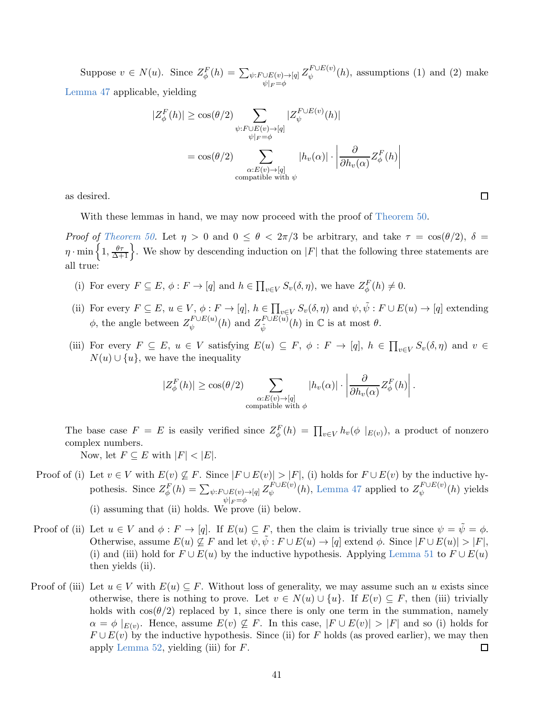Suppose  $v \in N(u)$ . Since  $Z_{\phi}^{F}(h) = \sum_{\psi: F \cup E(v) \to [q]}$  $\psi|_F = \phi$  $Z_{\psi}^{F \cup E(v)}(h)$ , assumptions (1) and (2) make [Lemma 47](#page-36-1) applicable, yielding

$$
|Z_{\phi}^{F}(h)| \ge \cos(\theta/2) \sum_{\substack{\psi: F \cup E(v) \to [q] \\ \psi|_{F} = \phi}} |Z_{\psi}^{F \cup E(v)}(h)|
$$
  
=  $\cos(\theta/2) \sum_{\substack{\alpha: E(v) \to [q] \\ \text{compatible with } \psi}} |h_{v}(\alpha)| \cdot \left| \frac{\partial}{\partial h_{v}(\alpha)} Z_{\phi}^{F}(h) \right|$ 

as desired.

With these lemmas in hand, we may now proceed with the proof of [Theorem 50.](#page-39-1)

Proof of [Theorem 50.](#page-39-1) Let  $\eta > 0$  and  $0 \le \theta < 2\pi/3$  be arbitrary, and take  $\tau = \cos(\theta/2)$ ,  $\delta =$  $\eta \cdot \min\left\{1, \frac{\theta\tau}{\Delta+1}\right\}$ . We show by descending induction on |F| that the following three statements are all true:

- (i) For every  $F \subseteq E$ ,  $\phi : F \to [q]$  and  $h \in \prod_{v \in V} S_v(\delta, \eta)$ , we have  $Z_{\phi}^F(h) \neq 0$ .
- (ii) For every  $F \subseteq E$ ,  $u \in V$ ,  $\phi : F \to [q]$ ,  $h \in \prod_{v \in V} S_v(\delta, \eta)$  and  $\psi, \tilde{\psi} : F \cup E(u) \to [q]$  extending  $\phi$ , the angle between  $Z_{\psi}^{F \cup E(u)}(h)$  and  $Z_{\tilde{\psi}}^{F \cup E(u)}$  $\tilde{\psi}^{T \cup E(u)}(h)$  in  $\mathbb C$  is at most  $\theta$ .
- (iii) For every  $F \subseteq E$ ,  $u \in V$  satisfying  $E(u) \subseteq F$ ,  $\phi : F \to [q]$ ,  $h \in \prod_{v \in V} S_v(\delta, \eta)$  and  $v \in V$  $N(u) \cup \{u\}$ , we have the inequality

$$
|Z_{\phi}^{F}(h)| \geq \cos(\theta/2) \sum_{\substack{\alpha: E(v) \to [q] \\ \text{compatible with } \phi}} |h_{v}(\alpha)| \cdot \left| \frac{\partial}{\partial h_{v}(\alpha)} Z_{\phi}^{F}(h) \right|.
$$

The base case  $F = E$  is easily verified since  $Z_{\phi}^{F}(h) = \prod_{v \in V} h_{v}(\phi |_{E(v)})$ , a product of nonzero complex numbers.

Now, let  $F \subseteq E$  with  $|F| < |E|$ .

- Proof of (i) Let  $v \in V$  with  $E(v) \nsubseteq F$ . Since  $|F \cup E(v)| > |F|$ , (i) holds for  $F \cup E(v)$  by the inductive hypothesis. Since  $Z_{\phi}^{F}(h) = \sum_{\psi: F \cup E(v) \to [q]}$  $\psi|_F = \phi$  $Z_{\psi}^{F \cup E(v)}(h)$ , [Lemma 47](#page-36-1) applied to  $Z_{\psi}^{F \cup E(v)}(h)$  yields (i) assuming that (ii) holds. We prove (ii) below.
- Proof of (ii) Let  $u \in V$  and  $\phi : F \to [q]$ . If  $E(u) \subseteq F$ , then the claim is trivially true since  $\psi = \psi = \phi$ . Otherwise, assume  $E(u) \nsubseteq F$  and let  $\psi, \tilde{\psi}: F \cup E(u) \rightarrow [q]$  extend  $\phi$ . Since  $|F \cup E(u)| > |F|$ , (i) and (iii) hold for  $F \cup E(u)$  by the inductive hypothesis. Applying [Lemma 51](#page-39-3) to  $F \cup E(u)$ then yields (ii).
- Proof of (iii) Let  $u \in V$  with  $E(u) \subseteq F$ . Without loss of generality, we may assume such an u exists since otherwise, there is nothing to prove. Let  $v \in N(u) \cup \{u\}$ . If  $E(v) \subseteq F$ , then (iii) trivially holds with  $\cos(\theta/2)$  replaced by 1, since there is only one term in the summation, namely  $\alpha = \phi |_{E(v)}$ . Hence, assume  $E(v) \not\subseteq F$ . In this case,  $|F \cup E(v)| > |F|$  and so (i) holds for  $F \cup E(v)$  by the inductive hypothesis. Since (ii) for F holds (as proved earlier), we may then apply [Lemma 52,](#page-40-0) yielding (iii) for  $F$ . 囗

 $\Box$